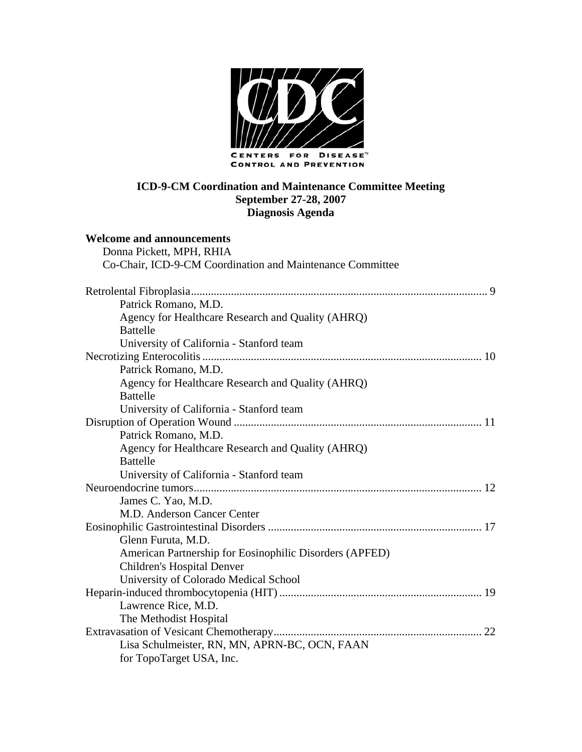

### **ICD-9-CM Coordination and Maintenance Committee Meeting September 27-28, 2007 Diagnosis Agenda**

#### **Welcome and announcements**  Donna Pickett, MPH, PHIA

| DONNA PICKEII, MPH, RHIA                                  |  |
|-----------------------------------------------------------|--|
| Co-Chair, ICD-9-CM Coordination and Maintenance Committee |  |
|                                                           |  |
| Patrick Romano, M.D.                                      |  |
| Agency for Healthcare Research and Quality (AHRQ)         |  |
| <b>Battelle</b>                                           |  |
| University of California - Stanford team                  |  |
|                                                           |  |
| Patrick Romano, M.D.                                      |  |
| Agency for Healthcare Research and Quality (AHRQ)         |  |
| <b>Battelle</b>                                           |  |
| University of California - Stanford team                  |  |
|                                                           |  |
| Patrick Romano, M.D.                                      |  |
| Agency for Healthcare Research and Quality (AHRQ)         |  |
| <b>Battelle</b>                                           |  |
| University of California - Stanford team                  |  |
|                                                           |  |
| James C. Yao, M.D.                                        |  |
| M.D. Anderson Cancer Center                               |  |
|                                                           |  |
| Glenn Furuta, M.D.                                        |  |
| American Partnership for Eosinophilic Disorders (APFED)   |  |
| <b>Children's Hospital Denver</b>                         |  |
| University of Colorado Medical School                     |  |
|                                                           |  |
| Lawrence Rice, M.D.                                       |  |
| The Methodist Hospital                                    |  |
|                                                           |  |
| Lisa Schulmeister, RN, MN, APRN-BC, OCN, FAAN             |  |
| for TopoTarget USA, Inc.                                  |  |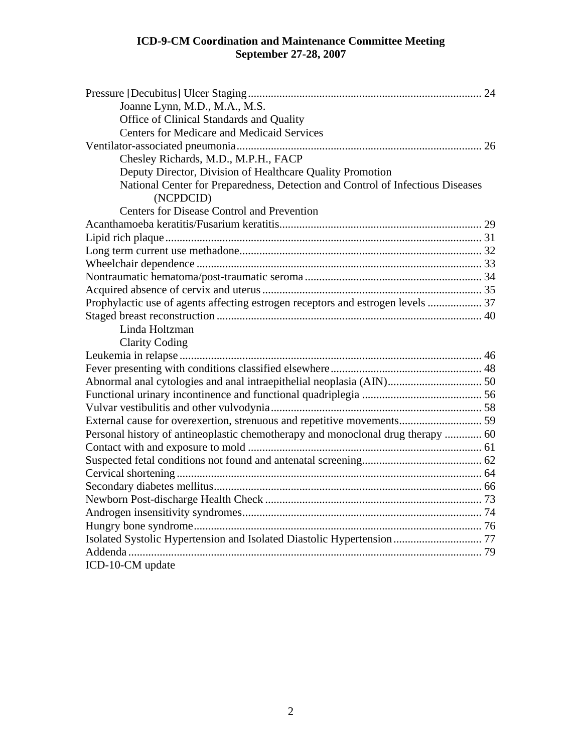| Joanne Lynn, M.D., M.A., M.S.<br>Office of Clinical Standards and Quality<br><b>Centers for Medicare and Medicaid Services</b><br>Chesley Richards, M.D., M.P.H., FACP<br>Deputy Director, Division of Healthcare Quality Promotion<br>National Center for Preparedness, Detection and Control of Infectious Diseases<br>(NCPDCID) |  |
|------------------------------------------------------------------------------------------------------------------------------------------------------------------------------------------------------------------------------------------------------------------------------------------------------------------------------------|--|
| Centers for Disease Control and Prevention                                                                                                                                                                                                                                                                                         |  |
|                                                                                                                                                                                                                                                                                                                                    |  |
|                                                                                                                                                                                                                                                                                                                                    |  |
|                                                                                                                                                                                                                                                                                                                                    |  |
|                                                                                                                                                                                                                                                                                                                                    |  |
|                                                                                                                                                                                                                                                                                                                                    |  |
|                                                                                                                                                                                                                                                                                                                                    |  |
| Prophylactic use of agents affecting estrogen receptors and estrogen levels  37                                                                                                                                                                                                                                                    |  |
|                                                                                                                                                                                                                                                                                                                                    |  |
| Linda Holtzman                                                                                                                                                                                                                                                                                                                     |  |
| <b>Clarity Coding</b>                                                                                                                                                                                                                                                                                                              |  |
|                                                                                                                                                                                                                                                                                                                                    |  |
|                                                                                                                                                                                                                                                                                                                                    |  |
|                                                                                                                                                                                                                                                                                                                                    |  |
|                                                                                                                                                                                                                                                                                                                                    |  |
|                                                                                                                                                                                                                                                                                                                                    |  |
| External cause for overexertion, strenuous and repetitive movements 59                                                                                                                                                                                                                                                             |  |
| Personal history of antineoplastic chemotherapy and monoclonal drug therapy  60                                                                                                                                                                                                                                                    |  |
|                                                                                                                                                                                                                                                                                                                                    |  |
|                                                                                                                                                                                                                                                                                                                                    |  |
|                                                                                                                                                                                                                                                                                                                                    |  |
|                                                                                                                                                                                                                                                                                                                                    |  |
|                                                                                                                                                                                                                                                                                                                                    |  |
|                                                                                                                                                                                                                                                                                                                                    |  |
|                                                                                                                                                                                                                                                                                                                                    |  |
|                                                                                                                                                                                                                                                                                                                                    |  |
|                                                                                                                                                                                                                                                                                                                                    |  |
| ICD-10-CM update                                                                                                                                                                                                                                                                                                                   |  |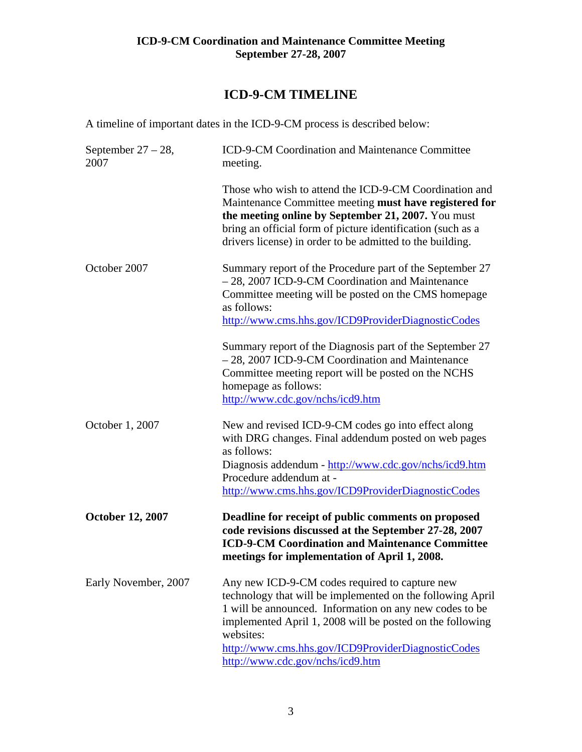# **ICD-9-CM TIMELINE**

A timeline of important dates in the ICD-9-CM process is described below:

| September $27 - 28$ ,<br>2007 | ICD-9-CM Coordination and Maintenance Committee<br>meeting.                                                                                                                                                                                                                                                                                 |
|-------------------------------|---------------------------------------------------------------------------------------------------------------------------------------------------------------------------------------------------------------------------------------------------------------------------------------------------------------------------------------------|
|                               | Those who wish to attend the ICD-9-CM Coordination and<br>Maintenance Committee meeting must have registered for<br>the meeting online by September 21, 2007. You must<br>bring an official form of picture identification (such as a<br>drivers license) in order to be admitted to the building.                                          |
| October 2007                  | Summary report of the Procedure part of the September 27<br>- 28, 2007 ICD-9-CM Coordination and Maintenance<br>Committee meeting will be posted on the CMS homepage<br>as follows:<br>http://www.cms.hhs.gov/ICD9ProviderDiagnosticCodes                                                                                                   |
|                               | Summary report of the Diagnosis part of the September 27<br>- 28, 2007 ICD-9-CM Coordination and Maintenance<br>Committee meeting report will be posted on the NCHS<br>homepage as follows:<br>http://www.cdc.gov/nchs/icd9.htm                                                                                                             |
| October 1, 2007               | New and revised ICD-9-CM codes go into effect along<br>with DRG changes. Final addendum posted on web pages<br>as follows:<br>Diagnosis addendum - http://www.cdc.gov/nchs/icd9.htm<br>Procedure addendum at -<br>http://www.cms.hhs.gov/ICD9ProviderDiagnosticCodes                                                                        |
| <b>October 12, 2007</b>       | Deadline for receipt of public comments on proposed<br>code revisions discussed at the September 27-28, 2007<br><b>ICD-9-CM Coordination and Maintenance Committee</b><br>meetings for implementation of April 1, 2008.                                                                                                                     |
| Early November, 2007          | Any new ICD-9-CM codes required to capture new<br>technology that will be implemented on the following April<br>1 will be announced. Information on any new codes to be<br>implemented April 1, 2008 will be posted on the following<br>websites:<br>http://www.cms.hhs.gov/ICD9ProviderDiagnosticCodes<br>http://www.cdc.gov/nchs/icd9.htm |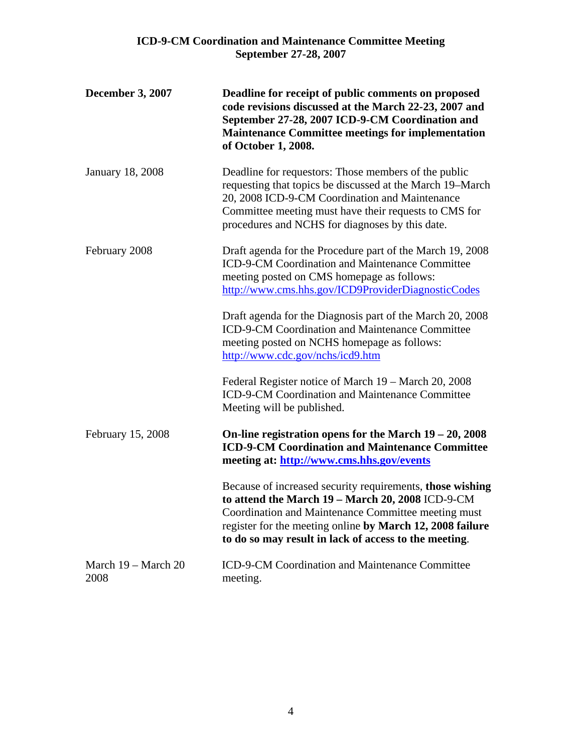| <b>December 3, 2007</b>     | Deadline for receipt of public comments on proposed<br>code revisions discussed at the March 22-23, 2007 and<br>September 27-28, 2007 ICD-9-CM Coordination and<br><b>Maintenance Committee meetings for implementation</b><br>of October 1, 2008.                                         |
|-----------------------------|--------------------------------------------------------------------------------------------------------------------------------------------------------------------------------------------------------------------------------------------------------------------------------------------|
| <b>January 18, 2008</b>     | Deadline for requestors: Those members of the public<br>requesting that topics be discussed at the March 19–March<br>20, 2008 ICD-9-CM Coordination and Maintenance<br>Committee meeting must have their requests to CMS for<br>procedures and NCHS for diagnoses by this date.            |
| February 2008               | Draft agenda for the Procedure part of the March 19, 2008<br>ICD-9-CM Coordination and Maintenance Committee<br>meeting posted on CMS homepage as follows:<br>http://www.cms.hhs.gov/ICD9ProviderDiagnosticCodes                                                                           |
|                             | Draft agenda for the Diagnosis part of the March 20, 2008<br>ICD-9-CM Coordination and Maintenance Committee<br>meeting posted on NCHS homepage as follows:<br>http://www.cdc.gov/nchs/icd9.htm                                                                                            |
|                             | Federal Register notice of March 19 – March 20, 2008<br>ICD-9-CM Coordination and Maintenance Committee<br>Meeting will be published.                                                                                                                                                      |
| February 15, 2008           | On-line registration opens for the March $19 - 20$ , 2008<br><b>ICD-9-CM Coordination and Maintenance Committee</b><br>meeting at: http://www.cms.hhs.gov/events                                                                                                                           |
|                             | Because of increased security requirements, those wishing<br>to attend the March 19 - March 20, 2008 ICD-9-CM<br>Coordination and Maintenance Committee meeting must<br>register for the meeting online by March 12, 2008 failure<br>to do so may result in lack of access to the meeting. |
| March 19 - March 20<br>2008 | ICD-9-CM Coordination and Maintenance Committee<br>meeting.                                                                                                                                                                                                                                |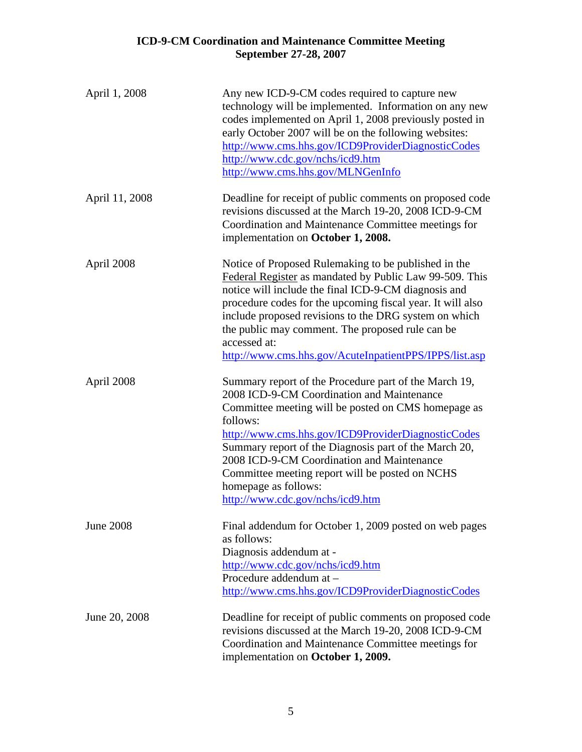| April 1, 2008    | Any new ICD-9-CM codes required to capture new<br>technology will be implemented. Information on any new<br>codes implemented on April 1, 2008 previously posted in<br>early October 2007 will be on the following websites:<br>http://www.cms.hhs.gov/ICD9ProviderDiagnosticCodes<br>http://www.cdc.gov/nchs/icd9.htm<br>http://www.cms.hhs.gov/MLNGenInfo                                                                                        |
|------------------|----------------------------------------------------------------------------------------------------------------------------------------------------------------------------------------------------------------------------------------------------------------------------------------------------------------------------------------------------------------------------------------------------------------------------------------------------|
| April 11, 2008   | Deadline for receipt of public comments on proposed code<br>revisions discussed at the March 19-20, 2008 ICD-9-CM<br>Coordination and Maintenance Committee meetings for<br>implementation on October 1, 2008.                                                                                                                                                                                                                                     |
| April 2008       | Notice of Proposed Rulemaking to be published in the<br>Federal Register as mandated by Public Law 99-509. This<br>notice will include the final ICD-9-CM diagnosis and<br>procedure codes for the upcoming fiscal year. It will also<br>include proposed revisions to the DRG system on which<br>the public may comment. The proposed rule can be<br>accessed at:<br>http://www.cms.hhs.gov/AcuteInpatientPPS/IPPS/list.asp                       |
| April 2008       | Summary report of the Procedure part of the March 19,<br>2008 ICD-9-CM Coordination and Maintenance<br>Committee meeting will be posted on CMS homepage as<br>follows:<br>http://www.cms.hhs.gov/ICD9ProviderDiagnosticCodes<br>Summary report of the Diagnosis part of the March 20,<br>2008 ICD-9-CM Coordination and Maintenance<br>Committee meeting report will be posted on NCHS<br>homepage as follows:<br>http://www.cdc.gov/nchs/icd9.htm |
| <b>June 2008</b> | Final addendum for October 1, 2009 posted on web pages<br>as follows:<br>Diagnosis addendum at -<br>http://www.cdc.gov/nchs/icd9.htm<br>Procedure addendum at -<br>http://www.cms.hhs.gov/ICD9ProviderDiagnosticCodes                                                                                                                                                                                                                              |
| June 20, 2008    | Deadline for receipt of public comments on proposed code<br>revisions discussed at the March 19-20, 2008 ICD-9-CM<br>Coordination and Maintenance Committee meetings for<br>implementation on October 1, 2009.                                                                                                                                                                                                                                     |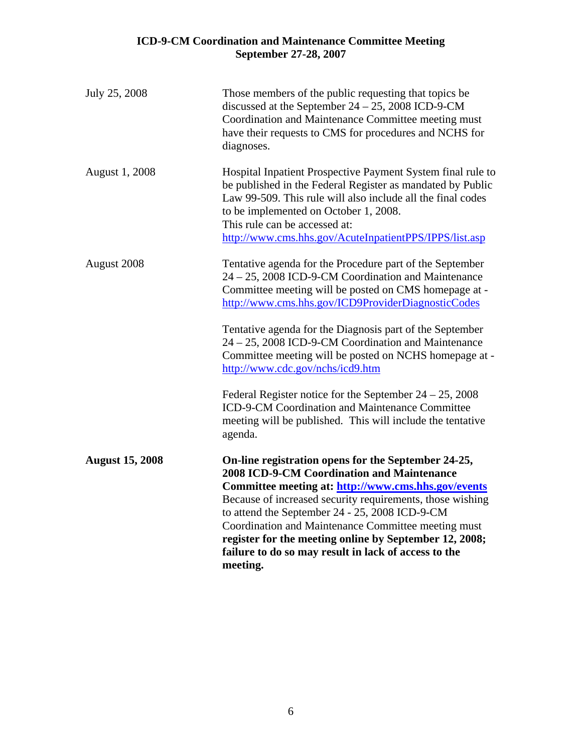| July 25, 2008          | Those members of the public requesting that topics be<br>discussed at the September $24 - 25$ , 2008 ICD-9-CM<br>Coordination and Maintenance Committee meeting must<br>have their requests to CMS for procedures and NCHS for<br>diagnoses.                                                                                                                                                                                                                                                                                                                                                                                   |
|------------------------|--------------------------------------------------------------------------------------------------------------------------------------------------------------------------------------------------------------------------------------------------------------------------------------------------------------------------------------------------------------------------------------------------------------------------------------------------------------------------------------------------------------------------------------------------------------------------------------------------------------------------------|
| <b>August 1, 2008</b>  | Hospital Inpatient Prospective Payment System final rule to<br>be published in the Federal Register as mandated by Public<br>Law 99-509. This rule will also include all the final codes<br>to be implemented on October 1, 2008.<br>This rule can be accessed at:<br>http://www.cms.hhs.gov/AcuteInpatientPPS/IPPS/list.asp                                                                                                                                                                                                                                                                                                   |
| August 2008            | Tentative agenda for the Procedure part of the September<br>24 – 25, 2008 ICD-9-CM Coordination and Maintenance<br>Committee meeting will be posted on CMS homepage at -<br>http://www.cms.hhs.gov/ICD9ProviderDiagnosticCodes<br>Tentative agenda for the Diagnosis part of the September<br>24 - 25, 2008 ICD-9-CM Coordination and Maintenance<br>Committee meeting will be posted on NCHS homepage at -<br>http://www.cdc.gov/nchs/icd9.htm<br>Federal Register notice for the September $24 - 25$ , 2008<br>ICD-9-CM Coordination and Maintenance Committee<br>meeting will be published. This will include the tentative |
| <b>August 15, 2008</b> | agenda.<br>On-line registration opens for the September 24-25,<br><b>2008 ICD-9-CM Coordination and Maintenance</b><br>Committee meeting at: http://www.cms.hhs.gov/events<br>Because of increased security requirements, those wishing<br>to attend the September 24 - 25, 2008 ICD-9-CM<br>Coordination and Maintenance Committee meeting must<br>register for the meeting online by September 12, 2008;<br>failure to do so may result in lack of access to the<br>meeting.                                                                                                                                                 |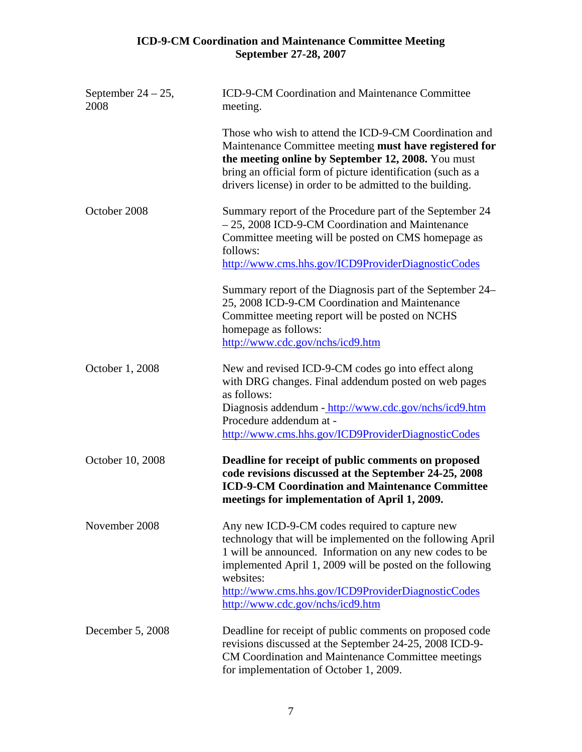| September $24 - 25$ ,<br>2008 | ICD-9-CM Coordination and Maintenance Committee<br>meeting.                                                                                                                                                                                                                                                                                 |
|-------------------------------|---------------------------------------------------------------------------------------------------------------------------------------------------------------------------------------------------------------------------------------------------------------------------------------------------------------------------------------------|
|                               | Those who wish to attend the ICD-9-CM Coordination and<br>Maintenance Committee meeting must have registered for<br>the meeting online by September 12, 2008. You must<br>bring an official form of picture identification (such as a<br>drivers license) in order to be admitted to the building.                                          |
| October 2008                  | Summary report of the Procedure part of the September 24<br>- 25, 2008 ICD-9-CM Coordination and Maintenance<br>Committee meeting will be posted on CMS homepage as<br>follows:<br>http://www.cms.hhs.gov/ICD9ProviderDiagnosticCodes                                                                                                       |
|                               | Summary report of the Diagnosis part of the September 24–<br>25, 2008 ICD-9-CM Coordination and Maintenance<br>Committee meeting report will be posted on NCHS<br>homepage as follows:<br>http://www.cdc.gov/nchs/icd9.htm                                                                                                                  |
| October 1, 2008               | New and revised ICD-9-CM codes go into effect along<br>with DRG changes. Final addendum posted on web pages<br>as follows:<br>Diagnosis addendum - http://www.cdc.gov/nchs/icd9.htm<br>Procedure addendum at -<br>http://www.cms.hhs.gov/ICD9ProviderDiagnosticCodes                                                                        |
| October 10, 2008              | Deadline for receipt of public comments on proposed<br>code revisions discussed at the September 24-25, 2008<br><b>ICD-9-CM Coordination and Maintenance Committee</b><br>meetings for implementation of April 1, 2009.                                                                                                                     |
| November 2008                 | Any new ICD-9-CM codes required to capture new<br>technology that will be implemented on the following April<br>1 will be announced. Information on any new codes to be<br>implemented April 1, 2009 will be posted on the following<br>websites:<br>http://www.cms.hhs.gov/ICD9ProviderDiagnosticCodes<br>http://www.cdc.gov/nchs/icd9.htm |
| December 5, 2008              | Deadline for receipt of public comments on proposed code<br>revisions discussed at the September 24-25, 2008 ICD-9-<br>CM Coordination and Maintenance Committee meetings<br>for implementation of October 1, 2009.                                                                                                                         |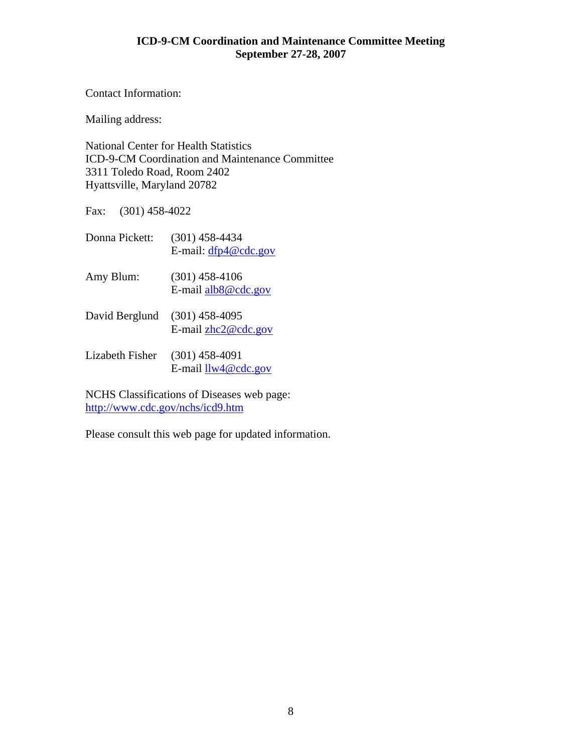Contact Information:

Mailing address:

National Center for Health Statistics ICD-9-CM Coordination and Maintenance Committee 3311 Toledo Road, Room 2402 Hyattsville, Maryland 20782

Fax: (301) 458-4022

| Donna Pickett:  | (301) 458-4434<br>E-mail: $dfp4@cdc.gov$   |
|-----------------|--------------------------------------------|
| Amy Blum:       | $(301)$ 458-4106<br>E-mail $alb8@$ cdc.gov |
| David Berglund  | $(301)$ 458-4095<br>E-mail $zhc2@cdc.gov$  |
| Lizabeth Fisher | $(301)$ 458-4091<br>E-mail $llw4@cdc.gov$  |

NCHS Classifications of Diseases web page: <http://www.cdc.gov/nchs/icd9.htm>

Please consult this web page for updated information.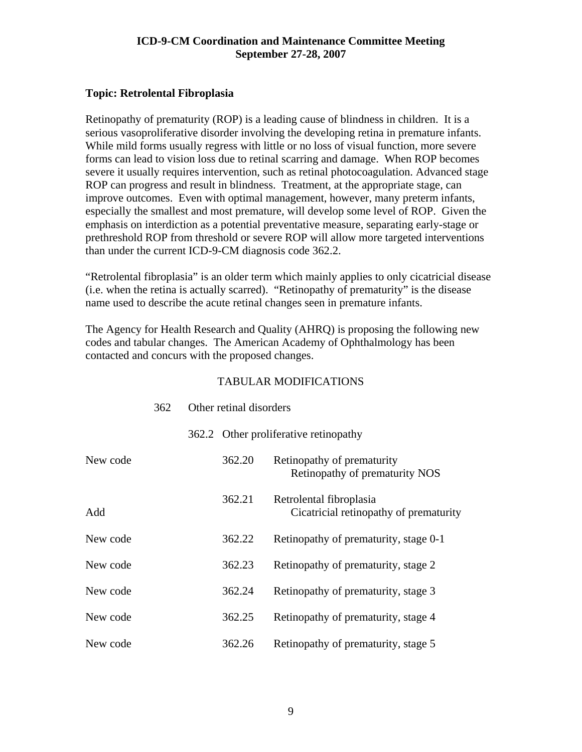#### <span id="page-8-0"></span>**Topic: Retrolental Fibroplasia**

Retinopathy of prematurity (ROP) is a leading cause of blindness in children. It is a serious vasoproliferative disorder involving the developing retina in premature infants. While mild forms usually regress with little or no loss of visual function, more severe forms can lead to vision loss due to retinal scarring and damage. When ROP becomes severe it usually requires intervention, such as retinal photocoagulation. Advanced stage ROP can progress and result in blindness. Treatment, at the appropriate stage, can improve outcomes. Even with optimal management, however, many preterm infants, especially the smallest and most premature, will develop some level of ROP. Given the emphasis on interdiction as a potential preventative measure, separating early-stage or prethreshold ROP from threshold or severe ROP will allow more targeted interventions than under the current ICD-9-CM diagnosis code 362.2.

"Retrolental fibroplasia" is an older term which mainly applies to only cicatricial disease (i.e. when the retina is actually scarred). "Retinopathy of prematurity" is the disease name used to describe the acute retinal changes seen in premature infants.

The Agency for Health Research and Quality (AHRQ) is proposing the following new codes and tabular changes. The American Academy of Ophthalmology has been contacted and concurs with the proposed changes.

|          | 362 | Other retinal disorders |        |                                                                   |
|----------|-----|-------------------------|--------|-------------------------------------------------------------------|
|          |     |                         |        | 362.2 Other proliferative retinopathy                             |
| New code |     |                         | 362.20 | Retinopathy of prematurity<br>Retinopathy of prematurity NOS      |
| Add      |     |                         | 362.21 | Retrolental fibroplasia<br>Cicatricial retinopathy of prematurity |
| New code |     |                         | 362.22 | Retinopathy of prematurity, stage 0-1                             |
| New code |     |                         | 362.23 | Retinopathy of prematurity, stage 2                               |
| New code |     |                         | 362.24 | Retinopathy of prematurity, stage 3                               |
| New code |     |                         | 362.25 | Retinopathy of prematurity, stage 4                               |
| New code |     |                         | 362.26 | Retinopathy of prematurity, stage 5                               |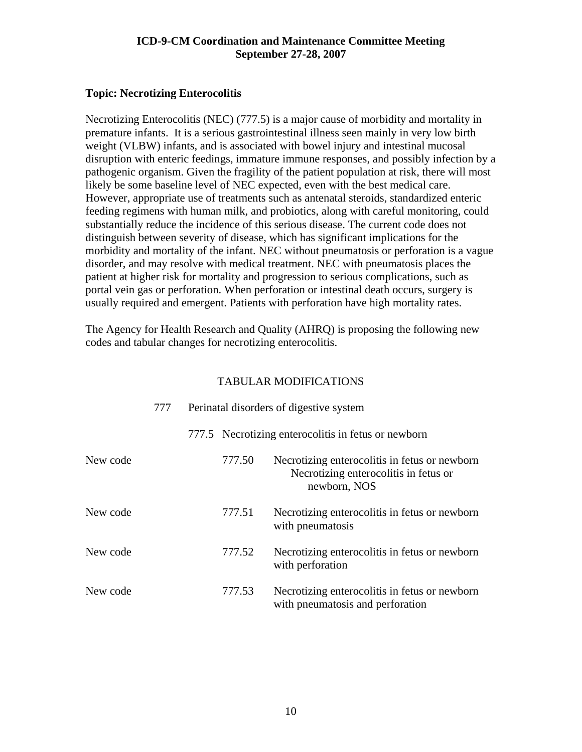#### <span id="page-9-0"></span>**Topic: Necrotizing Enterocolitis**

Necrotizing Enterocolitis (NEC) (777.5) is a major cause of morbidity and mortality in premature infants. It is a serious gastrointestinal illness seen mainly in very low birth weight (VLBW) infants, and is associated with bowel injury and intestinal mucosal disruption with enteric feedings, immature immune responses, and possibly infection by a pathogenic organism. Given the fragility of the patient population at risk, there will most likely be some baseline level of NEC expected, even with the best medical care. However, appropriate use of treatments such as antenatal steroids, standardized enteric feeding regimens with human milk, and probiotics, along with careful monitoring, could substantially reduce the incidence of this serious disease. The current code does not distinguish between severity of disease, which has significant implications for the morbidity and mortality of the infant. NEC without pneumatosis or perforation is a vague disorder, and may resolve with medical treatment. NEC with pneumatosis places the patient at higher risk for mortality and progression to serious complications, such as portal vein gas or perforation. When perforation or intestinal death occurs, surgery is usually required and emergent. Patients with perforation have high mortality rates.

The Agency for Health Research and Quality (AHRQ) is proposing the following new codes and tabular changes for necrotizing enterocolitis.

|          | 777 | Perinatal disorders of digestive system |        |                                                                                                        |
|----------|-----|-----------------------------------------|--------|--------------------------------------------------------------------------------------------------------|
|          |     |                                         |        | 777.5 Necrotizing enterocolitis in fetus or newborn                                                    |
| New code |     |                                         | 777.50 | Necrotizing enterocolitis in fetus or newborn<br>Necrotizing enterocolitis in fetus or<br>newborn, NOS |
| New code |     |                                         | 777.51 | Necrotizing enterocolitis in fetus or newborn<br>with pneumatosis                                      |
| New code |     |                                         | 777.52 | Necrotizing enterocolitis in fetus or newborn<br>with perforation                                      |
| New code |     |                                         | 777.53 | Necrotizing enterocolitis in fetus or newborn<br>with pneumatosis and perforation                      |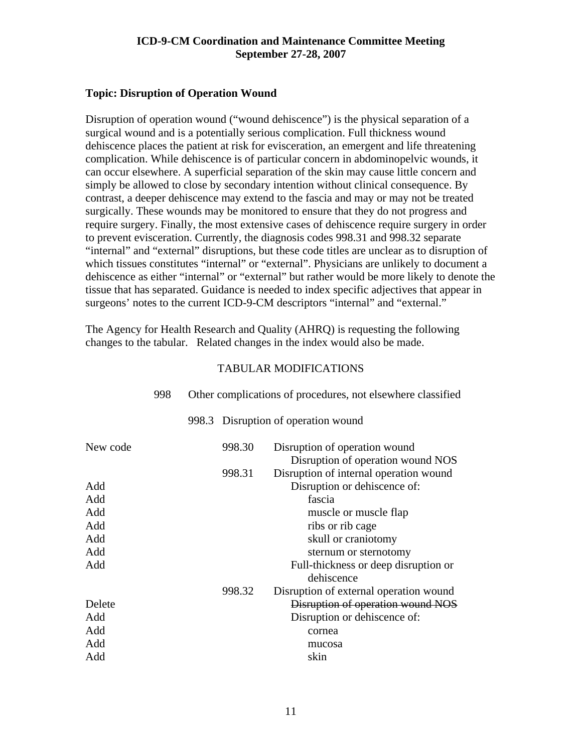#### <span id="page-10-0"></span>**Topic: Disruption of Operation Wound**

Disruption of operation wound ("wound dehiscence") is the physical separation of a surgical wound and is a potentially serious complication. Full thickness wound dehiscence places the patient at risk for evisceration, an emergent and life threatening complication. While dehiscence is of particular concern in abdominopelvic wounds, it can occur elsewhere. A superficial separation of the skin may cause little concern and simply be allowed to close by secondary intention without clinical consequence. By contrast, a deeper dehiscence may extend to the fascia and may or may not be treated surgically. These wounds may be monitored to ensure that they do not progress and require surgery. Finally, the most extensive cases of dehiscence require surgery in order to prevent evisceration. Currently, the diagnosis codes 998.31 and 998.32 separate "internal" and "external" disruptions, but these code titles are unclear as to disruption of which tissues constitutes "internal" or "external". Physicians are unlikely to document a dehiscence as either "internal" or "external" but rather would be more likely to denote the tissue that has separated. Guidance is needed to index specific adjectives that appear in surgeons' notes to the current ICD-9-CM descriptors "internal" and "external."

The Agency for Health Research and Quality (AHRQ) is requesting the following changes to the tabular. Related changes in the index would also be made.

|          | 998 | Other complications of procedures, not elsewhere classified |        |                                                                    |
|----------|-----|-------------------------------------------------------------|--------|--------------------------------------------------------------------|
|          |     |                                                             |        | 998.3 Disruption of operation wound                                |
| New code |     |                                                             | 998.30 | Disruption of operation wound<br>Disruption of operation wound NOS |
|          |     |                                                             | 998.31 | Disruption of internal operation wound                             |
| Add      |     |                                                             |        | Disruption or dehiscence of:                                       |
| Add      |     |                                                             |        | fascia                                                             |
| Add      |     |                                                             |        | muscle or muscle flap                                              |
| Add      |     |                                                             |        | ribs or rib cage                                                   |
| Add      |     |                                                             |        | skull or craniotomy                                                |
| Add      |     |                                                             |        | sternum or sternotomy                                              |
| Add      |     |                                                             |        | Full-thickness or deep disruption or<br>dehiscence                 |
|          |     |                                                             | 998.32 | Disruption of external operation wound                             |
| Delete   |     |                                                             |        | Disruption of operation wound NOS                                  |
| Add      |     |                                                             |        | Disruption or dehiscence of:                                       |
| Add      |     |                                                             |        | cornea                                                             |
| Add      |     |                                                             |        | mucosa                                                             |
| Add      |     |                                                             |        | skin                                                               |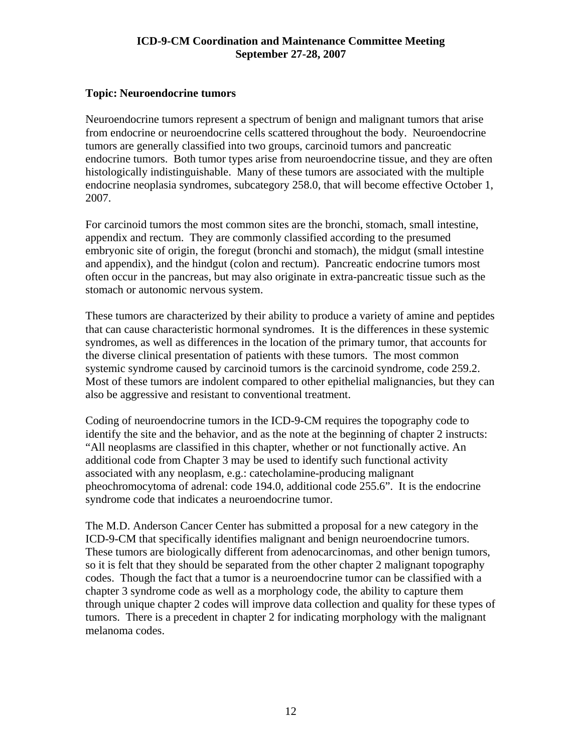#### <span id="page-11-0"></span>**Topic: Neuroendocrine tumors**

Neuroendocrine tumors represent a spectrum of benign and malignant tumors that arise from endocrine or neuroendocrine cells scattered throughout the body. Neuroendocrine tumors are generally classified into two groups, carcinoid tumors and pancreatic endocrine tumors. Both tumor types arise from neuroendocrine tissue, and they are often histologically indistinguishable. Many of these tumors are associated with the multiple endocrine neoplasia syndromes, subcategory 258.0, that will become effective October 1, 2007.

For carcinoid tumors the most common sites are the bronchi, stomach, small intestine, appendix and rectum. They are commonly classified according to the presumed embryonic site of origin, the foregut (bronchi and stomach), the midgut (small intestine and appendix), and the hindgut (colon and rectum). Pancreatic endocrine tumors most often occur in the pancreas, but may also originate in extra-pancreatic tissue such as the stomach or autonomic nervous system.

These tumors are characterized by their ability to produce a variety of amine and peptides that can cause characteristic hormonal syndromes. It is the differences in these systemic syndromes, as well as differences in the location of the primary tumor, that accounts for the diverse clinical presentation of patients with these tumors. The most common systemic syndrome caused by carcinoid tumors is the carcinoid syndrome, code 259.2. Most of these tumors are indolent compared to other epithelial malignancies, but they can also be aggressive and resistant to conventional treatment.

Coding of neuroendocrine tumors in the ICD-9-CM requires the topography code to identify the site and the behavior, and as the note at the beginning of chapter 2 instructs: "All neoplasms are classified in this chapter, whether or not functionally active. An additional code from Chapter 3 may be used to identify such functional activity associated with any neoplasm, e.g.: catecholamine-producing malignant pheochromocytoma of adrenal: code 194.0, additional code 255.6". It is the endocrine syndrome code that indicates a neuroendocrine tumor.

The M.D. Anderson Cancer Center has submitted a proposal for a new category in the ICD-9-CM that specifically identifies malignant and benign neuroendocrine tumors. These tumors are biologically different from adenocarcinomas, and other benign tumors, so it is felt that they should be separated from the other chapter 2 malignant topography codes. Though the fact that a tumor is a neuroendocrine tumor can be classified with a chapter 3 syndrome code as well as a morphology code, the ability to capture them through unique chapter 2 codes will improve data collection and quality for these types of tumors. There is a precedent in chapter 2 for indicating morphology with the malignant melanoma codes.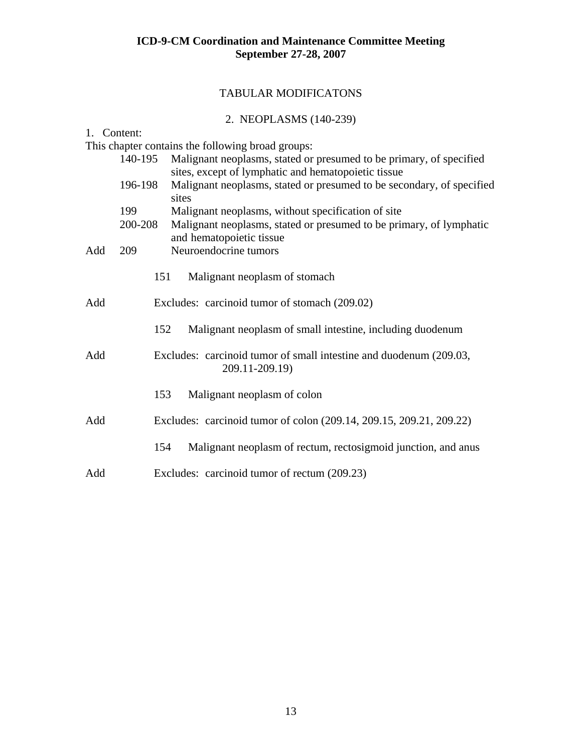### TABULAR MODIFICATONS

### 2. NEOPLASMS (140-239)

| 1. Content: |                                                                                           |                                                                                                                            |  |  |
|-------------|-------------------------------------------------------------------------------------------|----------------------------------------------------------------------------------------------------------------------------|--|--|
|             |                                                                                           | This chapter contains the following broad groups:                                                                          |  |  |
| 140-195     |                                                                                           | Malignant neoplasms, stated or presumed to be primary, of specified<br>sites, except of lymphatic and hematopoietic tissue |  |  |
|             | Malignant neoplasms, stated or presumed to be secondary, of specified<br>196-198<br>sites |                                                                                                                            |  |  |
|             | 199                                                                                       | Malignant neoplasms, without specification of site                                                                         |  |  |
|             | 200-208                                                                                   | Malignant neoplasms, stated or presumed to be primary, of lymphatic<br>and hematopoietic tissue                            |  |  |
| Add         | 209                                                                                       | Neuroendocrine tumors                                                                                                      |  |  |
|             | 151                                                                                       | Malignant neoplasm of stomach                                                                                              |  |  |
| Add         |                                                                                           | Excludes: carcinoid tumor of stomach (209.02)                                                                              |  |  |
|             | 152                                                                                       | Malignant neoplasm of small intestine, including duodenum                                                                  |  |  |
| Add         |                                                                                           | Excludes: carcinoid tumor of small intestine and duodenum (209.03,<br>209.11-209.19)                                       |  |  |
|             | 153                                                                                       | Malignant neoplasm of colon                                                                                                |  |  |
| Add         |                                                                                           | Excludes: carcinoid tumor of colon (209.14, 209.15, 209.21, 209.22)                                                        |  |  |
|             | 154                                                                                       | Malignant neoplasm of rectum, rectosigmoid junction, and anus                                                              |  |  |
| Add         |                                                                                           | Excludes: carcinoid tumor of rectum (209.23)                                                                               |  |  |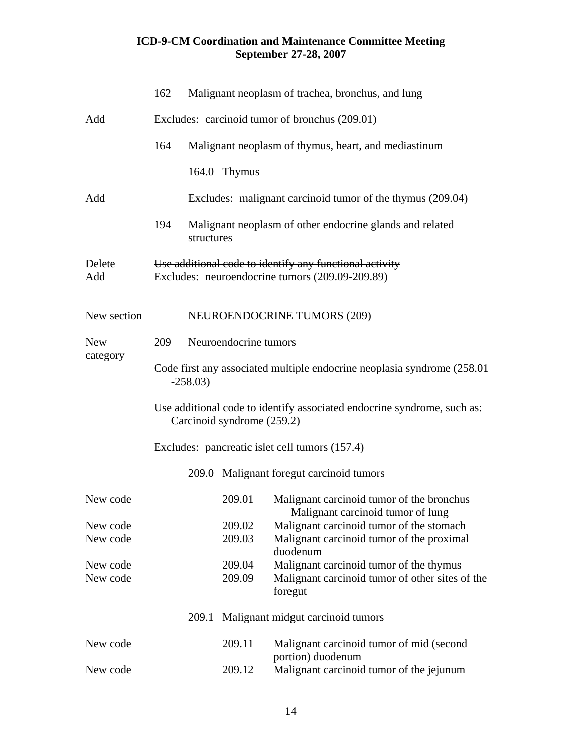|                        | 162                                                                                   |                                                                                                            |              | Malignant neoplasm of trachea, bronchus, and lung                              |  |  |  |  |
|------------------------|---------------------------------------------------------------------------------------|------------------------------------------------------------------------------------------------------------|--------------|--------------------------------------------------------------------------------|--|--|--|--|
| Add                    |                                                                                       | Excludes: carcinoid tumor of bronchus (209.01)                                                             |              |                                                                                |  |  |  |  |
|                        | 164                                                                                   |                                                                                                            |              | Malignant neoplasm of thymus, heart, and mediastinum                           |  |  |  |  |
|                        |                                                                                       |                                                                                                            | 164.0 Thymus |                                                                                |  |  |  |  |
| Add                    |                                                                                       |                                                                                                            |              | Excludes: malignant carcinoid tumor of the thymus (209.04)                     |  |  |  |  |
|                        | 194                                                                                   | structures                                                                                                 |              | Malignant neoplasm of other endocrine glands and related                       |  |  |  |  |
| Delete<br>Add          |                                                                                       | Use additional code to identify any functional activity<br>Excludes: neuroendocrine tumors (209.09-209.89) |              |                                                                                |  |  |  |  |
| New section            |                                                                                       |                                                                                                            |              | <b>NEUROENDOCRINE TUMORS (209)</b>                                             |  |  |  |  |
| <b>New</b><br>category | 209                                                                                   | Neuroendocrine tumors                                                                                      |              |                                                                                |  |  |  |  |
|                        | Code first any associated multiple endocrine neoplasia syndrome (258.01)<br>$-258.03$ |                                                                                                            |              |                                                                                |  |  |  |  |
|                        |                                                                                       | Use additional code to identify associated endocrine syndrome, such as:<br>Carcinoid syndrome (259.2)      |              |                                                                                |  |  |  |  |
|                        | Excludes: pancreatic islet cell tumors (157.4)                                        |                                                                                                            |              |                                                                                |  |  |  |  |
|                        |                                                                                       |                                                                                                            |              | 209.0 Malignant foregut carcinoid tumors                                       |  |  |  |  |
| New code               |                                                                                       |                                                                                                            | 209.01       | Malignant carcinoid tumor of the bronchus<br>Malignant carcinoid tumor of lung |  |  |  |  |
| New code               |                                                                                       |                                                                                                            | 209.02       | Malignant carcinoid tumor of the stomach                                       |  |  |  |  |
| New code               |                                                                                       |                                                                                                            | 209.03       | Malignant carcinoid tumor of the proximal<br>duodenum                          |  |  |  |  |
| New code               |                                                                                       |                                                                                                            | 209.04       | Malignant carcinoid tumor of the thymus                                        |  |  |  |  |
| New code               |                                                                                       |                                                                                                            | 209.09       | Malignant carcinoid tumor of other sites of the<br>foregut                     |  |  |  |  |
|                        |                                                                                       | 209.1                                                                                                      |              | Malignant midgut carcinoid tumors                                              |  |  |  |  |
| New code               |                                                                                       |                                                                                                            | 209.11       | Malignant carcinoid tumor of mid (second                                       |  |  |  |  |
| New code               |                                                                                       |                                                                                                            | 209.12       | portion) duodenum<br>Malignant carcinoid tumor of the jejunum                  |  |  |  |  |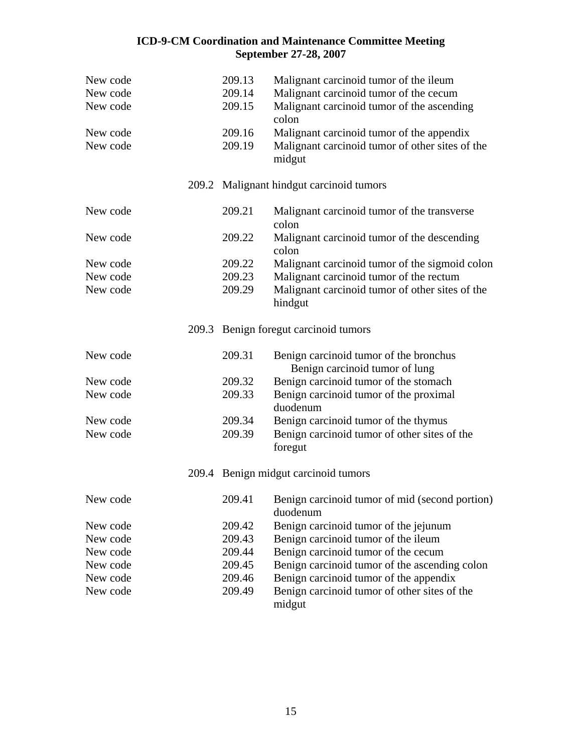| New code<br>New code<br>New code | 209.13<br>209.14<br>209.15 | Malignant carcinoid tumor of the ileum<br>Malignant carcinoid tumor of the cecum<br>Malignant carcinoid tumor of the ascending<br>colon |
|----------------------------------|----------------------------|-----------------------------------------------------------------------------------------------------------------------------------------|
| New code<br>New code             | 209.16<br>209.19           | Malignant carcinoid tumor of the appendix<br>Malignant carcinoid tumor of other sites of the<br>midgut                                  |
|                                  |                            | 209.2 Malignant hindgut carcinoid tumors                                                                                                |
| New code                         | 209.21                     | Malignant carcinoid tumor of the transverse<br>colon                                                                                    |
| New code                         | 209.22                     | Malignant carcinoid tumor of the descending<br>colon                                                                                    |
| New code                         | 209.22                     | Malignant carcinoid tumor of the sigmoid colon                                                                                          |
| New code                         | 209.23                     | Malignant carcinoid tumor of the rectum                                                                                                 |
| New code                         | 209.29                     | Malignant carcinoid tumor of other sites of the<br>hindgut                                                                              |
|                                  |                            | 209.3 Benign foregut carcinoid tumors                                                                                                   |
| New code                         | 209.31                     | Benign carcinoid tumor of the bronchus<br>Benign carcinoid tumor of lung                                                                |
| New code                         | 209.32                     | Benign carcinoid tumor of the stomach                                                                                                   |
| New code                         | 209.33                     | Benign carcinoid tumor of the proximal<br>duodenum                                                                                      |
| New code                         | 209.34                     | Benign carcinoid tumor of the thymus                                                                                                    |
| New code                         | 209.39                     | Benign carcinoid tumor of other sites of the<br>foregut                                                                                 |
|                                  |                            | 209.4 Benign midgut carcinoid tumors                                                                                                    |
| New code                         |                            | 209.41 Benign carcinoid tumor of mid (second portion)<br>duodenum                                                                       |
| New code                         | 209.42                     | Benign carcinoid tumor of the jejunum                                                                                                   |
| New code                         | 209.43                     | Benign carcinoid tumor of the ileum                                                                                                     |
| New code                         | 209.44                     | Benign carcinoid tumor of the cecum                                                                                                     |
| New code                         | 209.45                     | Benign carcinoid tumor of the ascending colon                                                                                           |
| New code                         | 209.46                     | Benign carcinoid tumor of the appendix                                                                                                  |
| New code                         | 209.49                     | Benign carcinoid tumor of other sites of the<br>midgut                                                                                  |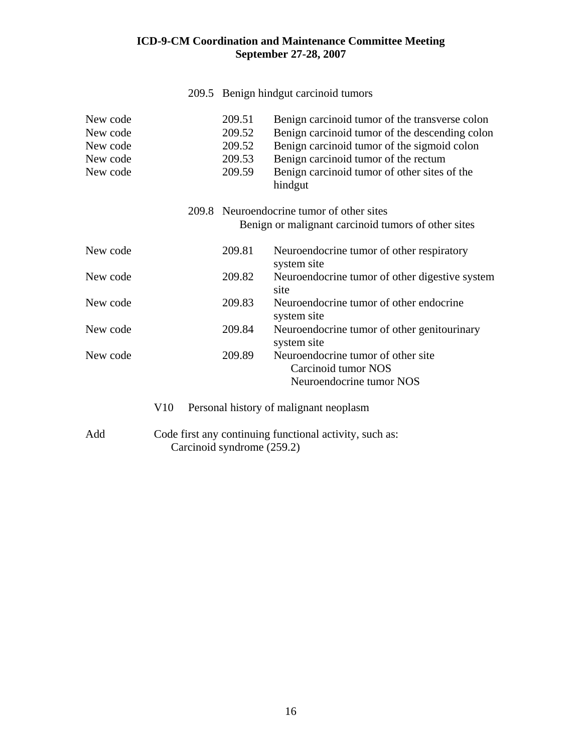|                                                          |     |                                                         |                                                | 209.5 Benign hindgut carcinoid tumors                                                                                                                                                                                                              |
|----------------------------------------------------------|-----|---------------------------------------------------------|------------------------------------------------|----------------------------------------------------------------------------------------------------------------------------------------------------------------------------------------------------------------------------------------------------|
| New code<br>New code<br>New code<br>New code<br>New code |     |                                                         | 209.51<br>209.52<br>209.52<br>209.53<br>209.59 | Benign carcinoid tumor of the transverse colon<br>Benign carcinoid tumor of the descending colon<br>Benign carcinoid tumor of the sigmoid colon<br>Benign carcinoid tumor of the rectum<br>Benign carcinoid tumor of other sites of the<br>hindgut |
|                                                          |     |                                                         |                                                | 209.8 Neuroendocrine tumor of other sites<br>Benign or malignant carcinoid tumors of other sites                                                                                                                                                   |
| New code                                                 |     |                                                         | 209.81                                         | Neuroendocrine tumor of other respiratory<br>system site                                                                                                                                                                                           |
| New code                                                 |     |                                                         | 209.82                                         | Neuroendocrine tumor of other digestive system<br>site                                                                                                                                                                                             |
| New code                                                 |     |                                                         | 209.83                                         | Neuroendocrine tumor of other endocrine<br>system site                                                                                                                                                                                             |
| New code                                                 |     |                                                         | 209.84                                         | Neuroendocrine tumor of other genitourinary<br>system site                                                                                                                                                                                         |
| New code                                                 |     |                                                         | 209.89                                         | Neuroendocrine tumor of other site.<br>Carcinoid tumor NOS<br>Neuroendocrine tumor NOS                                                                                                                                                             |
|                                                          | V10 |                                                         |                                                | Personal history of malignant neoplasm                                                                                                                                                                                                             |
| Add                                                      |     | Code first any continuing functional activity, such as: |                                                |                                                                                                                                                                                                                                                    |

Carcinoid syndrome (259.2)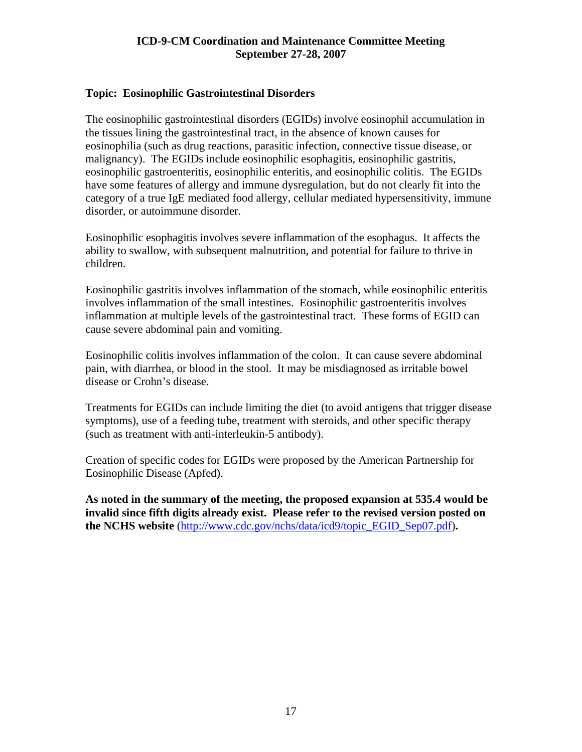#### <span id="page-16-0"></span>**Topic: Eosinophilic Gastrointestinal Disorders**

The eosinophilic gastrointestinal disorders (EGIDs) involve eosinophil accumulation in the tissues lining the gastrointestinal tract, in the absence of known causes for eosinophilia (such as drug reactions, parasitic infection, connective tissue disease, or malignancy). The EGIDs include eosinophilic esophagitis, eosinophilic gastritis, eosinophilic gastroenteritis, eosinophilic enteritis, and eosinophilic colitis. The EGIDs have some features of allergy and immune dysregulation, but do not clearly fit into the category of a true IgE mediated food allergy, cellular mediated hypersensitivity, immune disorder, or autoimmune disorder.

Eosinophilic esophagitis involves severe inflammation of the esophagus. It affects the ability to swallow, with subsequent malnutrition, and potential for failure to thrive in children.

Eosinophilic gastritis involves inflammation of the stomach, while eosinophilic enteritis involves inflammation of the small intestines. Eosinophilic gastroenteritis involves inflammation at multiple levels of the gastrointestinal tract. These forms of EGID can cause severe abdominal pain and vomiting.

Eosinophilic colitis involves inflammation of the colon. It can cause severe abdominal pain, with diarrhea, or blood in the stool. It may be misdiagnosed as irritable bowel disease or Crohn's disease.

Treatments for EGIDs can include limiting the diet (to avoid antigens that trigger disease symptoms), use of a feeding tube, treatment with steroids, and other specific therapy (such as treatment with anti-interleukin-5 antibody).

Creation of specific codes for EGIDs were proposed by the American Partnership for Eosinophilic Disease (Apfed).

**As noted in the summary of the meeting, the proposed expansion at 535.4 would be invalid since fifth digits already exist. Please refer to the revised version posted on the NCHS website** [\(http://www.cdc.gov/nchs/data/icd9/topic\\_EGID\\_Sep07.pdf](http://www.cdc.gov/nchs/data/icd9/topic_EGID_Sep07.pdf))**.**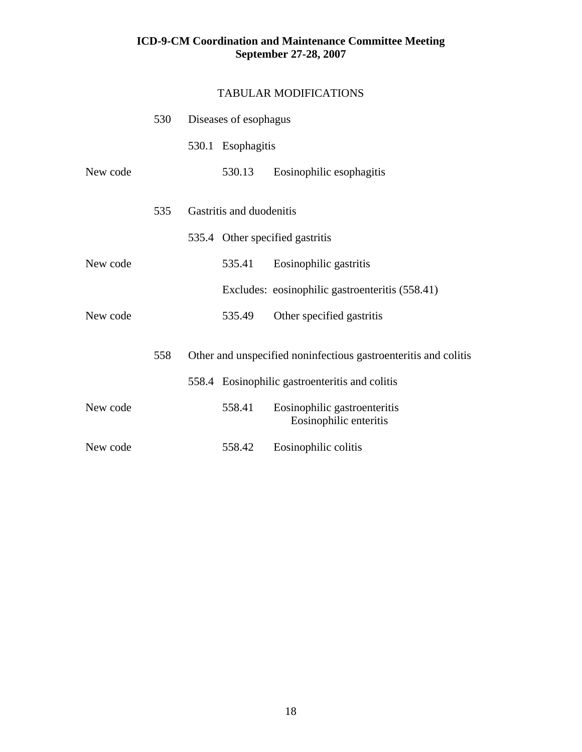|          | 530 | Diseases of esophagus    |                                                                 |  |
|----------|-----|--------------------------|-----------------------------------------------------------------|--|
|          |     | 530.1 Esophagitis        |                                                                 |  |
| New code |     | 530.13                   | Eosinophilic esophagitis                                        |  |
|          | 535 | Gastritis and duodenitis |                                                                 |  |
|          |     |                          | 535.4 Other specified gastritis                                 |  |
| New code |     | 535.41                   | Eosinophilic gastritis                                          |  |
|          |     |                          | Excludes: eosinophilic gastroenteritis (558.41)                 |  |
| New code |     | 535.49                   | Other specified gastritis                                       |  |
|          | 558 |                          | Other and unspecified noninfectious gastroenteritis and colitis |  |
|          |     |                          | 558.4 Eosinophilic gastroenteritis and colitis                  |  |
| New code |     | 558.41                   | Eosinophilic gastroenteritis<br>Eosinophilic enteritis          |  |
| New code |     | 558.42                   | Eosinophilic colitis                                            |  |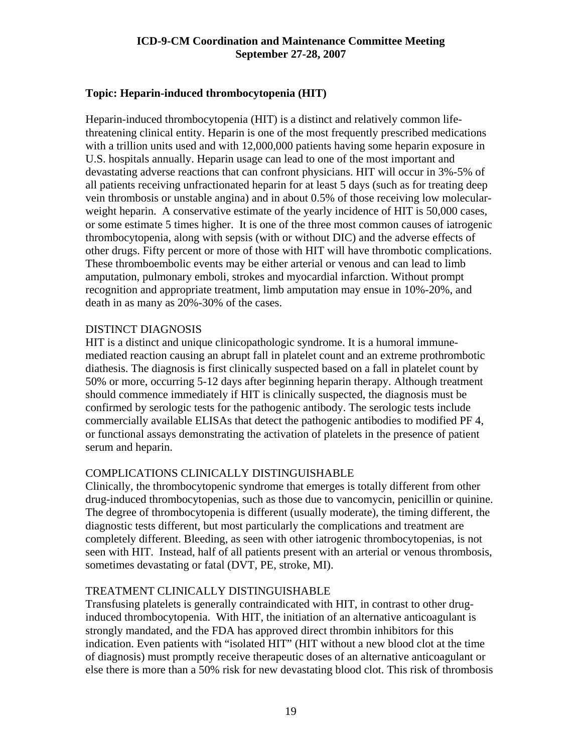#### <span id="page-18-0"></span>**Topic: Heparin-induced thrombocytopenia (HIT)**

Heparin-induced thrombocytopenia (HIT) is a distinct and relatively common lifethreatening clinical entity. Heparin is one of the most frequently prescribed medications with a trillion units used and with 12,000,000 patients having some heparin exposure in U.S. hospitals annually. Heparin usage can lead to one of the most important and devastating adverse reactions that can confront physicians. HIT will occur in 3%-5% of all patients receiving unfractionated heparin for at least 5 days (such as for treating deep vein thrombosis or unstable angina) and in about 0.5% of those receiving low molecularweight heparin. A conservative estimate of the yearly incidence of HIT is 50,000 cases, or some estimate 5 times higher. It is one of the three most common causes of iatrogenic thrombocytopenia, along with sepsis (with or without DIC) and the adverse effects of other drugs. Fifty percent or more of those with HIT will have thrombotic complications. These thromboembolic events may be either arterial or venous and can lead to limb amputation, pulmonary emboli, strokes and myocardial infarction. Without prompt recognition and appropriate treatment, limb amputation may ensue in 10%-20%, and death in as many as 20%-30% of the cases.

#### DISTINCT DIAGNOSIS

HIT is a distinct and unique clinicopathologic syndrome. It is a humoral immunemediated reaction causing an abrupt fall in platelet count and an extreme prothrombotic diathesis. The diagnosis is first clinically suspected based on a fall in platelet count by 50% or more, occurring 5-12 days after beginning heparin therapy. Although treatment should commence immediately if HIT is clinically suspected, the diagnosis must be confirmed by serologic tests for the pathogenic antibody. The serologic tests include commercially available ELISAs that detect the pathogenic antibodies to modified PF 4, or functional assays demonstrating the activation of platelets in the presence of patient serum and heparin.

#### COMPLICATIONS CLINICALLY DISTINGUISHABLE

Clinically, the thrombocytopenic syndrome that emerges is totally different from other drug-induced thrombocytopenias, such as those due to vancomycin, penicillin or quinine. The degree of thrombocytopenia is different (usually moderate), the timing different, the diagnostic tests different, but most particularly the complications and treatment are completely different. Bleeding, as seen with other iatrogenic thrombocytopenias, is not seen with HIT. Instead, half of all patients present with an arterial or venous thrombosis, sometimes devastating or fatal (DVT, PE, stroke, MI).

#### TREATMENT CLINICALLY DISTINGUISHABLE

Transfusing platelets is generally contraindicated with HIT, in contrast to other druginduced thrombocytopenia. With HIT, the initiation of an alternative anticoagulant is strongly mandated, and the FDA has approved direct thrombin inhibitors for this indication. Even patients with "isolated HIT" (HIT without a new blood clot at the time of diagnosis) must promptly receive therapeutic doses of an alternative anticoagulant or else there is more than a 50% risk for new devastating blood clot. This risk of thrombosis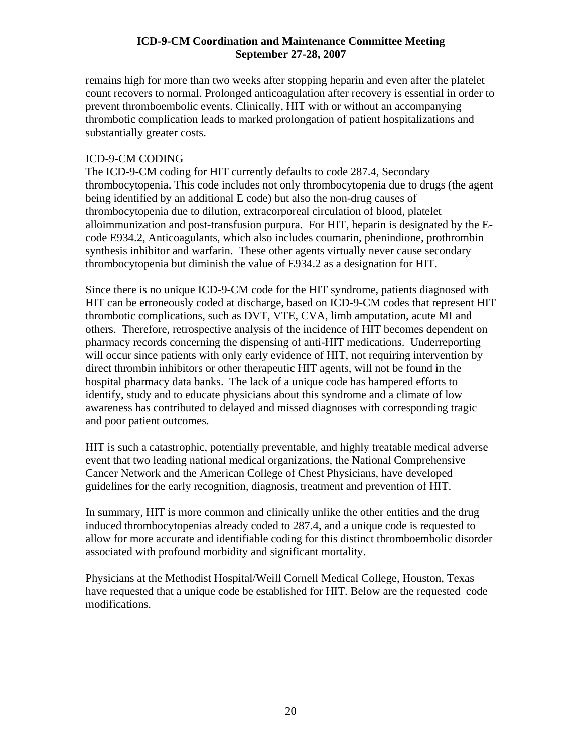remains high for more than two weeks after stopping heparin and even after the platelet count recovers to normal. Prolonged anticoagulation after recovery is essential in order to prevent thromboembolic events. Clinically, HIT with or without an accompanying thrombotic complication leads to marked prolongation of patient hospitalizations and substantially greater costs.

#### ICD-9-CM CODING

The ICD-9-CM coding for HIT currently defaults to code 287.4, Secondary thrombocytopenia. This code includes not only thrombocytopenia due to drugs (the agent being identified by an additional E code) but also the non-drug causes of thrombocytopenia due to dilution, extracorporeal circulation of blood, platelet alloimmunization and post-transfusion purpura. For HIT, heparin is designated by the Ecode E934.2, Anticoagulants, which also includes coumarin, phenindione, prothrombin synthesis inhibitor and warfarin. These other agents virtually never cause secondary thrombocytopenia but diminish the value of E934.2 as a designation for HIT.

Since there is no unique ICD-9-CM code for the HIT syndrome, patients diagnosed with HIT can be erroneously coded at discharge, based on ICD-9-CM codes that represent HIT thrombotic complications, such as DVT, VTE, CVA, limb amputation, acute MI and others. Therefore, retrospective analysis of the incidence of HIT becomes dependent on pharmacy records concerning the dispensing of anti-HIT medications. Underreporting will occur since patients with only early evidence of HIT, not requiring intervention by direct thrombin inhibitors or other therapeutic HIT agents, will not be found in the hospital pharmacy data banks. The lack of a unique code has hampered efforts to identify, study and to educate physicians about this syndrome and a climate of low awareness has contributed to delayed and missed diagnoses with corresponding tragic and poor patient outcomes.

HIT is such a catastrophic, potentially preventable, and highly treatable medical adverse event that two leading national medical organizations, the National Comprehensive Cancer Network and the American College of Chest Physicians, have developed guidelines for the early recognition, diagnosis, treatment and prevention of HIT.

In summary, HIT is more common and clinically unlike the other entities and the drug induced thrombocytopenias already coded to 287.4, and a unique code is requested to allow for more accurate and identifiable coding for this distinct thromboembolic disorder associated with profound morbidity and significant mortality.

Physicians at the Methodist Hospital/Weill Cornell Medical College, Houston, Texas have requested that a unique code be established for HIT. Below are the requested code modifications.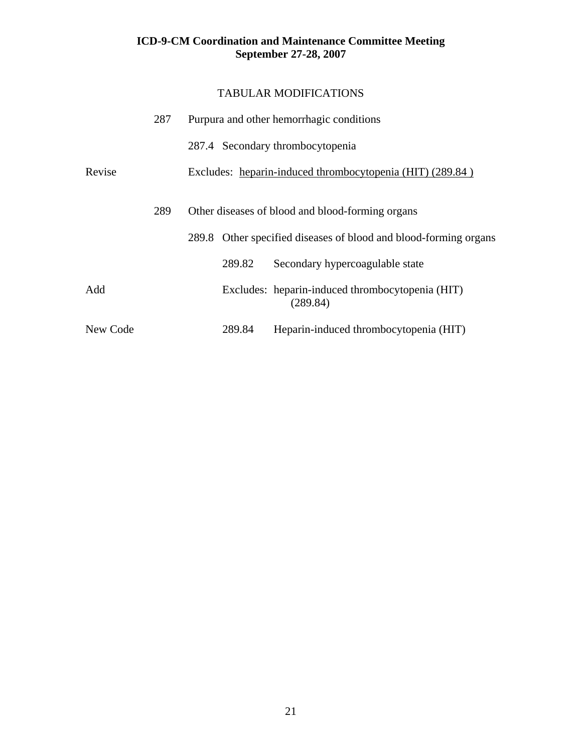|          | 287 |  |                                                           | Purpura and other hemorrhagic conditions                         |
|----------|-----|--|-----------------------------------------------------------|------------------------------------------------------------------|
|          |     |  |                                                           | 287.4 Secondary thrombocytopenia                                 |
| Revise   |     |  | Excludes: heparin-induced thrombocytopenia (HIT) (289.84) |                                                                  |
|          | 289 |  |                                                           | Other diseases of blood and blood-forming organs                 |
|          |     |  |                                                           | 289.8 Other specified diseases of blood and blood-forming organs |
|          |     |  | 289.82                                                    | Secondary hypercoagulable state                                  |
| Add      |     |  |                                                           | Excludes: heparin-induced thrombocytopenia (HIT)<br>(289.84)     |
| New Code |     |  | 289.84                                                    | Heparin-induced thrombocytopenia (HIT)                           |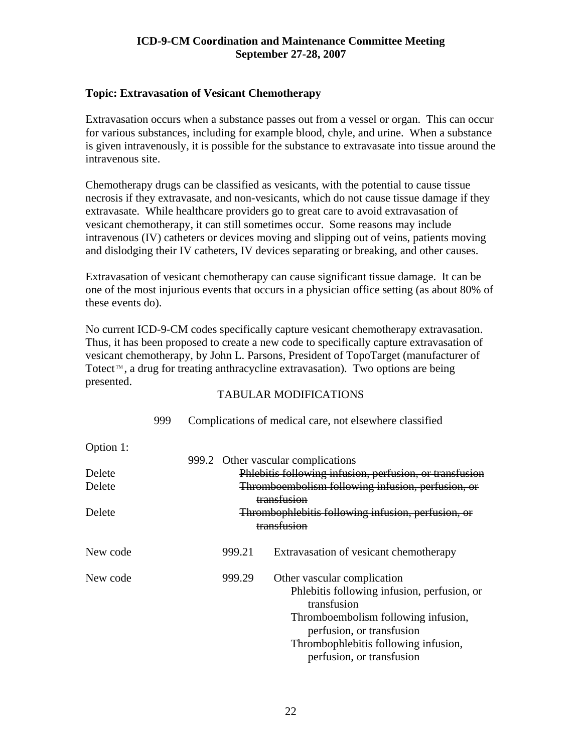#### <span id="page-21-0"></span>**Topic: Extravasation of Vesicant Chemotherapy**

Extravasation occurs when a substance passes out from a vessel or organ. This can occur for various substances, including for example blood, chyle, and urine. When a substance is given intravenously, it is possible for the substance to extravasate into tissue around the intravenous site.

Chemotherapy drugs can be classified as vesicants, with the potential to cause tissue necrosis if they extravasate, and non-vesicants, which do not cause tissue damage if they extravasate. While healthcare providers go to great care to avoid extravasation of vesicant chemotherapy, it can still sometimes occur. Some reasons may include intravenous (IV) catheters or devices moving and slipping out of veins, patients moving and dislodging their IV catheters, IV devices separating or breaking, and other causes.

Extravasation of vesicant chemotherapy can cause significant tissue damage. It can be one of the most injurious events that occurs in a physician office setting (as about 80% of these events do).

No current ICD-9-CM codes specifically capture vesicant chemotherapy extravasation. Thus, it has been proposed to create a new code to specifically capture extravasation of vesicant chemotherapy, by John L. Parsons, President of TopoTarget (manufacturer of Totect<sup> $m$ </sup>, a drug for treating anthracycline extravasation). Two options are being presented.

|           | 999 | Complications of medical care, not elsewhere classified |        |                                                         |
|-----------|-----|---------------------------------------------------------|--------|---------------------------------------------------------|
| Option 1: |     |                                                         |        |                                                         |
|           |     |                                                         |        | 999.2 Other vascular complications                      |
| Delete    |     |                                                         |        | Phlebitis following infusion, perfusion, or transfusion |
| Delete    |     |                                                         |        | Thromboembolism following infusion, perfusion, or       |
|           |     |                                                         |        | transfusion                                             |
| Delete    |     |                                                         |        | Thrombophlebitis following infusion, perfusion, or      |
|           |     |                                                         |        | transfusion                                             |
| New code  |     |                                                         | 999.21 | Extravasation of vesicant chemotherapy                  |
| New code  |     |                                                         | 999.29 | Other vascular complication                             |
|           |     |                                                         |        | Phlebitis following infusion, perfusion, or             |
|           |     |                                                         |        | transfusion                                             |
|           |     |                                                         |        | Thromboembolism following infusion,                     |
|           |     |                                                         |        | perfusion, or transfusion                               |
|           |     |                                                         |        | Thrombophlebitis following infusion,                    |
|           |     |                                                         |        | perfusion, or transfusion                               |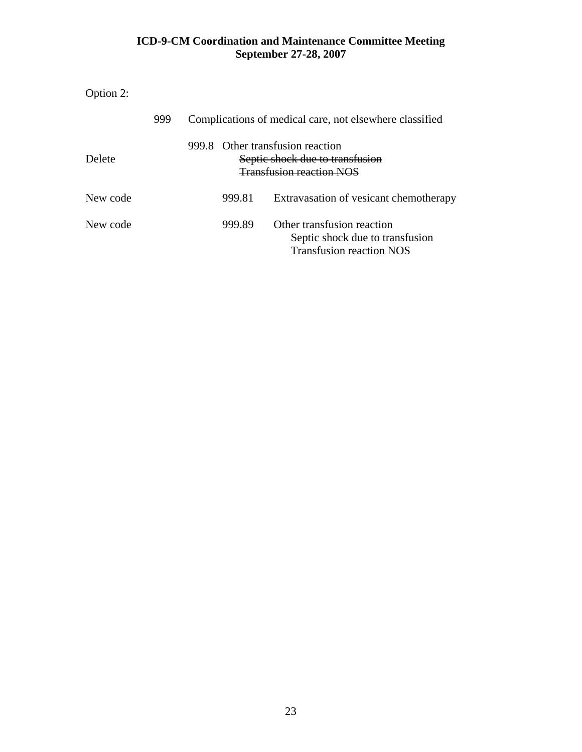Option 2:

|          | 999 | Complications of medical care, not elsewhere classified |        |                                                                                                  |
|----------|-----|---------------------------------------------------------|--------|--------------------------------------------------------------------------------------------------|
| Delete   |     | 999.8                                                   |        | Other transfusion reaction<br>Septic shock due to transfusion<br><b>Transfusion reaction NOS</b> |
| New code |     |                                                         | 999.81 | Extravasation of vesicant chemotherapy                                                           |
| New code |     |                                                         | 999.89 | Other transfusion reaction<br>Septic shock due to transfusion<br><b>Transfusion reaction NOS</b> |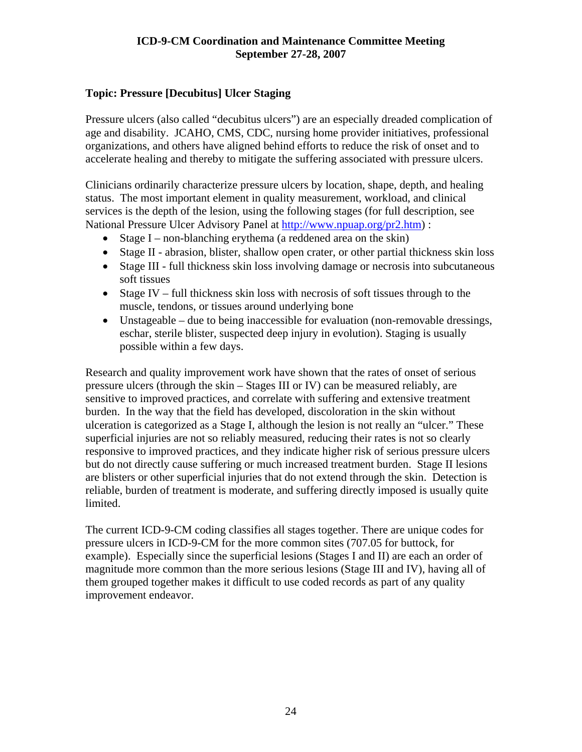#### <span id="page-23-0"></span>**Topic: Pressure [Decubitus] Ulcer Staging**

Pressure ulcers (also called "decubitus ulcers") are an especially dreaded complication of age and disability. JCAHO, CMS, CDC, nursing home provider initiatives, professional organizations, and others have aligned behind efforts to reduce the risk of onset and to accelerate healing and thereby to mitigate the suffering associated with pressure ulcers.

Clinicians ordinarily characterize pressure ulcers by location, shape, depth, and healing status. The most important element in quality measurement, workload, and clinical services is the depth of the lesion, using the following stages (for full description, see National Pressure Ulcer Advisory Panel at [http://www.npuap.org/pr2.htm\)](http://www.npuap.org/pr2.htm) :

- Stage I non-blanching erythema (a reddened area on the skin)
- Stage II abrasion, blister, shallow open crater, or other partial thickness skin loss
- Stage III full thickness skin loss involving damage or necrosis into subcutaneous soft tissues
- Stage IV full thickness skin loss with necrosis of soft tissues through to the muscle, tendons, or tissues around underlying bone
- Unstageable due to being inaccessible for evaluation (non-removable dressings, eschar, sterile blister, suspected deep injury in evolution). Staging is usually possible within a few days.

Research and quality improvement work have shown that the rates of onset of serious pressure ulcers (through the skin – Stages III or IV) can be measured reliably, are sensitive to improved practices, and correlate with suffering and extensive treatment burden. In the way that the field has developed, discoloration in the skin without ulceration is categorized as a Stage I, although the lesion is not really an "ulcer." These superficial injuries are not so reliably measured, reducing their rates is not so clearly responsive to improved practices, and they indicate higher risk of serious pressure ulcers but do not directly cause suffering or much increased treatment burden. Stage II lesions are blisters or other superficial injuries that do not extend through the skin. Detection is reliable, burden of treatment is moderate, and suffering directly imposed is usually quite limited.

The current ICD-9-CM coding classifies all stages together. There are unique codes for pressure ulcers in ICD-9-CM for the more common sites (707.05 for buttock, for example). Especially since the superficial lesions (Stages I and II) are each an order of magnitude more common than the more serious lesions (Stage III and IV), having all of them grouped together makes it difficult to use coded records as part of any quality improvement endeavor.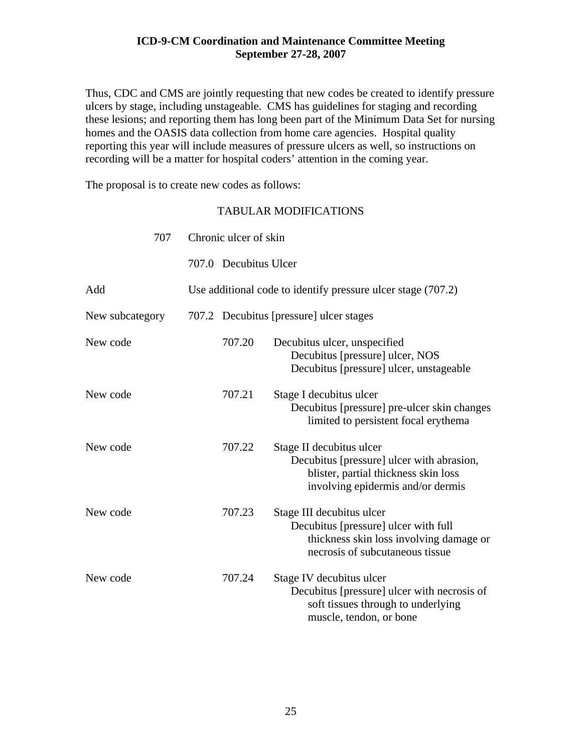Thus, CDC and CMS are jointly requesting that new codes be created to identify pressure ulcers by stage, including unstageable. CMS has guidelines for staging and recording these lesions; and reporting them has long been part of the Minimum Data Set for nursing homes and the OASIS data collection from home care agencies. Hospital quality reporting this year will include measures of pressure ulcers as well, so instructions on recording will be a matter for hospital coders' attention in the coming year.

The proposal is to create new codes as follows:

| 707             | Chronic ulcer of skin |                       |                                                                                                                                                    |
|-----------------|-----------------------|-----------------------|----------------------------------------------------------------------------------------------------------------------------------------------------|
|                 |                       | 707.0 Decubitus Ulcer |                                                                                                                                                    |
| Add             |                       |                       | Use additional code to identify pressure ulcer stage (707.2)                                                                                       |
| New subcategory |                       |                       | 707.2 Decubitus [pressure] ulcer stages                                                                                                            |
| New code        |                       | 707.20                | Decubitus ulcer, unspecified<br>Decubitus [pressure] ulcer, NOS<br>Decubitus [pressure] ulcer, unstageable                                         |
| New code        |                       | 707.21                | Stage I decubitus ulcer<br>Decubitus [pressure] pre-ulcer skin changes<br>limited to persistent focal erythema                                     |
| New code        |                       | 707.22                | Stage II decubitus ulcer<br>Decubitus [pressure] ulcer with abrasion,<br>blister, partial thickness skin loss<br>involving epidermis and/or dermis |
| New code        |                       | 707.23                | Stage III decubitus ulcer<br>Decubitus [pressure] ulcer with full<br>thickness skin loss involving damage or<br>necrosis of subcutaneous tissue    |
| New code        |                       | 707.24                | Stage IV decubitus ulcer<br>Decubitus [pressure] ulcer with necrosis of<br>soft tissues through to underlying<br>muscle, tendon, or bone           |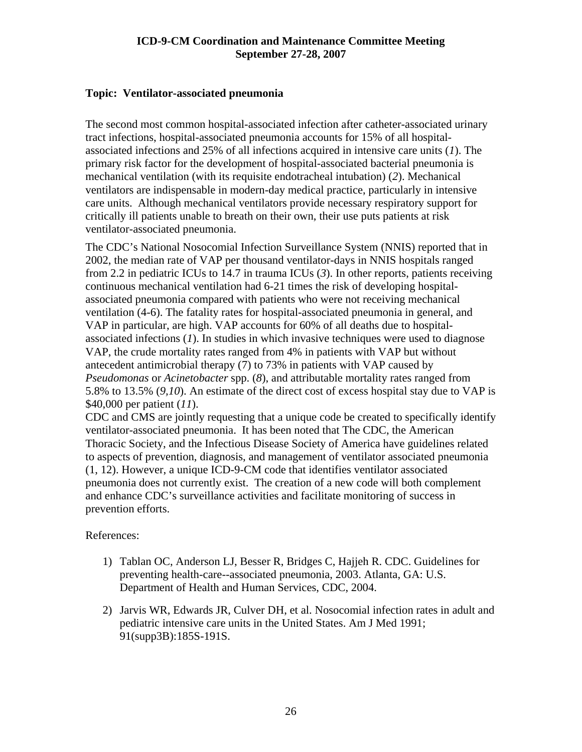#### <span id="page-25-0"></span>**Topic: Ventilator-associated pneumonia**

The second most common hospital-associated infection after catheter-associated urinary tract infections, hospital-associated pneumonia accounts for 15% of all hospitalassociated infections and 25% of all infections acquired in intensive care units (*1*). The primary risk factor for the development of hospital-associated bacterial pneumonia is mechanical ventilation (with its requisite endotracheal intubation) (*2*). Mechanical ventilators are indispensable in modern-day medical practice, particularly in intensive care units. Although mechanical ventilators provide necessary respiratory support for critically ill patients unable to breath on their own, their use puts patients at risk ventilator-associated pneumonia.

The CDC's National Nosocomial Infection Surveillance System (NNIS) reported that in 2002, the median rate of VAP per thousand ventilator-days in NNIS hospitals ranged from 2.2 in pediatric ICUs to 14.7 in trauma ICUs (*3*). In other reports, patients receiving continuous mechanical ventilation had 6-21 times the risk of developing hospitalassociated pneumonia compared with patients who were not receiving mechanical ventilation (4-6). The fatality rates for hospital-associated pneumonia in general, and VAP in particular, are high. VAP accounts for 60% of all deaths due to hospitalassociated infections (*1*). In studies in which invasive techniques were used to diagnose VAP, the crude mortality rates ranged from 4% in patients with VAP but without antecedent antimicrobial therapy (7) to 73% in patients with VAP caused by *Pseudomonas* or *Acinetobacter* spp. (*8*), and attributable mortality rates ranged from 5.8% to 13.5% (*9,10*). An estimate of the direct cost of excess hospital stay due to VAP is \$40,000 per patient (*11*).

CDC and CMS are jointly requesting that a unique code be created to specifically identify ventilator-associated pneumonia. It has been noted that The CDC, the American Thoracic Society, and the Infectious Disease Society of America have guidelines related to aspects of prevention, diagnosis, and management of ventilator associated pneumonia (1, 12). However, a unique ICD-9-CM code that identifies ventilator associated pneumonia does not currently exist. The creation of a new code will both complement and enhance CDC's surveillance activities and facilitate monitoring of success in prevention efforts.

#### References:

- 1) Tablan OC, Anderson LJ, Besser R, Bridges C, Hajjeh R. CDC. Guidelines for preventing health-care--associated pneumonia, 2003. Atlanta, GA: U.S. Department of Health and Human Services, CDC, 2004.
- 2) Jarvis WR, Edwards JR, Culver DH, et al. Nosocomial infection rates in adult and pediatric intensive care units in the United States. Am J Med 1991; 91(supp3B):185S-191S.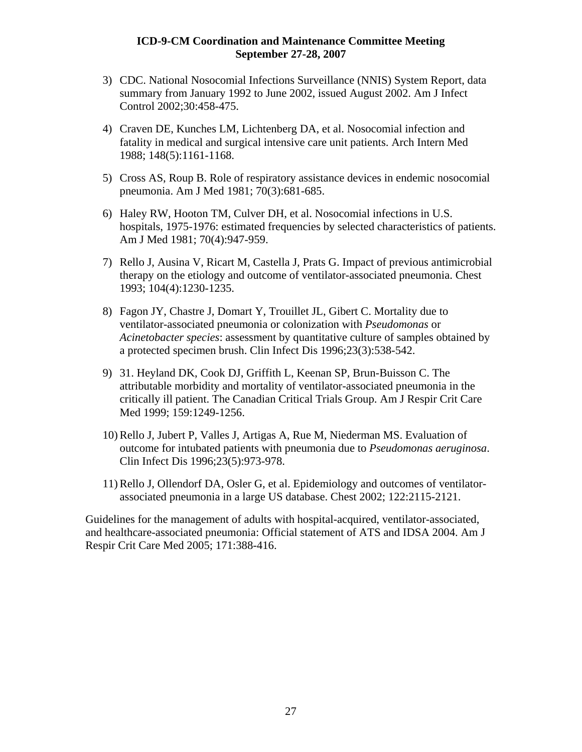- 3) CDC. National Nosocomial Infections Surveillance (NNIS) System Report, data summary from January 1992 to June 2002, issued August 2002. Am J Infect Control 2002;30:458-475.
- 4) Craven DE, Kunches LM, Lichtenberg DA, et al. Nosocomial infection and fatality in medical and surgical intensive care unit patients. Arch Intern Med 1988; 148(5):1161-1168.
- 5) Cross AS, Roup B. Role of respiratory assistance devices in endemic nosocomial pneumonia. Am J Med 1981; 70(3):681-685.
- 6) Haley RW, Hooton TM, Culver DH, et al. Nosocomial infections in U.S. hospitals, 1975-1976: estimated frequencies by selected characteristics of patients. Am J Med 1981; 70(4):947-959.
- 7) Rello J, Ausina V, Ricart M, Castella J, Prats G. Impact of previous antimicrobial therapy on the etiology and outcome of ventilator-associated pneumonia. Chest 1993; 104(4):1230-1235.
- 8) Fagon JY, Chastre J, Domart Y, Trouillet JL, Gibert C. Mortality due to ventilator-associated pneumonia or colonization with *Pseudomonas* or *Acinetobacter species*: assessment by quantitative culture of samples obtained by a protected specimen brush. Clin Infect Dis 1996;23(3):538-542.
- 9) 31. Heyland DK, Cook DJ, Griffith L, Keenan SP, Brun-Buisson C. The attributable morbidity and mortality of ventilator-associated pneumonia in the critically ill patient. The Canadian Critical Trials Group. Am J Respir Crit Care Med 1999; 159:1249-1256.
- 10) Rello J, Jubert P, Valles J, Artigas A, Rue M, Niederman MS. Evaluation of outcome for intubated patients with pneumonia due to *Pseudomonas aeruginosa*. Clin Infect Dis 1996;23(5):973-978.
- 11) Rello J, Ollendorf DA, Osler G, et al. Epidemiology and outcomes of ventilatorassociated pneumonia in a large US database. Chest 2002; 122:2115-2121.

Guidelines for the management of adults with hospital-acquired, ventilator-associated, and healthcare-associated pneumonia: Official statement of ATS and IDSA 2004. Am J Respir Crit Care Med 2005; 171:388-416.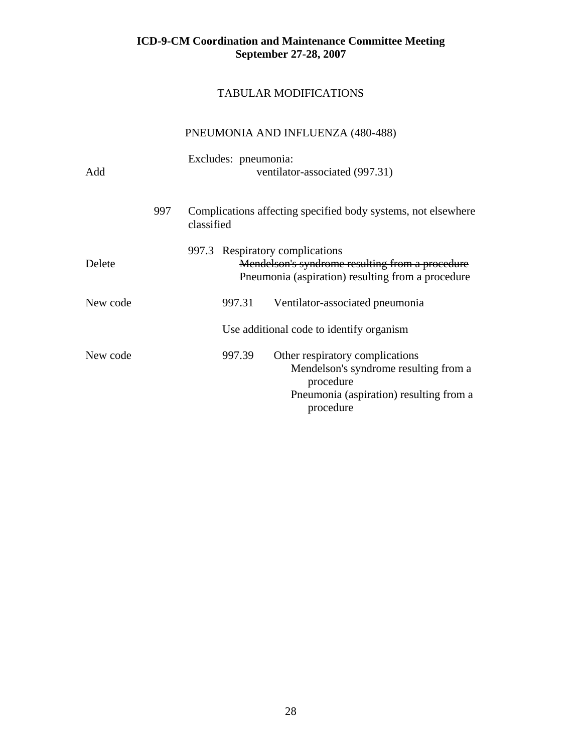## TABULAR MODIFICATIONS

## PNEUMONIA AND INFLUENZA (480-488)

| Add      |     | Excludes: pneumonia:<br>ventilator-associated (997.31) |        |                                                                                                                                               |  |  |
|----------|-----|--------------------------------------------------------|--------|-----------------------------------------------------------------------------------------------------------------------------------------------|--|--|
|          | 997 | classified                                             |        | Complications affecting specified body systems, not elsewhere                                                                                 |  |  |
| Delete   |     |                                                        |        | 997.3 Respiratory complications<br>Mendelson's syndrome resulting from a procedure<br>Pneumonia (aspiration) resulting from a procedure       |  |  |
| New code |     |                                                        | 997.31 | Ventilator-associated pneumonia                                                                                                               |  |  |
|          |     |                                                        |        | Use additional code to identify organism                                                                                                      |  |  |
| New code |     |                                                        | 997.39 | Other respiratory complications<br>Mendelson's syndrome resulting from a<br>procedure<br>Pneumonia (aspiration) resulting from a<br>procedure |  |  |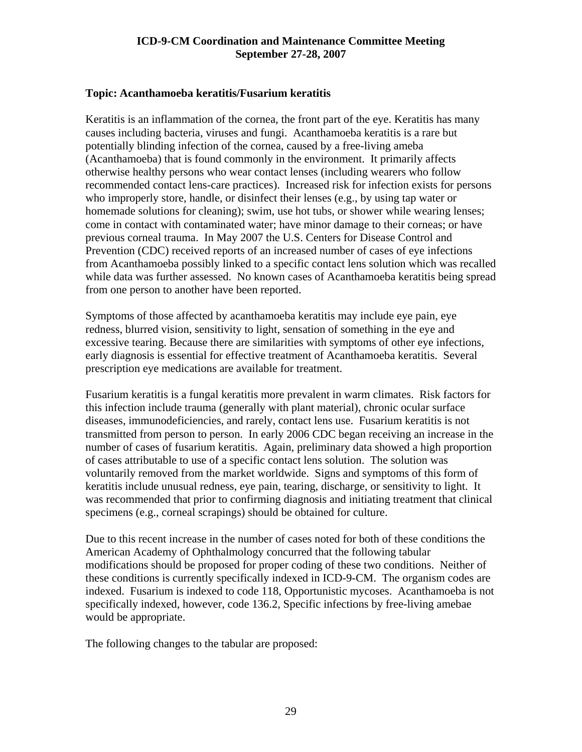#### <span id="page-28-0"></span>**Topic: Acanthamoeba keratitis/Fusarium keratitis**

Keratitis is an inflammation of the cornea, the front part of the eye. Keratitis has many causes including bacteria, viruses and fungi. Acanthamoeba keratitis is a rare but potentially blinding infection of the cornea, caused by a free-living ameba (Acanthamoeba) that is found commonly in the environment. It primarily affects otherwise healthy persons who wear contact lenses (including wearers who follow recommended contact lens-care practices). Increased risk for infection exists for persons who improperly store, handle, or disinfect their lenses (e.g., by using tap water or homemade solutions for cleaning); swim, use hot tubs, or shower while wearing lenses; come in contact with contaminated water; have minor damage to their corneas; or have previous corneal trauma. In May 2007 the U.S. Centers for Disease Control and Prevention (CDC) received reports of an increased number of cases of eye infections from Acanthamoeba possibly linked to a specific contact lens solution which was recalled while data was further assessed. No known cases of Acanthamoeba keratitis being spread from one person to another have been reported.

Symptoms of those affected by acanthamoeba keratitis may include eye pain, eye redness, blurred vision, sensitivity to light, sensation of something in the eye and excessive tearing. Because there are similarities with symptoms of other eye infections, early diagnosis is essential for effective treatment of Acanthamoeba keratitis. Several prescription eye medications are available for treatment.

Fusarium keratitis is a fungal keratitis more prevalent in warm climates. Risk factors for this infection include trauma (generally with plant material), chronic ocular surface diseases, immunodeficiencies, and rarely, contact lens use. Fusarium keratitis is not transmitted from person to person. In early 2006 CDC began receiving an increase in the number of cases of fusarium keratitis. Again, preliminary data showed a high proportion of cases attributable to use of a specific contact lens solution. The solution was voluntarily removed from the market worldwide. Signs and symptoms of this form of keratitis include unusual redness, eye pain, tearing, discharge, or sensitivity to light. It was recommended that prior to confirming diagnosis and initiating treatment that clinical specimens (e.g., corneal scrapings) should be obtained for culture.

Due to this recent increase in the number of cases noted for both of these conditions the American Academy of Ophthalmology concurred that the following tabular modifications should be proposed for proper coding of these two conditions. Neither of these conditions is currently specifically indexed in ICD-9-CM. The organism codes are indexed. Fusarium is indexed to code 118, Opportunistic mycoses. Acanthamoeba is not specifically indexed, however, code 136.2, Specific infections by free-living amebae would be appropriate.

The following changes to the tabular are proposed: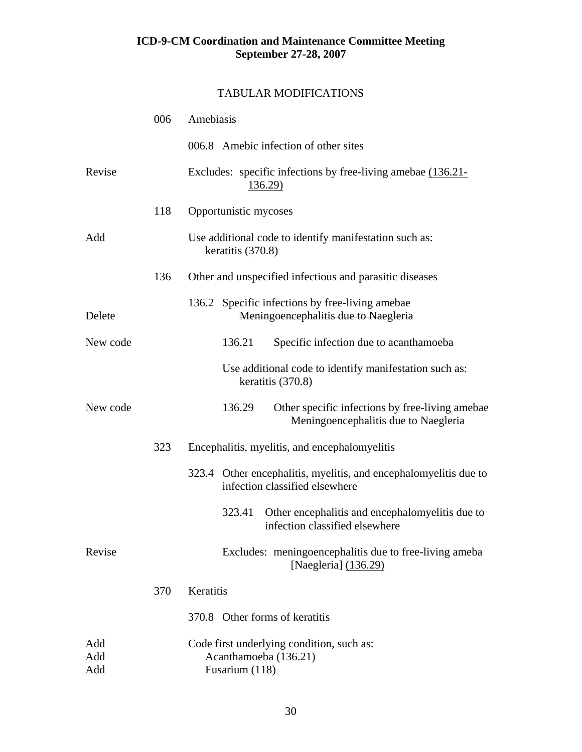|                   | 006 | Amebiasis                                                                                          |
|-------------------|-----|----------------------------------------------------------------------------------------------------|
|                   |     | 006.8 Amebic infection of other sites                                                              |
| Revise            |     | Excludes: specific infections by free-living amebae (136.21-<br>136.29)                            |
|                   | 118 | Opportunistic mycoses                                                                              |
| Add               |     | Use additional code to identify manifestation such as:<br>keratitis (370.8)                        |
|                   | 136 | Other and unspecified infectious and parasitic diseases                                            |
| Delete            |     | 136.2 Specific infections by free-living amebae<br>Meningoencephalitis due to Naegleria            |
| New code          |     | 136.21<br>Specific infection due to acanthamoeba                                                   |
|                   |     | Use additional code to identify manifestation such as:<br>keratitis (370.8)                        |
| New code          |     | 136.29<br>Other specific infections by free-living amebae<br>Meningoencephalitis due to Naegleria  |
|                   | 323 | Encephalitis, myelitis, and encephalomyelitis                                                      |
|                   |     | 323.4 Other encephalitis, myelitis, and encephalomyelitis due to<br>infection classified elsewhere |
|                   |     | Other encephalitis and encephalomyelitis due to<br>323.41<br>infection classified elsewhere        |
| Revise            |     | Excludes: meningoencephalitis due to free-living ameba<br>[Naegleria] (136.29)                     |
|                   | 370 | Keratitis                                                                                          |
|                   |     | 370.8 Other forms of keratitis                                                                     |
| Add<br>Add<br>Add |     | Code first underlying condition, such as:<br>Acanthamoeba (136.21)<br>Fusarium (118)               |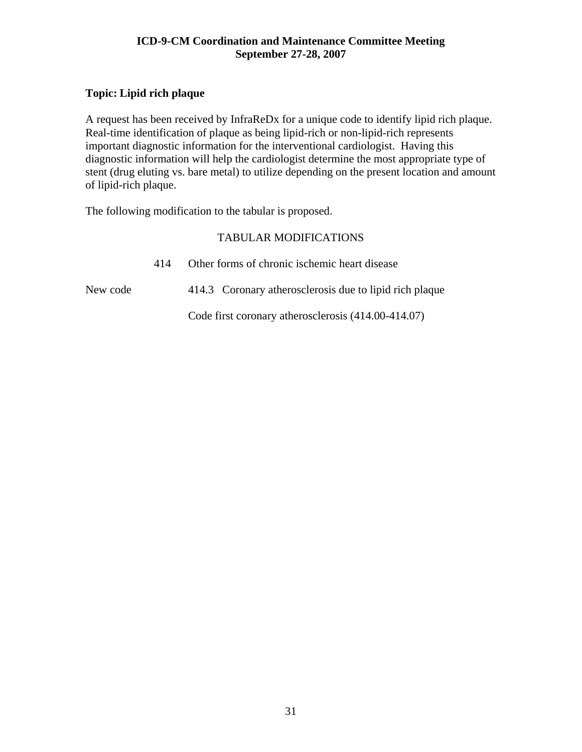### <span id="page-30-0"></span>**Topic: Lipid rich plaque**

A request has been received by InfraReDx for a unique code to identify lipid rich plaque. Real-time identification of plaque as being lipid-rich or non-lipid-rich represents important diagnostic information for the interventional cardiologist. Having this diagnostic information will help the cardiologist determine the most appropriate type of stent (drug eluting vs. bare metal) to utilize depending on the present location and amount of lipid-rich plaque.

The following modification to the tabular is proposed.

|          | 414 | Other forms of chronic ischemic heart disease           |  |  |
|----------|-----|---------------------------------------------------------|--|--|
| New code |     | 414.3 Coronary atherosclerosis due to lipid rich plaque |  |  |
|          |     | Code first coronary atherosclerosis (414.00-414.07)     |  |  |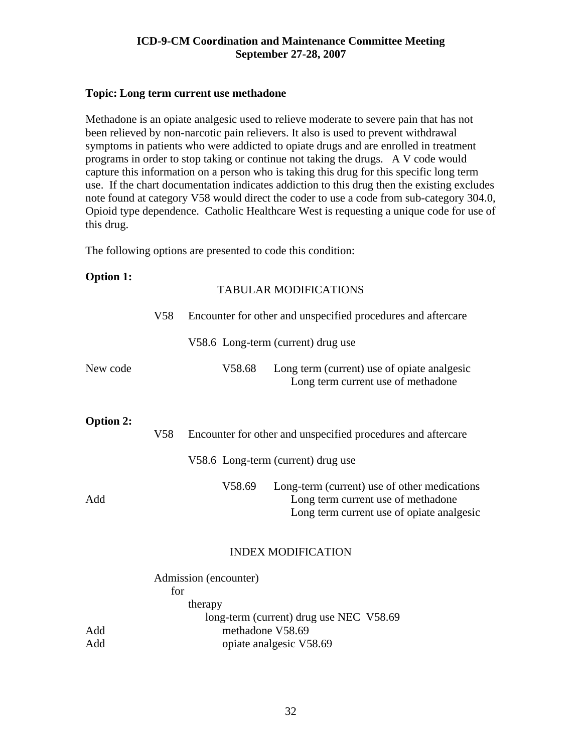#### <span id="page-31-0"></span>**Topic: Long term current use methadone**

Methadone is an opiate analgesic used to relieve moderate to severe pain that has not been relieved by non-narcotic pain relievers. It also is used to prevent withdrawal symptoms in patients who were addicted to opiate drugs and are enrolled in treatment programs in order to stop taking or continue not taking the drugs. A V code would capture this information on a person who is taking this drug for this specific long term use. If the chart documentation indicates addiction to this drug then the existing excludes note found at category V58 would direct the coder to use a code from sub-category 304.0, Opioid type dependence. Catholic Healthcare West is requesting a unique code for use of this drug.

The following options are presented to code this condition:

| <b>Option 1:</b> |                       |         | <b>TABULAR MODIFICATIONS</b>                                                                                                    |  |  |  |
|------------------|-----------------------|---------|---------------------------------------------------------------------------------------------------------------------------------|--|--|--|
|                  | V <sub>58</sub>       |         | Encounter for other and unspecified procedures and aftercare                                                                    |  |  |  |
|                  |                       |         | V58.6 Long-term (current) drug use                                                                                              |  |  |  |
| New code         |                       | V58.68  | Long term (current) use of opiate analgesic<br>Long term current use of methadone                                               |  |  |  |
| <b>Option 2:</b> | V <sub>58</sub>       |         | Encounter for other and unspecified procedures and aftercare                                                                    |  |  |  |
|                  |                       |         | V58.6 Long-term (current) drug use                                                                                              |  |  |  |
| Add              |                       | V58.69  | Long-term (current) use of other medications<br>Long term current use of methadone<br>Long term current use of opiate analgesic |  |  |  |
|                  |                       |         | <b>INDEX MODIFICATION</b>                                                                                                       |  |  |  |
|                  | Admission (encounter) |         |                                                                                                                                 |  |  |  |
|                  | for                   |         |                                                                                                                                 |  |  |  |
|                  |                       | therapy |                                                                                                                                 |  |  |  |
|                  |                       |         | long-term (current) drug use NEC V58.69                                                                                         |  |  |  |
| Add              |                       |         | methadone V58.69                                                                                                                |  |  |  |
| Add              |                       |         | opiate analgesic V58.69                                                                                                         |  |  |  |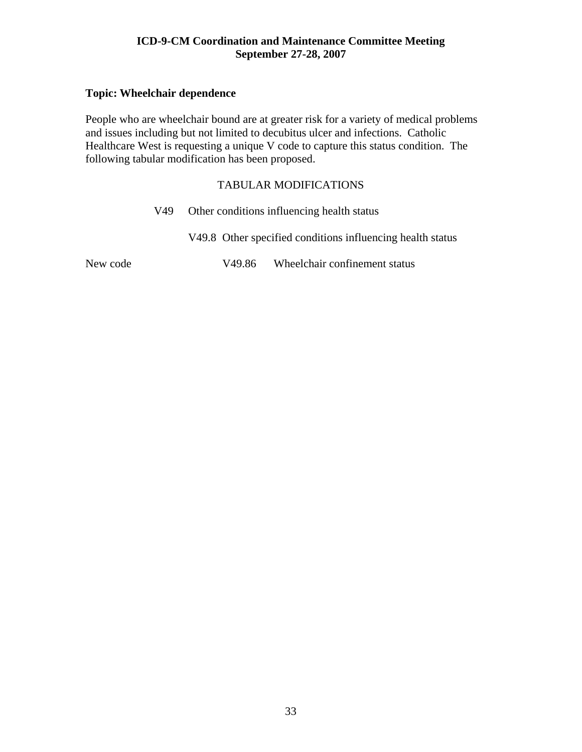#### <span id="page-32-0"></span>**Topic: Wheelchair dependence**

People who are wheelchair bound are at greater risk for a variety of medical problems and issues including but not limited to decubitus ulcer and infections. Catholic Healthcare West is requesting a unique V code to capture this status condition. The following tabular modification has been proposed.

#### TABULAR MODIFICATIONS

|          | V49 — | Other conditions influencing health status |  |                                                            |
|----------|-------|--------------------------------------------|--|------------------------------------------------------------|
|          |       |                                            |  | V49.8 Other specified conditions influencing health status |
| New code |       |                                            |  | V49.86 Wheelchair confinement status                       |

New code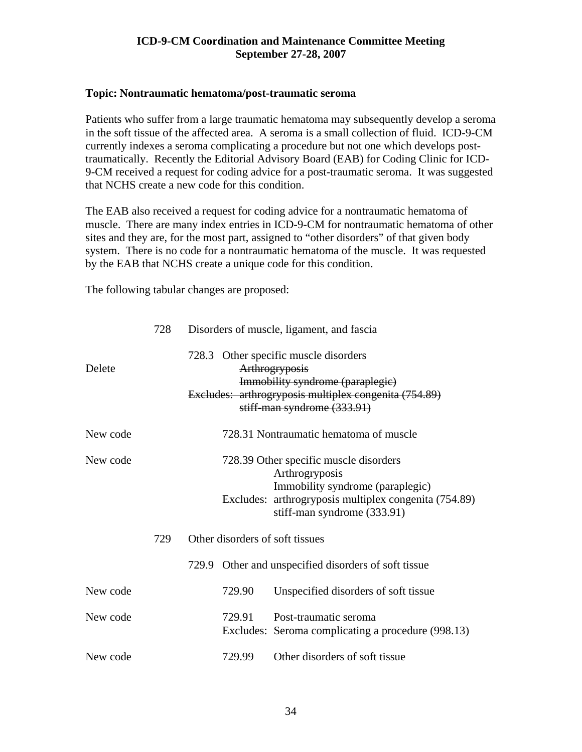#### <span id="page-33-0"></span>**Topic: Nontraumatic hematoma/post-traumatic seroma**

Patients who suffer from a large traumatic hematoma may subsequently develop a seroma in the soft tissue of the affected area. A seroma is a small collection of fluid. ICD-9-CM currently indexes a seroma complicating a procedure but not one which develops posttraumatically. Recently the Editorial Advisory Board (EAB) for Coding Clinic for ICD-9-CM received a request for coding advice for a post-traumatic seroma. It was suggested that NCHS create a new code for this condition.

The EAB also received a request for coding advice for a nontraumatic hematoma of muscle. There are many index entries in ICD-9-CM for nontraumatic hematoma of other sites and they are, for the most part, assigned to "other disorders" of that given body system. There is no code for a nontraumatic hematoma of the muscle. It was requested by the EAB that NCHS create a unique code for this condition.

The following tabular changes are proposed:

|          | 728                             | Disorders of muscle, ligament, and fascia                                                                                                                                            |
|----------|---------------------------------|--------------------------------------------------------------------------------------------------------------------------------------------------------------------------------------|
| Delete   |                                 | 728.3 Other specific muscle disorders<br>Arthrogryposis<br>Immobility syndrome (paraplegic)<br>Excludes: arthrogryposis multiplex congenita (754.89)<br>stiff-man syndrome (333.91)  |
| New code |                                 | 728.31 Nontraumatic hematoma of muscle                                                                                                                                               |
| New code |                                 | 728.39 Other specific muscle disorders<br>Arthrogryposis<br>Immobility syndrome (paraplegic)<br>Excludes: arthrogryposis multiplex congenita (754.89)<br>stiff-man syndrome (333.91) |
|          | Other disorders of soft tissues |                                                                                                                                                                                      |
|          |                                 | 729.9 Other and unspecified disorders of soft tissue                                                                                                                                 |
| New code |                                 | 729.90<br>Unspecified disorders of soft tissue                                                                                                                                       |
| New code |                                 | Post-traumatic seroma<br>729.91<br>Excludes: Seroma complicating a procedure (998.13)                                                                                                |
| New code |                                 | Other disorders of soft tissue<br>729.99                                                                                                                                             |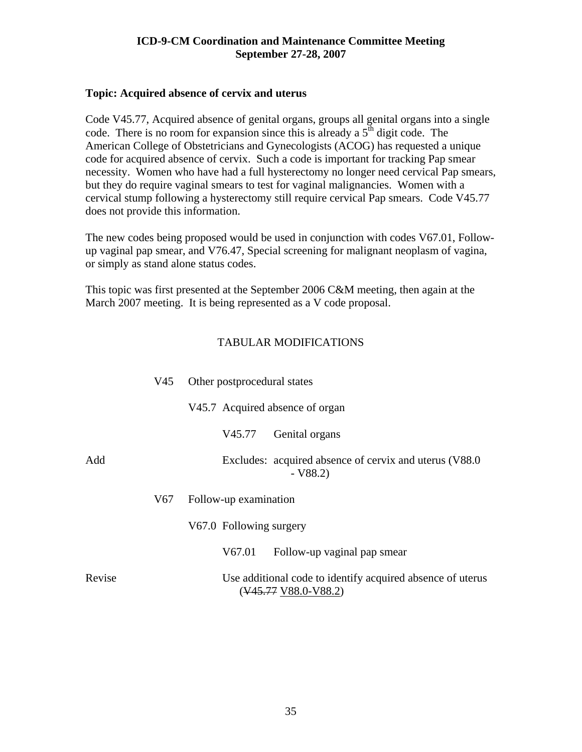#### <span id="page-34-0"></span>**Topic: Acquired absence of cervix and uterus**

Code V45.77, Acquired absence of genital organs, groups all genital organs into a single code. There is no room for expansion since this is already a  $5<sup>th</sup>$  digit code. The American College of Obstetricians and Gynecologists (ACOG) has requested a unique code for acquired absence of cervix. Such a code is important for tracking Pap smear necessity. Women who have had a full hysterectomy no longer need cervical Pap smears, but they do require vaginal smears to test for vaginal malignancies. Women with a cervical stump following a hysterectomy still require cervical Pap smears. Code V45.77 does not provide this information.

The new codes being proposed would be used in conjunction with codes V67.01, Followup vaginal pap smear, and V76.47, Special screening for malignant neoplasm of vagina, or simply as stand alone status codes.

This topic was first presented at the September 2006 C&M meeting, then again at the March 2007 meeting. It is being represented as a V code proposal.

|        | V45 | Other postprocedural states                                                                                  |  |  |  |
|--------|-----|--------------------------------------------------------------------------------------------------------------|--|--|--|
|        |     | V45.7 Acquired absence of organ                                                                              |  |  |  |
|        |     | Genital organs<br>V45.77                                                                                     |  |  |  |
| Add    |     | Excludes: acquired absence of cervix and uterus (V88.0)<br>$- V88.2$                                         |  |  |  |
|        | V67 | Follow-up examination                                                                                        |  |  |  |
|        |     | V67.0 Following surgery                                                                                      |  |  |  |
|        |     | V67.01<br>Follow-up vaginal pap smear                                                                        |  |  |  |
| Revise |     | Use additional code to identify acquired absence of uterus<br>$(\frac{V45.77}{V88.0} - \frac{V88.2}{V85.2})$ |  |  |  |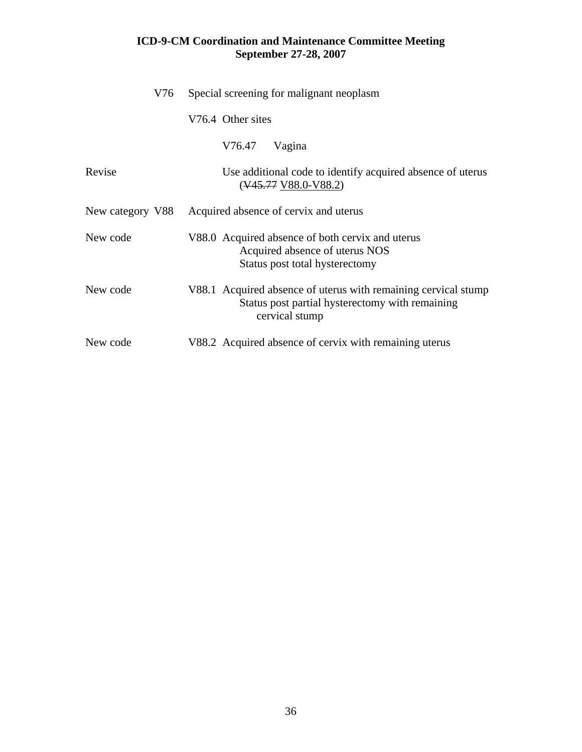| V76              | Special screening for malignant neoplasm                                                                                            |  |  |  |  |
|------------------|-------------------------------------------------------------------------------------------------------------------------------------|--|--|--|--|
|                  | V76.4 Other sites                                                                                                                   |  |  |  |  |
|                  | V76.47<br>Vagina                                                                                                                    |  |  |  |  |
| Revise           | Use additional code to identify acquired absence of uterus<br>$(\frac{V45.77}{V88.0} - \frac{V88.2}{V85.2})$                        |  |  |  |  |
| New category V88 | Acquired absence of cervix and uterus                                                                                               |  |  |  |  |
| New code         | V88.0 Acquired absence of both cervix and uterus<br>Acquired absence of uterus NOS<br>Status post total hysterectomy                |  |  |  |  |
| New code         | V88.1 Acquired absence of uterus with remaining cervical stump<br>Status post partial hysterectomy with remaining<br>cervical stump |  |  |  |  |
| New code         | V88.2 Acquired absence of cervix with remaining uterus                                                                              |  |  |  |  |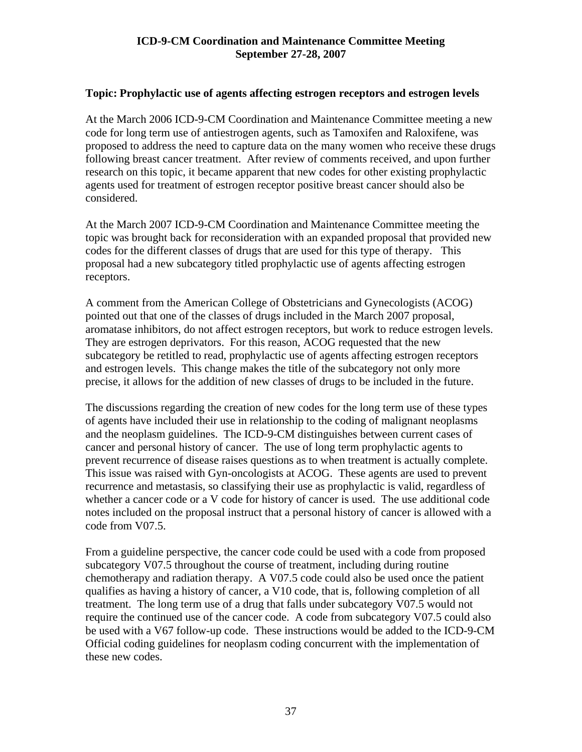### **Topic: Prophylactic use of agents affecting estrogen receptors and estrogen levels**

At the March 2006 ICD-9-CM Coordination and Maintenance Committee meeting a new code for long term use of antiestrogen agents, such as Tamoxifen and Raloxifene, was proposed to address the need to capture data on the many women who receive these drugs following breast cancer treatment. After review of comments received, and upon further research on this topic, it became apparent that new codes for other existing prophylactic agents used for treatment of estrogen receptor positive breast cancer should also be considered.

At the March 2007 ICD-9-CM Coordination and Maintenance Committee meeting the topic was brought back for reconsideration with an expanded proposal that provided new codes for the different classes of drugs that are used for this type of therapy. This proposal had a new subcategory titled prophylactic use of agents affecting estrogen receptors.

A comment from the American College of Obstetricians and Gynecologists (ACOG) pointed out that one of the classes of drugs included in the March 2007 proposal, aromatase inhibitors, do not affect estrogen receptors, but work to reduce estrogen levels. They are estrogen deprivators. For this reason, ACOG requested that the new subcategory be retitled to read, prophylactic use of agents affecting estrogen receptors and estrogen levels. This change makes the title of the subcategory not only more precise, it allows for the addition of new classes of drugs to be included in the future.

The discussions regarding the creation of new codes for the long term use of these types of agents have included their use in relationship to the coding of malignant neoplasms and the neoplasm guidelines. The ICD-9-CM distinguishes between current cases of cancer and personal history of cancer. The use of long term prophylactic agents to prevent recurrence of disease raises questions as to when treatment is actually complete. This issue was raised with Gyn-oncologists at ACOG. These agents are used to prevent recurrence and metastasis, so classifying their use as prophylactic is valid, regardless of whether a cancer code or a V code for history of cancer is used. The use additional code notes included on the proposal instruct that a personal history of cancer is allowed with a code from V07.5.

From a guideline perspective, the cancer code could be used with a code from proposed subcategory V07.5 throughout the course of treatment, including during routine chemotherapy and radiation therapy. A V07.5 code could also be used once the patient qualifies as having a history of cancer, a V10 code, that is, following completion of all treatment. The long term use of a drug that falls under subcategory V07.5 would not require the continued use of the cancer code. A code from subcategory V07.5 could also be used with a V67 follow-up code. These instructions would be added to the ICD-9-CM Official coding guidelines for neoplasm coding concurrent with the implementation of these new codes.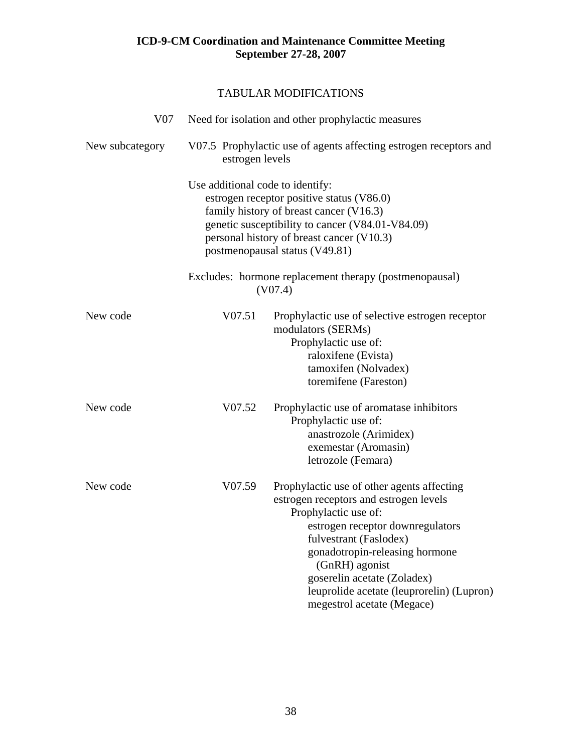| V <sub>07</sub> |                                                                                      | Need for isolation and other prophylactic measures                                                                                                                                                                                                                                                                                       |  |
|-----------------|--------------------------------------------------------------------------------------|------------------------------------------------------------------------------------------------------------------------------------------------------------------------------------------------------------------------------------------------------------------------------------------------------------------------------------------|--|
| New subcategory | V07.5 Prophylactic use of agents affecting estrogen receptors and<br>estrogen levels |                                                                                                                                                                                                                                                                                                                                          |  |
|                 | Use additional code to identify:                                                     | estrogen receptor positive status (V86.0)<br>family history of breast cancer (V16.3)<br>genetic susceptibility to cancer (V84.01-V84.09)<br>personal history of breast cancer (V10.3)<br>postmenopausal status (V49.81)                                                                                                                  |  |
|                 |                                                                                      | Excludes: hormone replacement therapy (postmenopausal)<br>(V07.4)                                                                                                                                                                                                                                                                        |  |
| New code        | V07.51                                                                               | Prophylactic use of selective estrogen receptor<br>modulators (SERMs)<br>Prophylactic use of:<br>raloxifene (Evista)<br>tamoxifen (Nolvadex)<br>toremifene (Fareston)                                                                                                                                                                    |  |
| New code        | V07.52                                                                               | Prophylactic use of aromatase inhibitors<br>Prophylactic use of:<br>anastrozole (Arimidex)<br>exemestar (Aromasin)<br>letrozole (Femara)                                                                                                                                                                                                 |  |
| New code        | V07.59                                                                               | Prophylactic use of other agents affecting<br>estrogen receptors and estrogen levels<br>Prophylactic use of:<br>estrogen receptor downregulators<br>fulvestrant (Faslodex)<br>gonadotropin-releasing hormone<br>(GnRH) agonist<br>goserelin acetate (Zoladex)<br>leuprolide acetate (leuprorelin) (Lupron)<br>megestrol acetate (Megace) |  |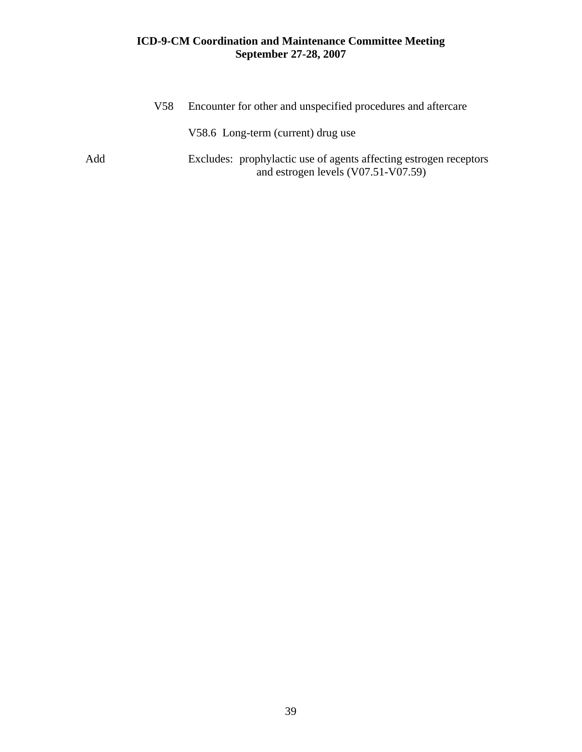|     | V58 | Encounter for other and unspecified procedures and aftercare                                               |
|-----|-----|------------------------------------------------------------------------------------------------------------|
|     |     | V58.6 Long-term (current) drug use                                                                         |
| Add |     | Excludes: prophylactic use of agents affecting estrogen receptors<br>and estrogen levels $(V07.51-V07.59)$ |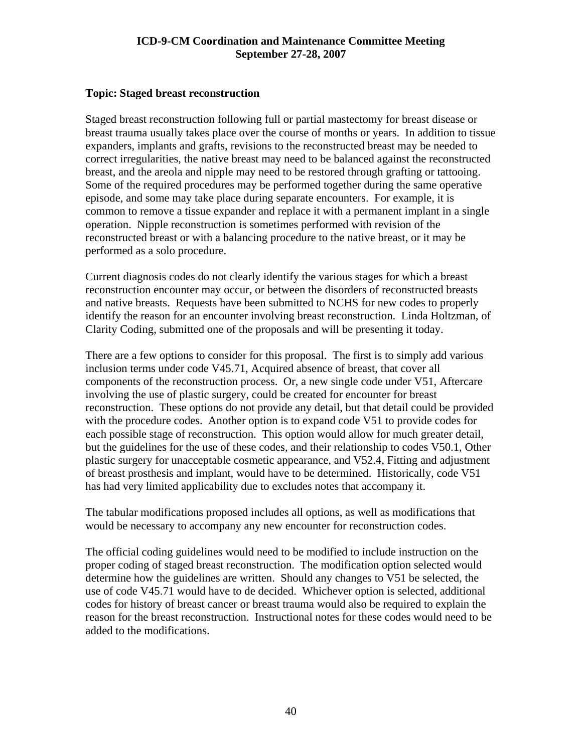#### **Topic: Staged breast reconstruction**

Staged breast reconstruction following full or partial mastectomy for breast disease or breast trauma usually takes place over the course of months or years. In addition to tissue expanders, implants and grafts, revisions to the reconstructed breast may be needed to correct irregularities, the native breast may need to be balanced against the reconstructed breast, and the areola and nipple may need to be restored through grafting or tattooing. Some of the required procedures may be performed together during the same operative episode, and some may take place during separate encounters. For example, it is common to remove a tissue expander and replace it with a permanent implant in a single operation. Nipple reconstruction is sometimes performed with revision of the reconstructed breast or with a balancing procedure to the native breast, or it may be performed as a solo procedure.

Current diagnosis codes do not clearly identify the various stages for which a breast reconstruction encounter may occur, or between the disorders of reconstructed breasts and native breasts. Requests have been submitted to NCHS for new codes to properly identify the reason for an encounter involving breast reconstruction. Linda Holtzman, of Clarity Coding, submitted one of the proposals and will be presenting it today.

There are a few options to consider for this proposal. The first is to simply add various inclusion terms under code V45.71, Acquired absence of breast, that cover all components of the reconstruction process. Or, a new single code under V51, Aftercare involving the use of plastic surgery, could be created for encounter for breast reconstruction. These options do not provide any detail, but that detail could be provided with the procedure codes. Another option is to expand code V51 to provide codes for each possible stage of reconstruction. This option would allow for much greater detail, but the guidelines for the use of these codes, and their relationship to codes V50.1, Other plastic surgery for unacceptable cosmetic appearance, and V52.4, Fitting and adjustment of breast prosthesis and implant, would have to be determined. Historically, code V51 has had very limited applicability due to excludes notes that accompany it.

The tabular modifications proposed includes all options, as well as modifications that would be necessary to accompany any new encounter for reconstruction codes.

The official coding guidelines would need to be modified to include instruction on the proper coding of staged breast reconstruction. The modification option selected would determine how the guidelines are written. Should any changes to V51 be selected, the use of code V45.71 would have to de decided. Whichever option is selected, additional codes for history of breast cancer or breast trauma would also be required to explain the reason for the breast reconstruction. Instructional notes for these codes would need to be added to the modifications.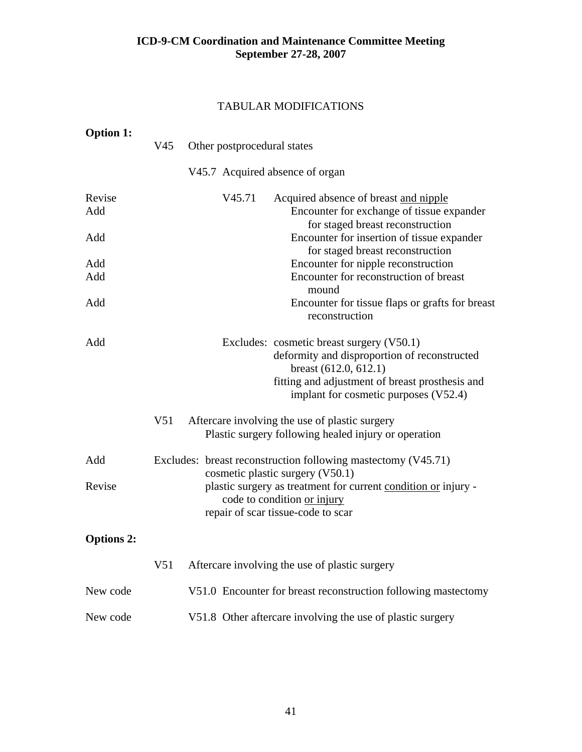| <b>Option 1:</b>  | V45             | Other postprocedural states     |                                                                                                                                                                                                                  |
|-------------------|-----------------|---------------------------------|------------------------------------------------------------------------------------------------------------------------------------------------------------------------------------------------------------------|
|                   |                 | V45.7 Acquired absence of organ |                                                                                                                                                                                                                  |
| Revise<br>Add     |                 | V45.71                          | Acquired absence of breast and nipple<br>Encounter for exchange of tissue expander<br>for staged breast reconstruction                                                                                           |
| Add               |                 |                                 | Encounter for insertion of tissue expander<br>for staged breast reconstruction                                                                                                                                   |
| Add<br>Add        |                 |                                 | Encounter for nipple reconstruction<br>Encounter for reconstruction of breast<br>mound                                                                                                                           |
| Add               |                 |                                 | Encounter for tissue flaps or grafts for breast<br>reconstruction                                                                                                                                                |
| Add               |                 |                                 | Excludes: cosmetic breast surgery (V50.1)<br>deformity and disproportion of reconstructed<br>breast $(612.0, 612.1)$<br>fitting and adjustment of breast prosthesis and<br>implant for cosmetic purposes (V52.4) |
|                   | V <sub>51</sub> |                                 | Aftercare involving the use of plastic surgery<br>Plastic surgery following healed injury or operation                                                                                                           |
| Add               |                 |                                 | Excludes: breast reconstruction following mastectomy (V45.71)<br>cosmetic plastic surgery (V50.1)                                                                                                                |
| Revise            |                 |                                 | plastic surgery as treatment for current condition or injury -<br>code to condition or injury<br>repair of scar tissue-code to scar                                                                              |
| <b>Options 2:</b> |                 |                                 |                                                                                                                                                                                                                  |
|                   | V <sub>51</sub> |                                 | Aftercare involving the use of plastic surgery                                                                                                                                                                   |
| New code          |                 |                                 | V51.0 Encounter for breast reconstruction following mastectomy                                                                                                                                                   |
| New code          |                 |                                 | V51.8 Other aftercare involving the use of plastic surgery                                                                                                                                                       |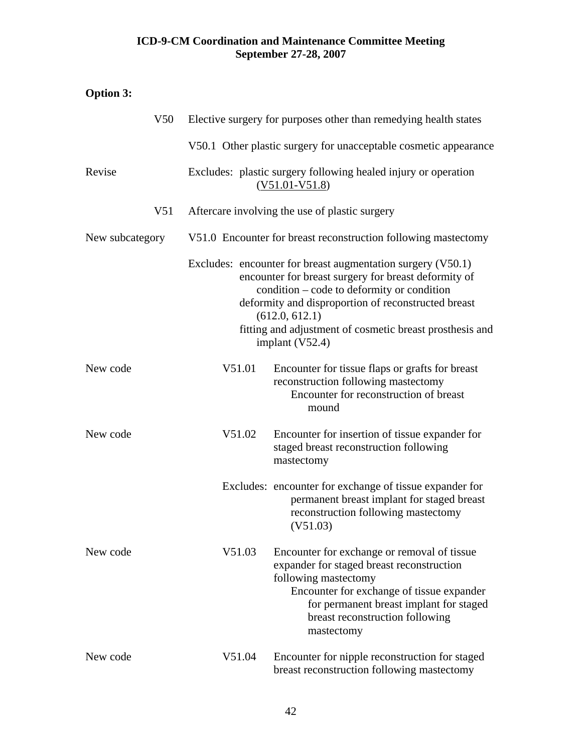# **Option 3:**

| V50             |        | Elective surgery for purposes other than remedying health states                                                                                                                                                                                                                                                            |
|-----------------|--------|-----------------------------------------------------------------------------------------------------------------------------------------------------------------------------------------------------------------------------------------------------------------------------------------------------------------------------|
|                 |        | V50.1 Other plastic surgery for unacceptable cosmetic appearance                                                                                                                                                                                                                                                            |
| Revise          |        | Excludes: plastic surgery following healed injury or operation<br>$(V51.01-V51.8)$                                                                                                                                                                                                                                          |
| V51             |        | Aftercare involving the use of plastic surgery                                                                                                                                                                                                                                                                              |
| New subcategory |        | V51.0 Encounter for breast reconstruction following mastectomy                                                                                                                                                                                                                                                              |
|                 |        | Excludes: encounter for breast augmentation surgery (V50.1)<br>encounter for breast surgery for breast deformity of<br>condition - code to deformity or condition<br>deformity and disproportion of reconstructed breast<br>(612.0, 612.1)<br>fitting and adjustment of cosmetic breast prosthesis and<br>implant $(V52.4)$ |
| New code        | V51.01 | Encounter for tissue flaps or grafts for breast<br>reconstruction following mastectomy<br>Encounter for reconstruction of breast<br>mound                                                                                                                                                                                   |
| New code        | V51.02 | Encounter for insertion of tissue expander for<br>staged breast reconstruction following<br>mastectomy                                                                                                                                                                                                                      |
|                 |        | Excludes: encounter for exchange of tissue expander for<br>permanent breast implant for staged breast<br>reconstruction following mastectomy<br>(V51.03)                                                                                                                                                                    |
| New code        | V51.03 | Encounter for exchange or removal of tissue<br>expander for staged breast reconstruction<br>following mastectomy<br>Encounter for exchange of tissue expander<br>for permanent breast implant for staged<br>breast reconstruction following<br>mastectomy                                                                   |
| New code        | V51.04 | Encounter for nipple reconstruction for staged<br>breast reconstruction following mastectomy                                                                                                                                                                                                                                |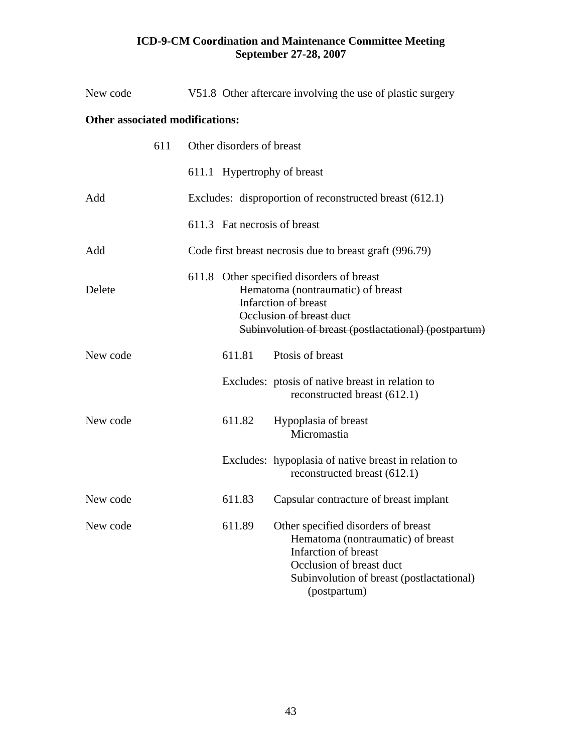| New code                               |                              | V51.8 Other aftercare involving the use of plastic surgery                                                                                                                                          |
|----------------------------------------|------------------------------|-----------------------------------------------------------------------------------------------------------------------------------------------------------------------------------------------------|
| <b>Other associated modifications:</b> |                              |                                                                                                                                                                                                     |
| 611                                    | Other disorders of breast    |                                                                                                                                                                                                     |
|                                        | 611.1 Hypertrophy of breast  |                                                                                                                                                                                                     |
| Add                                    |                              | Excludes: disproportion of reconstructed breast (612.1)                                                                                                                                             |
|                                        | 611.3 Fat necrosis of breast |                                                                                                                                                                                                     |
| Add                                    |                              | Code first breast necrosis due to breast graft (996.79)                                                                                                                                             |
| Delete                                 |                              | 611.8 Other specified disorders of breast<br>Hematoma (nontraumatic) of breast<br><b>Infarction of breast</b><br>Occlusion of breast duct<br>Subinvolution of breast (postlactational) (postpartum) |
| New code                               | 611.81                       | Ptosis of breast                                                                                                                                                                                    |
|                                        |                              | Excludes: ptosis of native breast in relation to<br>reconstructed breast (612.1)                                                                                                                    |
| New code                               | 611.82                       | Hypoplasia of breast<br>Micromastia                                                                                                                                                                 |
|                                        |                              | Excludes: hypoplasia of native breast in relation to<br>reconstructed breast (612.1)                                                                                                                |
| New code                               | 611.83                       | Capsular contracture of breast implant                                                                                                                                                              |
| New code                               | 611.89                       | Other specified disorders of breast<br>Hematoma (nontraumatic) of breast<br>Infarction of breast<br>Occlusion of breast duct<br>Subinvolution of breast (postlactational)<br>(postpartum)           |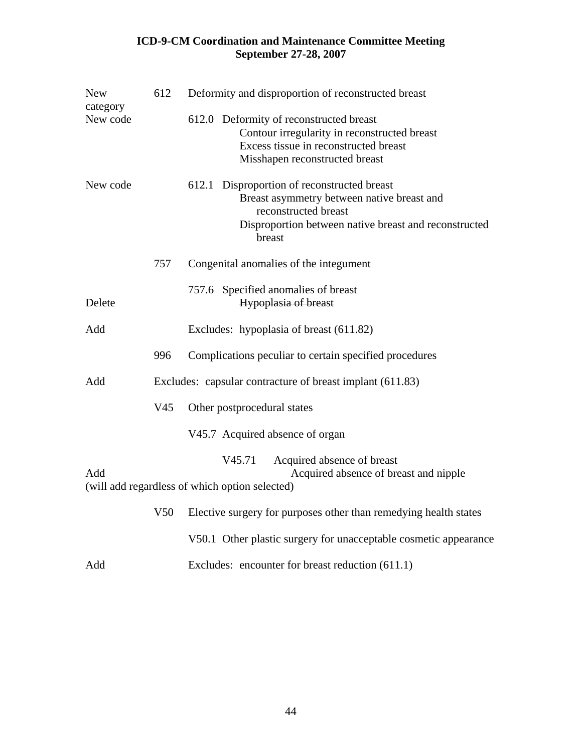| <b>New</b><br>category | 612                                                       | Deformity and disproportion of reconstructed breast                                                                                                                                     |
|------------------------|-----------------------------------------------------------|-----------------------------------------------------------------------------------------------------------------------------------------------------------------------------------------|
| New code               |                                                           | 612.0 Deformity of reconstructed breast<br>Contour irregularity in reconstructed breast<br>Excess tissue in reconstructed breast<br>Misshapen reconstructed breast                      |
| New code               |                                                           | 612.1<br>Disproportion of reconstructed breast<br>Breast asymmetry between native breast and<br>reconstructed breast<br>Disproportion between native breast and reconstructed<br>breast |
|                        | 757                                                       | Congenital anomalies of the integument                                                                                                                                                  |
| Delete                 |                                                           | 757.6 Specified anomalies of breast<br><b>Hypoplasia of breast</b>                                                                                                                      |
| Add                    |                                                           | Excludes: hypoplasia of breast (611.82)                                                                                                                                                 |
|                        | 996                                                       | Complications peculiar to certain specified procedures                                                                                                                                  |
| Add                    | Excludes: capsular contracture of breast implant (611.83) |                                                                                                                                                                                         |
|                        | V <sub>45</sub>                                           | Other postprocedural states                                                                                                                                                             |
|                        |                                                           | V45.7 Acquired absence of organ                                                                                                                                                         |
| Add                    |                                                           | V45.71<br>Acquired absence of breast<br>Acquired absence of breast and nipple<br>(will add regardless of which option selected)                                                         |
|                        | V <sub>50</sub>                                           | Elective surgery for purposes other than remedying health states                                                                                                                        |
|                        |                                                           | V50.1 Other plastic surgery for unacceptable cosmetic appearance                                                                                                                        |
| Add                    |                                                           | Excludes: encounter for breast reduction (611.1)                                                                                                                                        |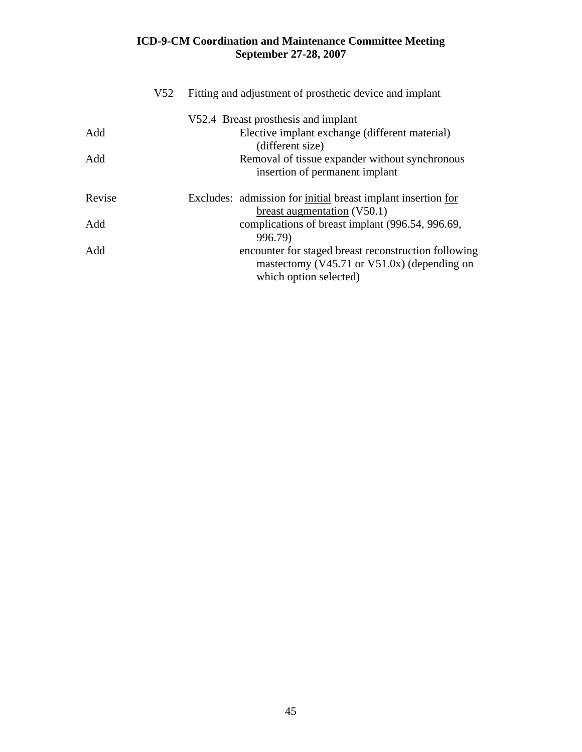|        | V <sub>52</sub> | Fitting and adjustment of prosthetic device and implant                                                                             |  |
|--------|-----------------|-------------------------------------------------------------------------------------------------------------------------------------|--|
|        |                 | V52.4 Breast prosthesis and implant                                                                                                 |  |
| Add    |                 | Elective implant exchange (different material)<br>(different size)                                                                  |  |
| Add    |                 | Removal of tissue expander without synchronous<br>insertion of permanent implant                                                    |  |
| Revise |                 | Excludes: admission for <u>initial</u> breast implant insertion <u>for</u><br>breast augmentation $(V50.1)$                         |  |
| Add    |                 | complications of breast implant (996.54, 996.69,<br>996.79)                                                                         |  |
| Add    |                 | encounter for staged breast reconstruction following<br>mastectomy ( $V45.71$ or $V51.0x$ ) (depending on<br>which option selected) |  |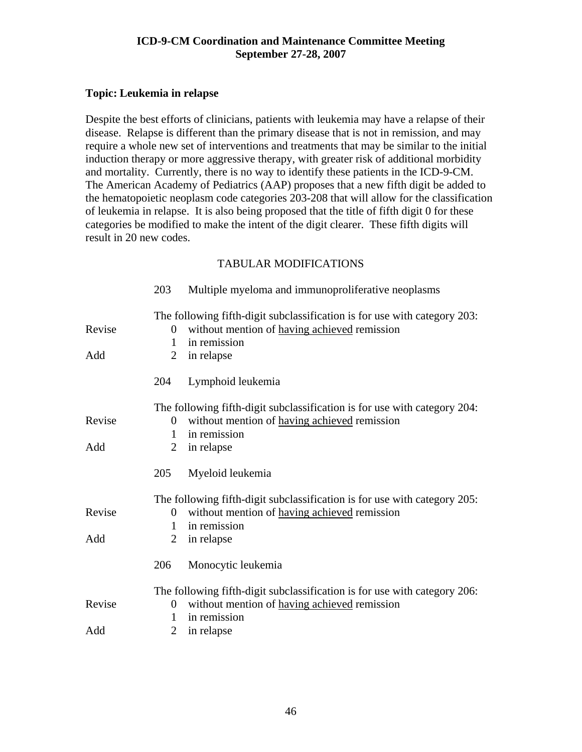# **Topic: Leukemia in relapse**

Despite the best efforts of clinicians, patients with leukemia may have a relapse of their disease. Relapse is different than the primary disease that is not in remission, and may require a whole new set of interventions and treatments that may be similar to the initial induction therapy or more aggressive therapy, with greater risk of additional morbidity and mortality. Currently, there is no way to identify these patients in the ICD-9-CM. The American Academy of Pediatrics (AAP) proposes that a new fifth digit be added to the hematopoietic neoplasm code categories 203-208 that will allow for the classification of leukemia in relapse. It is also being proposed that the title of fifth digit 0 for these categories be modified to make the intent of the digit clearer. These fifth digits will result in 20 new codes.

|        | 203            | Multiple myeloma and immunoproliferative neoplasms                        |
|--------|----------------|---------------------------------------------------------------------------|
|        |                | The following fifth-digit subclassification is for use with category 203: |
| Revise | $\theta$       | without mention of having achieved remission                              |
|        | 1              | in remission                                                              |
| Add    | 2              | in relapse                                                                |
|        | 204            | Lymphoid leukemia                                                         |
|        |                | The following fifth-digit subclassification is for use with category 204: |
| Revise | $\theta$       | without mention of having achieved remission                              |
|        | 1              | in remission                                                              |
| Add    | $\overline{2}$ | in relapse                                                                |
|        | 205            | Myeloid leukemia                                                          |
|        |                | The following fifth-digit subclassification is for use with category 205: |
| Revise | $\theta$       | without mention of having achieved remission                              |
|        | 1              | in remission                                                              |
| Add    | 2              | in relapse                                                                |
|        | 206            | Monocytic leukemia                                                        |
|        |                | The following fifth-digit subclassification is for use with category 206: |
| Revise | $\overline{0}$ | without mention of having achieved remission                              |
|        | 1              | in remission                                                              |
| Add    | 2              | in relapse                                                                |
|        |                |                                                                           |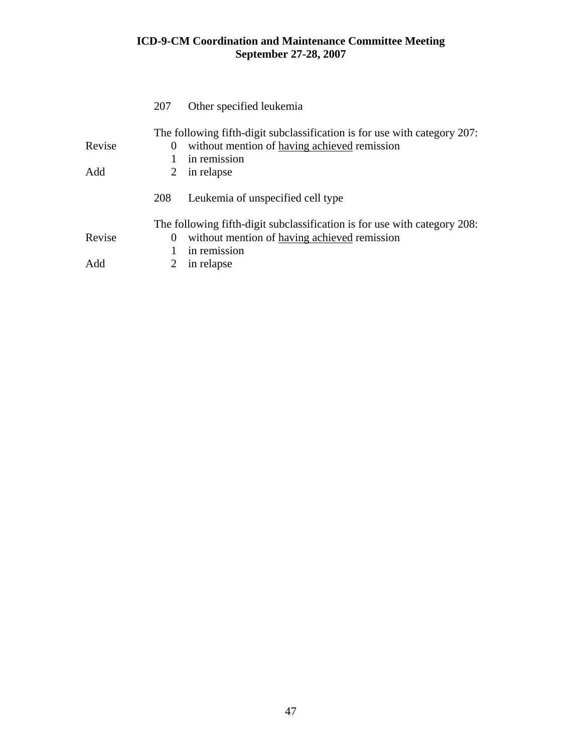|        | 207         | Other specified leukemia                                                                                                                  |
|--------|-------------|-------------------------------------------------------------------------------------------------------------------------------------------|
| Revise | $\theta$    | The following fifth-digit subclassification is for use with category 207:<br>without mention of having achieved remission<br>in remission |
| Add    | $2^{\circ}$ | in relapse                                                                                                                                |
|        | 208         | Leukemia of unspecified cell type                                                                                                         |
|        |             | The following fifth-digit subclassification is for use with category 208:                                                                 |
| Revise | $\theta$    | without mention of having achieved remission                                                                                              |
|        | 1           | in remission                                                                                                                              |
| Add    |             | in relapse                                                                                                                                |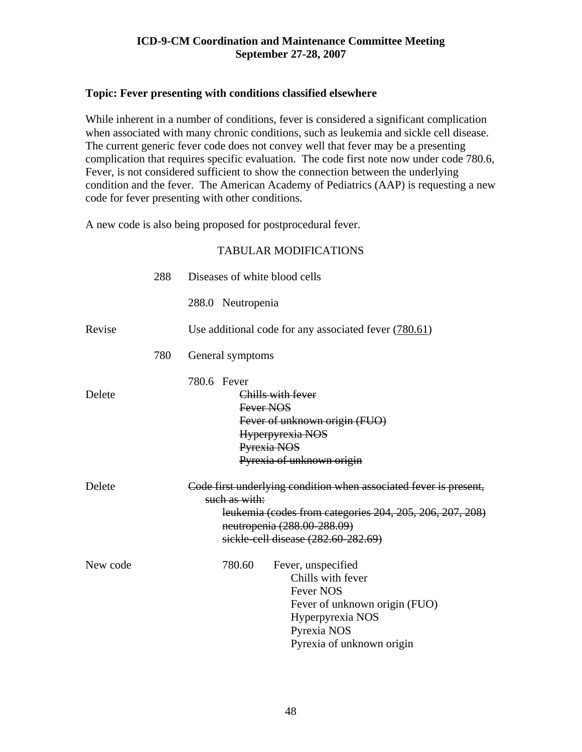# **Topic: Fever presenting with conditions classified elsewhere**

While inherent in a number of conditions, fever is considered a significant complication when associated with many chronic conditions, such as leukemia and sickle cell disease. The current generic fever code does not convey well that fever may be a presenting complication that requires specific evaluation. The code first note now under code 780.6, Fever, is not considered sufficient to show the connection between the underlying condition and the fever. The American Academy of Pediatrics (AAP) is requesting a new code for fever presenting with other conditions.

A new code is also being proposed for postprocedural fever.

|          | 288 | Diseases of white blood cells                                                                                                                                                                                        |
|----------|-----|----------------------------------------------------------------------------------------------------------------------------------------------------------------------------------------------------------------------|
|          |     | 288.0 Neutropenia                                                                                                                                                                                                    |
| Revise   |     | Use additional code for any associated fever $(780.61)$                                                                                                                                                              |
|          | 780 | General symptoms                                                                                                                                                                                                     |
| Delete   |     | 780.6 Fever<br>Chills with fever<br>Fever NOS<br>Fever of unknown origin (FUO)<br>Hyperpyrexia NOS<br>Pyrexia NOS<br>Pyrexia of unknown origin                                                                       |
| Delete   |     | Code first underlying condition when associated fever is present,<br>such as with:<br>leukemia (codes from categories 204, 205, 206, 207, 208)<br>neutropenia (288.00-288.09)<br>sickle-cell disease (282.60-282.69) |
| New code |     | 780.60<br>Fever, unspecified<br>Chills with fever<br><b>Fever NOS</b><br>Fever of unknown origin (FUO)<br>Hyperpyrexia NOS<br>Pyrexia NOS<br>Pyrexia of unknown origin                                               |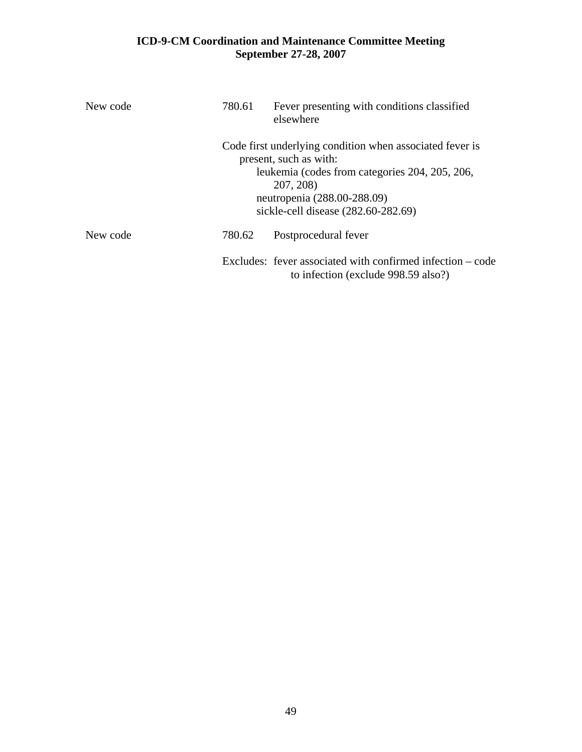| New code | 780.61<br>Fever presenting with conditions classified<br>elsewhere |                                                                                                                                                                                                                         |  |  |
|----------|--------------------------------------------------------------------|-------------------------------------------------------------------------------------------------------------------------------------------------------------------------------------------------------------------------|--|--|
|          |                                                                    | Code first underlying condition when associated fever is<br>present, such as with:<br>leukemia (codes from categories 204, 205, 206,<br>207, 208)<br>neutropenia (288.00-288.09)<br>sickle-cell disease (282.60-282.69) |  |  |
| New code | 780.62                                                             | Postprocedural fever                                                                                                                                                                                                    |  |  |
|          |                                                                    | Excludes: fever associated with confirmed infection $-\text{code}$<br>to infection (exclude 998.59 also?)                                                                                                               |  |  |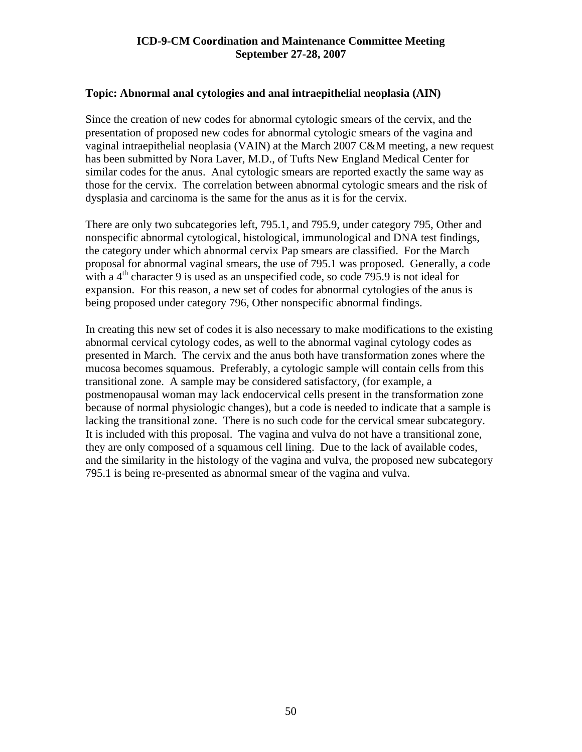### **Topic: Abnormal anal cytologies and anal intraepithelial neoplasia (AIN)**

Since the creation of new codes for abnormal cytologic smears of the cervix, and the presentation of proposed new codes for abnormal cytologic smears of the vagina and vaginal intraepithelial neoplasia (VAIN) at the March 2007 C&M meeting, a new request has been submitted by Nora Laver, M.D., of Tufts New England Medical Center for similar codes for the anus. Anal cytologic smears are reported exactly the same way as those for the cervix. The correlation between abnormal cytologic smears and the risk of dysplasia and carcinoma is the same for the anus as it is for the cervix.

There are only two subcategories left, 795.1, and 795.9, under category 795, Other and nonspecific abnormal cytological, histological, immunological and DNA test findings, the category under which abnormal cervix Pap smears are classified. For the March proposal for abnormal vaginal smears, the use of 795.1 was proposed. Generally, a code with a  $4<sup>th</sup>$  character 9 is used as an unspecified code, so code 795.9 is not ideal for expansion. For this reason, a new set of codes for abnormal cytologies of the anus is being proposed under category 796, Other nonspecific abnormal findings.

In creating this new set of codes it is also necessary to make modifications to the existing abnormal cervical cytology codes, as well to the abnormal vaginal cytology codes as presented in March. The cervix and the anus both have transformation zones where the mucosa becomes squamous. Preferably, a cytologic sample will contain cells from this transitional zone. A sample may be considered satisfactory, (for example, a postmenopausal woman may lack endocervical cells present in the transformation zone because of normal physiologic changes), but a code is needed to indicate that a sample is lacking the transitional zone. There is no such code for the cervical smear subcategory. It is included with this proposal. The vagina and vulva do not have a transitional zone, they are only composed of a squamous cell lining. Due to the lack of available codes, and the similarity in the histology of the vagina and vulva, the proposed new subcategory 795.1 is being re-presented as abnormal smear of the vagina and vulva.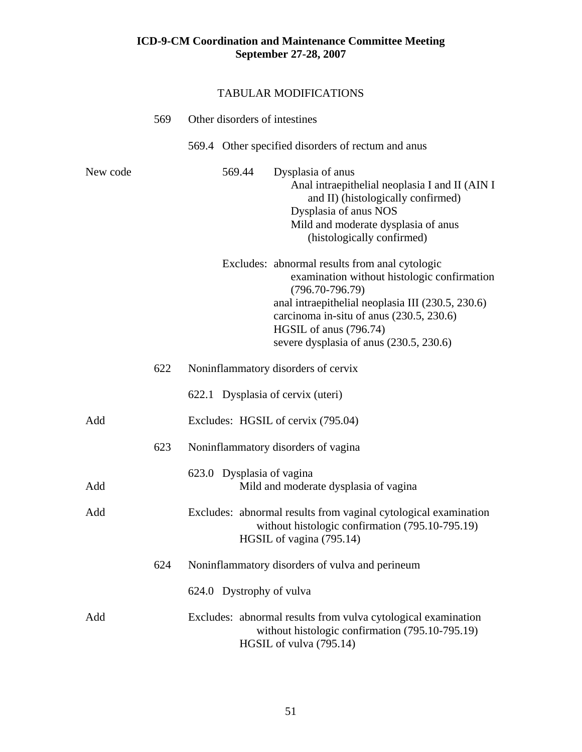|          | 569 | Other disorders of intestines                                                                                                                                                                                                                                                              |  |
|----------|-----|--------------------------------------------------------------------------------------------------------------------------------------------------------------------------------------------------------------------------------------------------------------------------------------------|--|
|          |     | 569.4 Other specified disorders of rectum and anus                                                                                                                                                                                                                                         |  |
| New code |     | 569.44<br>Dysplasia of anus<br>Anal intraepithelial neoplasia I and II (AIN I<br>and II) (histologically confirmed)<br>Dysplasia of anus NOS<br>Mild and moderate dysplasia of anus<br>(histologically confirmed)                                                                          |  |
|          |     | Excludes: abnormal results from anal cytologic<br>examination without histologic confirmation<br>$(796.70 - 796.79)$<br>anal intraepithelial neoplasia III (230.5, 230.6)<br>carcinoma in-situ of anus (230.5, 230.6)<br>HGSIL of anus (796.74)<br>severe dysplasia of anus (230.5, 230.6) |  |
|          | 622 | Noninflammatory disorders of cervix                                                                                                                                                                                                                                                        |  |
|          |     | 622.1 Dysplasia of cervix (uteri)                                                                                                                                                                                                                                                          |  |
| Add      |     | Excludes: HGSIL of cervix (795.04)                                                                                                                                                                                                                                                         |  |
|          | 623 | Noninflammatory disorders of vagina                                                                                                                                                                                                                                                        |  |
| Add      |     | 623.0 Dysplasia of vagina<br>Mild and moderate dysplasia of vagina                                                                                                                                                                                                                         |  |
| Add      |     | Excludes: abnormal results from vaginal cytological examination<br>without histologic confirmation (795.10-795.19)<br>HGSIL of vagina (795.14)                                                                                                                                             |  |
|          | 624 | Noninflammatory disorders of vulva and perineum                                                                                                                                                                                                                                            |  |
|          |     | 624.0 Dystrophy of vulva                                                                                                                                                                                                                                                                   |  |
| Add      |     | Excludes: abnormal results from vulva cytological examination<br>without histologic confirmation (795.10-795.19)<br>HGSIL of vulva (795.14)                                                                                                                                                |  |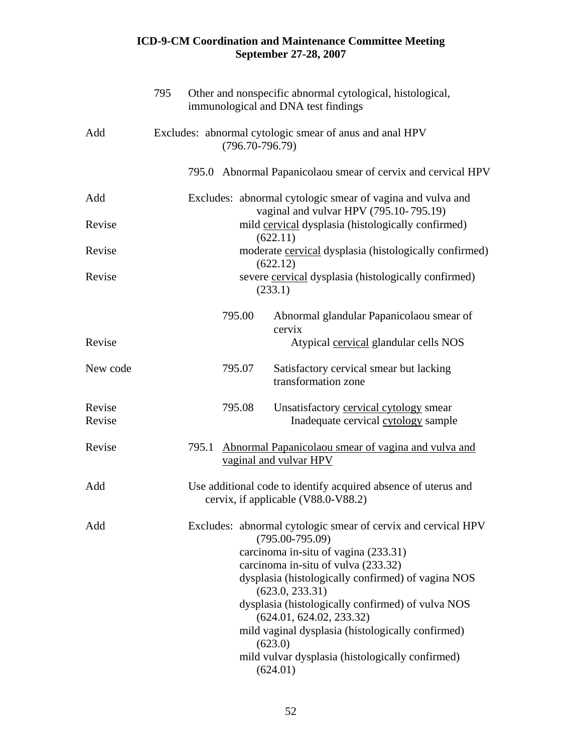|                  | 795 |       |                     | Other and nonspecific abnormal cytological, histological,<br>immunological and DNA test findings      |
|------------------|-----|-------|---------------------|-------------------------------------------------------------------------------------------------------|
| Add              |     |       | $(796.70 - 796.79)$ | Excludes: abnormal cytologic smear of anus and anal HPV                                               |
|                  |     |       |                     | 795.0 Abnormal Papanicolaou smear of cervix and cervical HPV                                          |
| Add              |     |       |                     | Excludes: abnormal cytologic smear of vagina and vulva and<br>vaginal and vulvar HPV (795.10-795.19)  |
| Revise           |     |       |                     | mild cervical dysplasia (histologically confirmed)<br>(622.11)                                        |
| Revise           |     |       |                     | moderate cervical dysplasia (histologically confirmed)<br>(622.12)                                    |
| Revise           |     |       |                     | severe cervical dysplasia (histologically confirmed)<br>(233.1)                                       |
|                  |     |       | 795.00              | Abnormal glandular Papanicolaou smear of<br>cervix                                                    |
| Revise           |     |       |                     | Atypical cervical glandular cells NOS                                                                 |
| New code         |     |       | 795.07              | Satisfactory cervical smear but lacking<br>transformation zone                                        |
| Revise<br>Revise |     |       | 795.08              | Unsatisfactory cervical cytology smear<br>Inadequate cervical cytology sample                         |
| Revise           |     | 795.1 |                     | Abnormal Papanicolaou smear of vagina and vulva and<br>vaginal and vulvar HPV                         |
| Add              |     |       |                     | Use additional code to identify acquired absence of uterus and<br>cervix, if applicable (V88.0-V88.2) |
| Add              |     |       |                     | Excludes: abnormal cytologic smear of cervix and cervical HPV<br>$(795.00 - 795.09)$                  |
|                  |     |       |                     | carcinoma in-situ of vagina (233.31)                                                                  |
|                  |     |       |                     | carcinoma in-situ of vulva (233.32)                                                                   |
|                  |     |       |                     | dysplasia (histologically confirmed) of vagina NOS<br>(623.0, 233.31)                                 |
|                  |     |       |                     | dysplasia (histologically confirmed) of vulva NOS<br>(624.01, 624.02, 233.32)                         |
|                  |     |       |                     | mild vaginal dysplasia (histologically confirmed)<br>(623.0)                                          |
|                  |     |       |                     | mild vulvar dysplasia (histologically confirmed)<br>(624.01)                                          |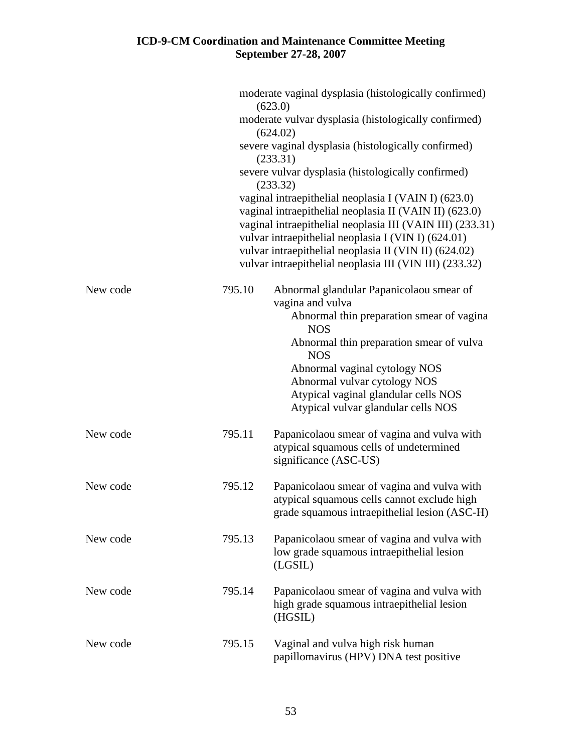|          |        | moderate vaginal dysplasia (histologically confirmed)<br>(623.0)                                                                                                                                                                                                                                                                                       |
|----------|--------|--------------------------------------------------------------------------------------------------------------------------------------------------------------------------------------------------------------------------------------------------------------------------------------------------------------------------------------------------------|
|          |        | moderate vulvar dysplasia (histologically confirmed)<br>(624.02)                                                                                                                                                                                                                                                                                       |
|          |        | severe vaginal dysplasia (histologically confirmed)                                                                                                                                                                                                                                                                                                    |
|          |        | (233.31)<br>severe vulvar dysplasia (histologically confirmed)                                                                                                                                                                                                                                                                                         |
|          |        | (233.32)                                                                                                                                                                                                                                                                                                                                               |
|          |        | vaginal intraepithelial neoplasia I (VAIN I) (623.0)<br>vaginal intraepithelial neoplasia II (VAIN II) (623.0)<br>vaginal intraepithelial neoplasia III (VAIN III) (233.31)<br>vulvar intraepithelial neoplasia I (VIN I) (624.01)<br>vulvar intraepithelial neoplasia II (VIN II) (624.02)<br>vulvar intraepithelial neoplasia III (VIN III) (233.32) |
| New code | 795.10 | Abnormal glandular Papanicolaou smear of<br>vagina and vulva                                                                                                                                                                                                                                                                                           |
|          |        | Abnormal thin preparation smear of vagina<br><b>NOS</b>                                                                                                                                                                                                                                                                                                |
|          |        | Abnormal thin preparation smear of vulva<br><b>NOS</b>                                                                                                                                                                                                                                                                                                 |
|          |        | Abnormal vaginal cytology NOS<br>Abnormal vulvar cytology NOS                                                                                                                                                                                                                                                                                          |
|          |        | Atypical vaginal glandular cells NOS<br>Atypical vulvar glandular cells NOS                                                                                                                                                                                                                                                                            |
| New code | 795.11 | Papanicolaou smear of vagina and vulva with<br>atypical squamous cells of undetermined<br>significance (ASC-US)                                                                                                                                                                                                                                        |
| New code | 795.12 | Papanicolaou smear of vagina and vulva with<br>atypical squamous cells cannot exclude high<br>grade squamous intraepithelial lesion (ASC-H)                                                                                                                                                                                                            |
| New code | 795.13 | Papanicolaou smear of vagina and vulva with<br>low grade squamous intraepithelial lesion<br>(LGSIL)                                                                                                                                                                                                                                                    |
| New code | 795.14 | Papanicolaou smear of vagina and vulva with<br>high grade squamous intraepithelial lesion<br>(HGSIL)                                                                                                                                                                                                                                                   |
| New code | 795.15 | Vaginal and vulva high risk human<br>papillomavirus (HPV) DNA test positive                                                                                                                                                                                                                                                                            |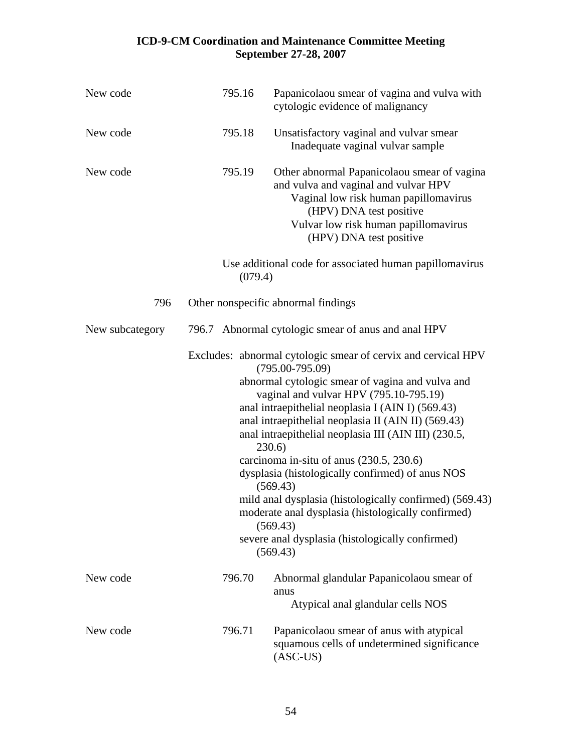| New code        | 795.16  | Papanicolaou smear of vagina and vulva with<br>cytologic evidence of malignancy                                                                                                                                                                                                                                                                                                                                                                                                                                                                                                                                                                                           |
|-----------------|---------|---------------------------------------------------------------------------------------------------------------------------------------------------------------------------------------------------------------------------------------------------------------------------------------------------------------------------------------------------------------------------------------------------------------------------------------------------------------------------------------------------------------------------------------------------------------------------------------------------------------------------------------------------------------------------|
| New code        | 795.18  | Unsatisfactory vaginal and vulvar smear<br>Inadequate vaginal vulvar sample                                                                                                                                                                                                                                                                                                                                                                                                                                                                                                                                                                                               |
| New code        | 795.19  | Other abnormal Papanicolaou smear of vagina<br>and vulva and vaginal and vulvar HPV<br>Vaginal low risk human papillomavirus<br>(HPV) DNA test positive<br>Vulvar low risk human papillomavirus<br>(HPV) DNA test positive                                                                                                                                                                                                                                                                                                                                                                                                                                                |
|                 | (079.4) | Use additional code for associated human papillomavirus                                                                                                                                                                                                                                                                                                                                                                                                                                                                                                                                                                                                                   |
| 796             |         | Other nonspecific abnormal findings                                                                                                                                                                                                                                                                                                                                                                                                                                                                                                                                                                                                                                       |
| New subcategory |         | 796.7 Abnormal cytologic smear of anus and anal HPV                                                                                                                                                                                                                                                                                                                                                                                                                                                                                                                                                                                                                       |
|                 |         | Excludes: abnormal cytologic smear of cervix and cervical HPV<br>$(795.00 - 795.09)$<br>abnormal cytologic smear of vagina and vulva and<br>vaginal and vulvar HPV (795.10-795.19)<br>anal intraepithelial neoplasia I (AIN I) (569.43)<br>anal intraepithelial neoplasia II (AIN II) (569.43)<br>anal intraepithelial neoplasia III (AIN III) (230.5,<br>230.6)<br>carcinoma in-situ of anus (230.5, 230.6)<br>dysplasia (histologically confirmed) of anus NOS<br>(569.43)<br>mild anal dysplasia (histologically confirmed) (569.43)<br>moderate anal dysplasia (histologically confirmed)<br>(569.43)<br>severe anal dysplasia (histologically confirmed)<br>(569.43) |
| New code        | 796.70  | Abnormal glandular Papanicolaou smear of<br>anus<br>Atypical anal glandular cells NOS                                                                                                                                                                                                                                                                                                                                                                                                                                                                                                                                                                                     |
| New code        | 796.71  | Papanicolaou smear of anus with atypical<br>squamous cells of undetermined significance<br>$(ASC-US)$                                                                                                                                                                                                                                                                                                                                                                                                                                                                                                                                                                     |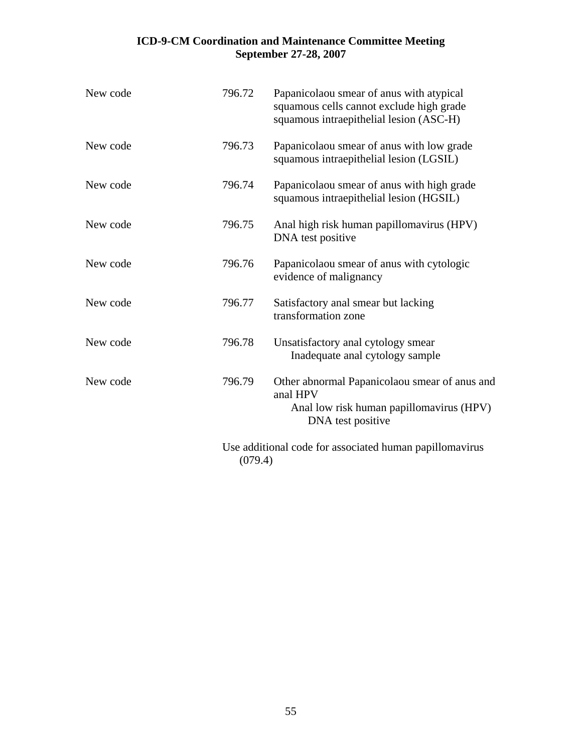| New code | 796.72  | Papanicolaou smear of anus with atypical<br>squamous cells cannot exclude high grade<br>squamous intraepithelial lesion (ASC-H) |
|----------|---------|---------------------------------------------------------------------------------------------------------------------------------|
| New code | 796.73  | Papanicolaou smear of anus with low grade<br>squamous intraepithelial lesion (LGSIL)                                            |
| New code | 796.74  | Papanicolaou smear of anus with high grade<br>squamous intraepithelial lesion (HGSIL)                                           |
| New code | 796.75  | Anal high risk human papillomavirus (HPV)<br>DNA test positive                                                                  |
| New code | 796.76  | Papanicolaou smear of anus with cytologic<br>evidence of malignancy                                                             |
| New code | 796.77  | Satisfactory anal smear but lacking<br>transformation zone                                                                      |
| New code | 796.78  | Unsatisfactory anal cytology smear<br>Inadequate anal cytology sample                                                           |
| New code | 796.79  | Other abnormal Papanicolaou smear of anus and<br>anal HPV<br>Anal low risk human papillomavirus (HPV)<br>DNA test positive      |
|          | (079.4) | Use additional code for associated human papillomavirus                                                                         |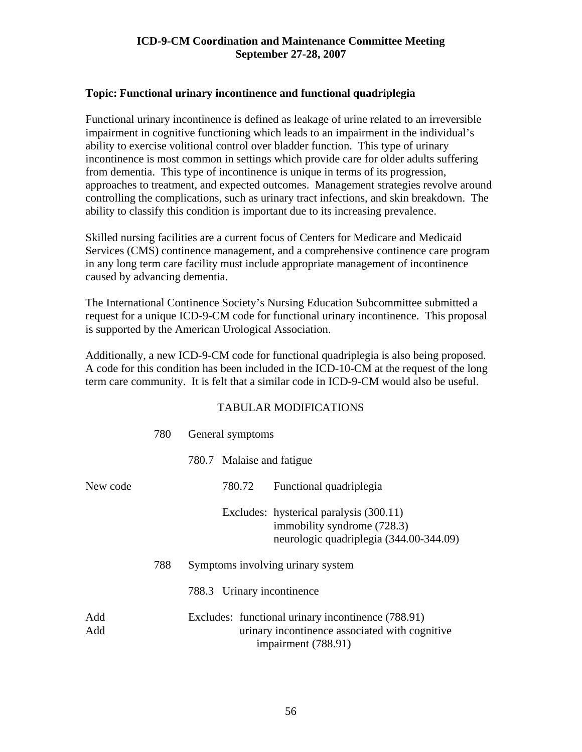# **Topic: Functional urinary incontinence and functional quadriplegia**

Functional urinary incontinence is defined as leakage of urine related to an irreversible impairment in cognitive functioning which leads to an impairment in the individual's ability to exercise volitional control over bladder function. This type of urinary incontinence is most common in settings which provide care for older adults suffering from dementia. This type of incontinence is unique in terms of its progression, approaches to treatment, and expected outcomes. Management strategies revolve around controlling the complications, such as urinary tract infections, and skin breakdown. The ability to classify this condition is important due to its increasing prevalence.

Skilled nursing facilities are a current focus of Centers for Medicare and Medicaid Services (CMS) continence management, and a comprehensive continence care program in any long term care facility must include appropriate management of incontinence caused by advancing dementia.

The International Continence Society's Nursing Education Subcommittee submitted a request for a unique ICD-9-CM code for functional urinary incontinence. This proposal is supported by the American Urological Association.

Additionally, a new ICD-9-CM code for functional quadriplegia is also being proposed. A code for this condition has been included in the ICD-10-CM at the request of the long term care community. It is felt that a similar code in ICD-9-CM would also be useful.

|            | 780 | General symptoms                                                                                                            |
|------------|-----|-----------------------------------------------------------------------------------------------------------------------------|
|            |     | 780.7 Malaise and fatigue                                                                                                   |
| New code   |     | 780.72<br>Functional quadriplegia                                                                                           |
|            |     | Excludes: hysterical paralysis (300.11)<br>immobility syndrome (728.3)<br>neurologic quadriplegia (344.00-344.09)           |
|            | 788 | Symptoms involving urinary system                                                                                           |
|            |     | 788.3 Urinary incontinence                                                                                                  |
| Add<br>Add |     | Excludes: functional urinary incontinence (788.91)<br>urinary incontinence associated with cognitive<br>impairment (788.91) |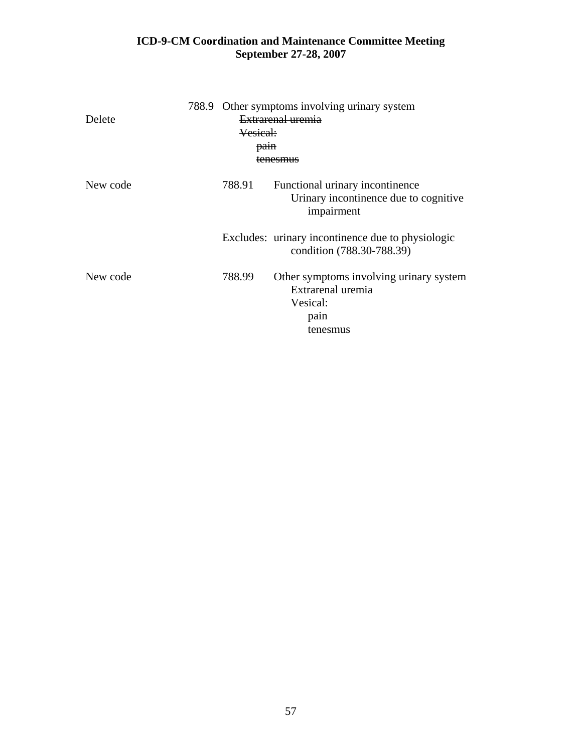| Delete   | Vesical:<br>pain | 788.9 Other symptoms involving urinary system<br>Extrarenal uremia<br>tenesmus               |
|----------|------------------|----------------------------------------------------------------------------------------------|
| New code | 788.91           | Functional urinary incontinence<br>Urinary incontinence due to cognitive<br>impairment       |
|          |                  | Excludes: urinary incontinence due to physiologic<br>condition (788.30-788.39)               |
| New code | 788.99           | Other symptoms involving urinary system<br>Extrarenal uremia<br>Vesical:<br>pain<br>tenesmus |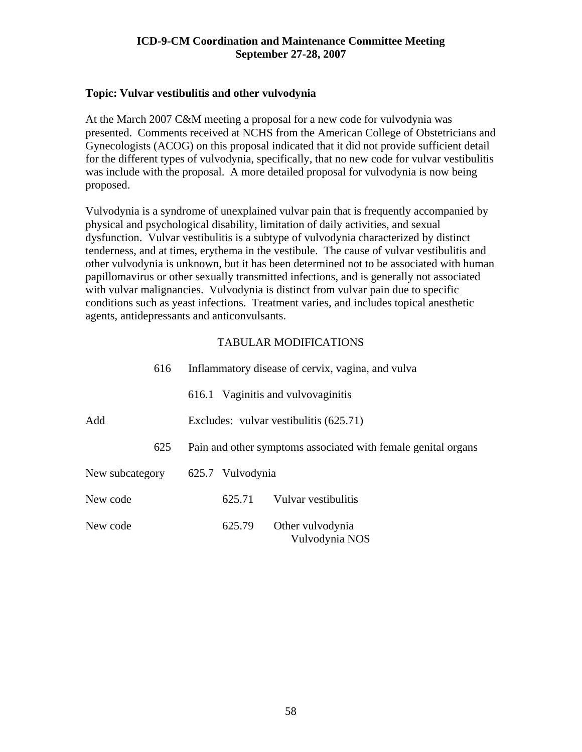### **Topic: Vulvar vestibulitis and other vulvodynia**

At the March 2007 C&M meeting a proposal for a new code for vulvodynia was presented. Comments received at NCHS from the American College of Obstetricians and Gynecologists (ACOG) on this proposal indicated that it did not provide sufficient detail for the different types of vulvodynia, specifically, that no new code for vulvar vestibulitis was include with the proposal. A more detailed proposal for vulvodynia is now being proposed.

Vulvodynia is a syndrome of unexplained vulvar pain that is frequently accompanied by physical and psychological disability, limitation of daily activities, and sexual dysfunction. Vulvar vestibulitis is a subtype of vulvodynia characterized by distinct tenderness, and at times, erythema in the vestibule. The cause of vulvar vestibulitis and other vulvodynia is unknown, but it has been determined not to be associated with human papillomavirus or other sexually transmitted infections, and is generally not associated with vulvar malignancies. Vulvodynia is distinct from vulvar pain due to specific conditions such as yeast infections. Treatment varies, and includes topical anesthetic agents, antidepressants and anticonvulsants.

| 616             | Inflammatory disease of cervix, vagina, and vulva             |
|-----------------|---------------------------------------------------------------|
|                 | 616.1 Vaginitis and vulvovaginitis                            |
| Add             | Excludes: vulvar vestibulitis (625.71)                        |
| 625             | Pain and other symptoms associated with female genital organs |
| New subcategory | 625.7 Vulvodynia                                              |
| New code        | Vulvar vestibulitis<br>625.71                                 |
| New code        | 625.79<br>Other vulvodynia<br>Vulvodynia NOS                  |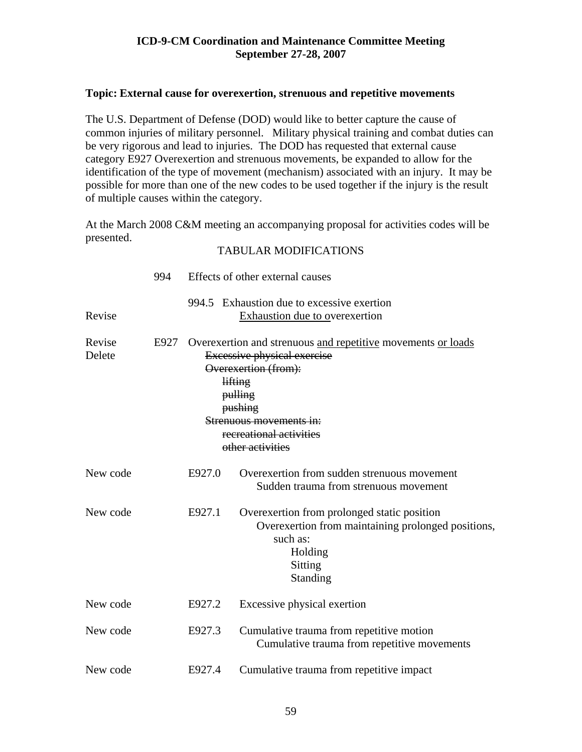### **Topic: External cause for overexertion, strenuous and repetitive movements**

The U.S. Department of Defense (DOD) would like to better capture the cause of common injuries of military personnel. Military physical training and combat duties can be very rigorous and lead to injuries. The DOD has requested that external cause category E927 Overexertion and strenuous movements, be expanded to allow for the identification of the type of movement (mechanism) associated with an injury. It may be possible for more than one of the new codes to be used together if the injury is the result of multiple causes within the category.

At the March 2008 C&M meeting an accompanying proposal for activities codes will be presented.

|                  | 994  |                                                                                                                                                                                                                                       | Effects of other external causes                                                                                                                |  |
|------------------|------|---------------------------------------------------------------------------------------------------------------------------------------------------------------------------------------------------------------------------------------|-------------------------------------------------------------------------------------------------------------------------------------------------|--|
| Revise           |      |                                                                                                                                                                                                                                       | 994.5 Exhaustion due to excessive exertion<br>Exhaustion due to overexertion                                                                    |  |
| Revise<br>Delete | E927 | Overexertion and strenuous and repetitive movements or loads<br><b>Excessive physical exercise</b><br>Overexertion (from):<br>lifting<br>pulling<br>pushing<br>Strenuous movements in:<br>recreational activities<br>other activities |                                                                                                                                                 |  |
| New code         |      | E927.0                                                                                                                                                                                                                                | Overexertion from sudden strenuous movement<br>Sudden trauma from strenuous movement                                                            |  |
| New code         |      | E927.1                                                                                                                                                                                                                                | Overexertion from prolonged static position<br>Overexertion from maintaining prolonged positions,<br>such as:<br>Holding<br>Sitting<br>Standing |  |
| New code         |      | E927.2                                                                                                                                                                                                                                | Excessive physical exertion                                                                                                                     |  |
| New code         |      | E927.3                                                                                                                                                                                                                                | Cumulative trauma from repetitive motion<br>Cumulative trauma from repetitive movements                                                         |  |
| New code         |      | E927.4                                                                                                                                                                                                                                | Cumulative trauma from repetitive impact                                                                                                        |  |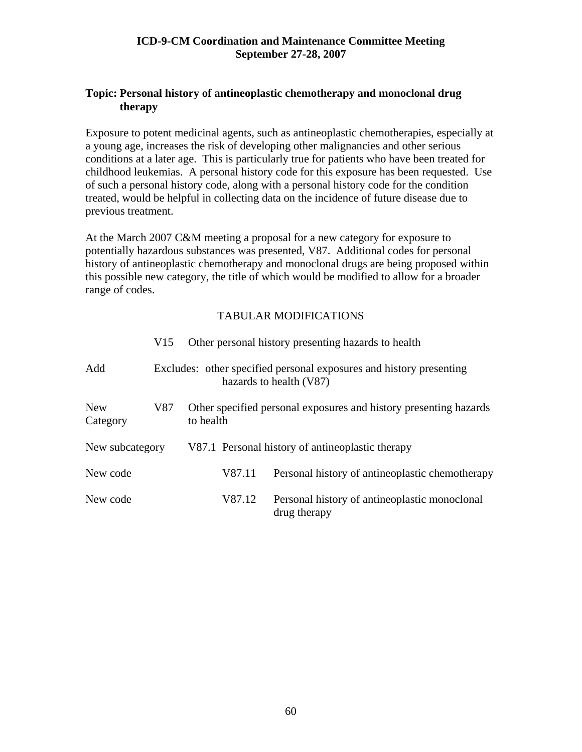# **Topic: Personal history of antineoplastic chemotherapy and monoclonal drug therapy**

Exposure to potent medicinal agents, such as antineoplastic chemotherapies, especially at a young age, increases the risk of developing other malignancies and other serious conditions at a later age. This is particularly true for patients who have been treated for childhood leukemias. A personal history code for this exposure has been requested. Use of such a personal history code, along with a personal history code for the condition treated, would be helpful in collecting data on the incidence of future disease due to previous treatment.

At the March 2007 C&M meeting a proposal for a new category for exposure to potentially hazardous substances was presented, V87. Additional codes for personal history of antineoplastic chemotherapy and monoclonal drugs are being proposed within this possible new category, the title of which would be modified to allow for a broader range of codes.

|                        | V15 |                                                                                                |        | Other personal history presenting hazards to health           |
|------------------------|-----|------------------------------------------------------------------------------------------------|--------|---------------------------------------------------------------|
| Add                    |     | Excludes: other specified personal exposures and history presenting<br>hazards to health (V87) |        |                                                               |
| <b>New</b><br>Category | V87 | Other specified personal exposures and history presenting hazards<br>to health                 |        |                                                               |
| New subcategory        |     |                                                                                                |        | V87.1 Personal history of antineoplastic therapy              |
| New code               |     |                                                                                                | V87.11 | Personal history of antineoplastic chemotherapy               |
| New code               |     |                                                                                                | V87.12 | Personal history of antineoplastic monoclonal<br>drug therapy |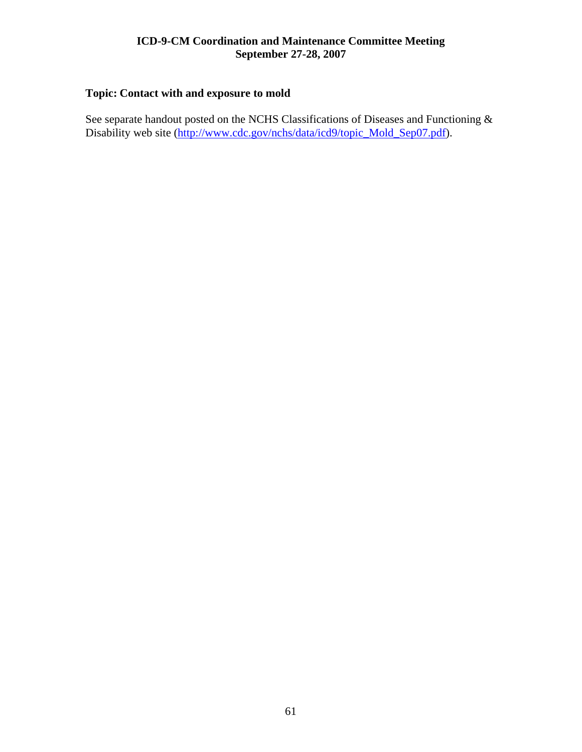# **Topic: Contact with and exposure to mold**

See separate handout posted on the NCHS Classifications of Diseases and Functioning & Disability web site ([http://www.cdc.gov/nchs/data/icd9/topic\\_Mold\\_Sep07.pdf](http://www.cdc.gov/nchs/data/icd9/topic_Mold_Sep07.pdf)).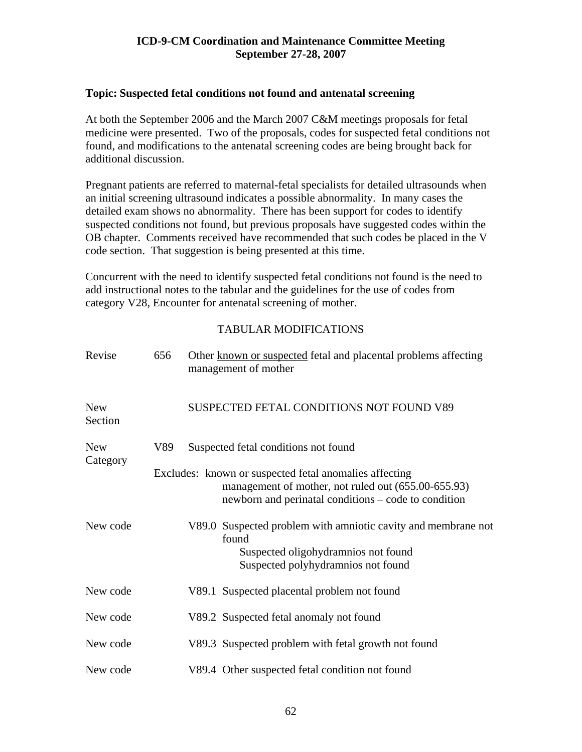# **Topic: Suspected fetal conditions not found and antenatal screening**

At both the September 2006 and the March 2007 C&M meetings proposals for fetal medicine were presented. Two of the proposals, codes for suspected fetal conditions not found, and modifications to the antenatal screening codes are being brought back for additional discussion.

Pregnant patients are referred to maternal-fetal specialists for detailed ultrasounds when an initial screening ultrasound indicates a possible abnormality. In many cases the detailed exam shows no abnormality. There has been support for codes to identify suspected conditions not found, but previous proposals have suggested codes within the OB chapter. Comments received have recommended that such codes be placed in the V code section. That suggestion is being presented at this time.

Concurrent with the need to identify suspected fetal conditions not found is the need to add instructional notes to the tabular and the guidelines for the use of codes from category V28, Encounter for antenatal screening of mother.

| Revise                | 656 |                                      | Other known or suspected fetal and placental problems affecting<br>management of mother                                                                               |  |  |  |
|-----------------------|-----|--------------------------------------|-----------------------------------------------------------------------------------------------------------------------------------------------------------------------|--|--|--|
| <b>New</b><br>Section |     |                                      | SUSPECTED FETAL CONDITIONS NOT FOUND V89                                                                                                                              |  |  |  |
| <b>New</b>            | V89 | Suspected fetal conditions not found |                                                                                                                                                                       |  |  |  |
| Category              |     |                                      | Excludes: known or suspected fetal anomalies affecting<br>management of mother, not ruled out (655.00-655.93)<br>newborn and perinatal conditions – code to condition |  |  |  |
| New code              |     |                                      | V89.0 Suspected problem with amniotic cavity and membrane not<br>found<br>Suspected oligohydramnios not found<br>Suspected polyhydramnios not found                   |  |  |  |
| New code              |     |                                      | V89.1 Suspected placental problem not found                                                                                                                           |  |  |  |
| New code              |     |                                      | V89.2 Suspected fetal anomaly not found                                                                                                                               |  |  |  |
| New code              |     |                                      | V89.3 Suspected problem with fetal growth not found                                                                                                                   |  |  |  |
| New code              |     |                                      | V89.4 Other suspected fetal condition not found                                                                                                                       |  |  |  |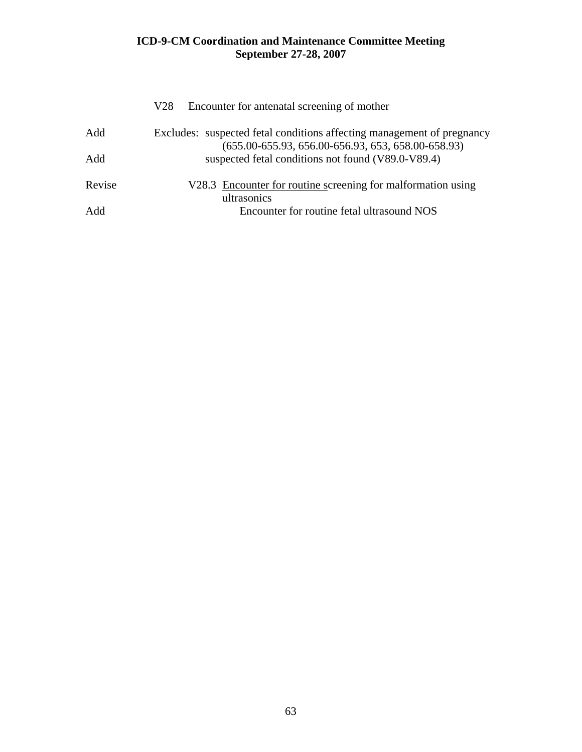|        | Encounter for antenatal screening of mother<br>V28                                                                                   |
|--------|--------------------------------------------------------------------------------------------------------------------------------------|
| Add    | Excludes: suspected fetal conditions affecting management of pregnancy<br>$(655.00 - 655.93, 656.00 - 656.93, 653, 658.00 - 658.93)$ |
| Add    | suspected fetal conditions not found (V89.0-V89.4)                                                                                   |
| Revise | V28.3 Encounter for routine screening for malformation using<br>ultrasonics                                                          |
| Add    | Encounter for routine fetal ultrasound NOS                                                                                           |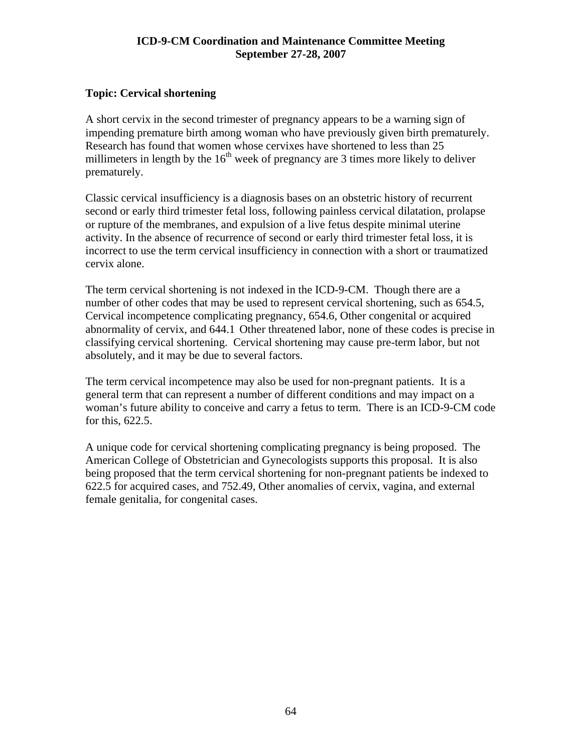# **Topic: Cervical shortening**

A short cervix in the second trimester of pregnancy appears to be a warning sign of impending premature birth among woman who have previously given birth prematurely. Research has found that women whose cervixes have shortened to less than 25 millimeters in length by the  $16<sup>th</sup>$  week of pregnancy are 3 times more likely to deliver prematurely.

Classic cervical insufficiency is a diagnosis bases on an obstetric history of recurrent second or early third trimester fetal loss, following painless cervical dilatation, prolapse or rupture of the membranes, and expulsion of a live fetus despite minimal uterine activity. In the absence of recurrence of second or early third trimester fetal loss, it is incorrect to use the term cervical insufficiency in connection with a short or traumatized cervix alone.

The term cervical shortening is not indexed in the ICD-9-CM. Though there are a number of other codes that may be used to represent cervical shortening, such as 654.5, Cervical incompetence complicating pregnancy, 654.6, Other congenital or acquired abnormality of cervix, and 644.1 Other threatened labor, none of these codes is precise in classifying cervical shortening. Cervical shortening may cause pre-term labor, but not absolutely, and it may be due to several factors.

The term cervical incompetence may also be used for non-pregnant patients. It is a general term that can represent a number of different conditions and may impact on a woman's future ability to conceive and carry a fetus to term. There is an ICD-9-CM code for this, 622.5.

A unique code for cervical shortening complicating pregnancy is being proposed. The American College of Obstetrician and Gynecologists supports this proposal. It is also being proposed that the term cervical shortening for non-pregnant patients be indexed to 622.5 for acquired cases, and 752.49, Other anomalies of cervix, vagina, and external female genitalia, for congenital cases.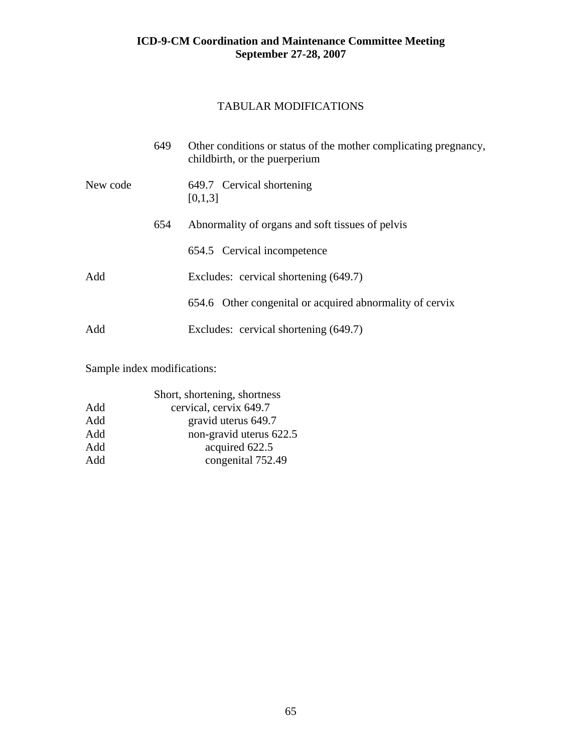# TABULAR MODIFICATIONS

|          | 649 | Other conditions or status of the mother complicating pregnancy,<br>childbirth, or the puerperium |
|----------|-----|---------------------------------------------------------------------------------------------------|
| New code |     | 649.7 Cervical shortening<br>[0,1,3]                                                              |
|          | 654 | Abnormality of organs and soft tissues of pelvis                                                  |
|          |     | 654.5 Cervical incompetence                                                                       |
| Add      |     | Excludes: cervical shortening (649.7)                                                             |
|          |     | 654.6 Other congenital or acquired abnormality of cervix                                          |
| Add      |     | Excludes: cervical shortening (649.7)                                                             |

Sample index modifications:

| Short, shortening, shortness |
|------------------------------|
| cervical, cervix 649.7       |
| gravid uterus 649.7          |
| non-gravid uterus 622.5      |
| acquired 622.5               |
| congenital 752.49            |
|                              |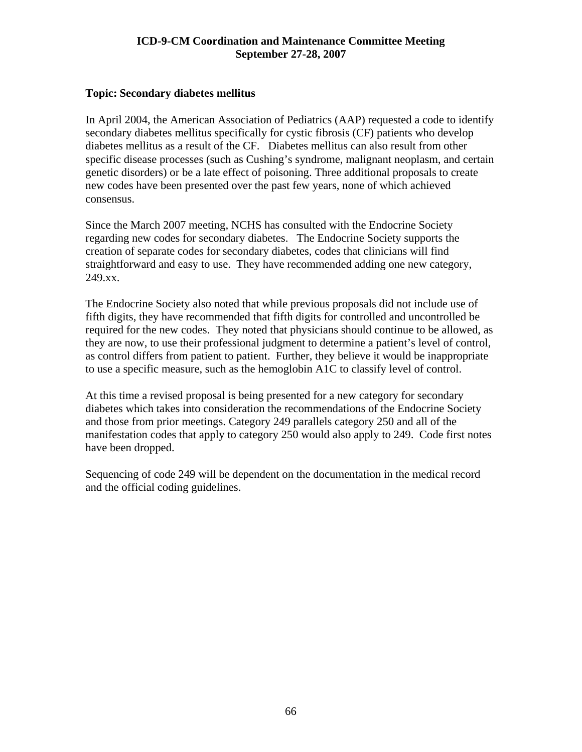### **Topic: Secondary diabetes mellitus**

In April 2004, the American Association of Pediatrics (AAP) requested a code to identify secondary diabetes mellitus specifically for cystic fibrosis (CF) patients who develop diabetes mellitus as a result of the CF. Diabetes mellitus can also result from other specific disease processes (such as Cushing's syndrome, malignant neoplasm, and certain genetic disorders) or be a late effect of poisoning. Three additional proposals to create new codes have been presented over the past few years, none of which achieved consensus.

Since the March 2007 meeting, NCHS has consulted with the Endocrine Society regarding new codes for secondary diabetes. The Endocrine Society supports the creation of separate codes for secondary diabetes, codes that clinicians will find straightforward and easy to use. They have recommended adding one new category, 249.xx.

The Endocrine Society also noted that while previous proposals did not include use of fifth digits, they have recommended that fifth digits for controlled and uncontrolled be required for the new codes. They noted that physicians should continue to be allowed, as they are now, to use their professional judgment to determine a patient's level of control, as control differs from patient to patient. Further, they believe it would be inappropriate to use a specific measure, such as the hemoglobin A1C to classify level of control.

At this time a revised proposal is being presented for a new category for secondary diabetes which takes into consideration the recommendations of the Endocrine Society and those from prior meetings. Category 249 parallels category 250 and all of the manifestation codes that apply to category 250 would also apply to 249. Code first notes have been dropped.

Sequencing of code 249 will be dependent on the documentation in the medical record and the official coding guidelines.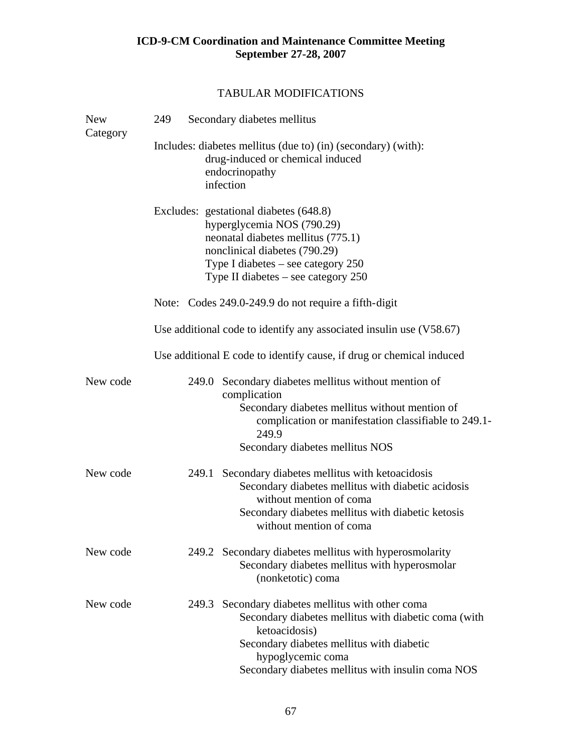| <b>New</b><br>Category | 249                                                                                                                              |       | Secondary diabetes mellitus                                                                                                                                                                                                                       |  |  |
|------------------------|----------------------------------------------------------------------------------------------------------------------------------|-------|---------------------------------------------------------------------------------------------------------------------------------------------------------------------------------------------------------------------------------------------------|--|--|
|                        | Includes: diabetes mellitus (due to) (in) (secondary) (with):<br>drug-induced or chemical induced<br>endocrinopathy<br>infection |       |                                                                                                                                                                                                                                                   |  |  |
|                        |                                                                                                                                  |       | Excludes: gestational diabetes (648.8)<br>hyperglycemia NOS (790.29)<br>neonatal diabetes mellitus (775.1)<br>nonclinical diabetes (790.29)<br>Type I diabetes $-$ see category 250<br>Type II diabetes $-$ see category 250                      |  |  |
|                        |                                                                                                                                  |       | Note: Codes 249.0-249.9 do not require a fifth-digit                                                                                                                                                                                              |  |  |
|                        |                                                                                                                                  |       | Use additional code to identify any associated insulin use (V58.67)                                                                                                                                                                               |  |  |
|                        |                                                                                                                                  |       | Use additional E code to identify cause, if drug or chemical induced                                                                                                                                                                              |  |  |
| New code               |                                                                                                                                  |       | 249.0 Secondary diabetes mellitus without mention of<br>complication<br>Secondary diabetes mellitus without mention of<br>complication or manifestation classifiable to 249.1-<br>249.9<br>Secondary diabetes mellitus NOS                        |  |  |
| New code               |                                                                                                                                  | 249.1 | Secondary diabetes mellitus with ketoacidosis<br>Secondary diabetes mellitus with diabetic acidosis<br>without mention of coma<br>Secondary diabetes mellitus with diabetic ketosis<br>without mention of coma                                    |  |  |
| New code               |                                                                                                                                  |       | 249.2 Secondary diabetes mellitus with hyperosmolarity<br>Secondary diabetes mellitus with hyperosmolar<br>(nonketotic) coma                                                                                                                      |  |  |
| New code               |                                                                                                                                  |       | 249.3 Secondary diabetes mellitus with other coma<br>Secondary diabetes mellitus with diabetic coma (with<br>ketoacidosis)<br>Secondary diabetes mellitus with diabetic<br>hypoglycemic coma<br>Secondary diabetes mellitus with insulin coma NOS |  |  |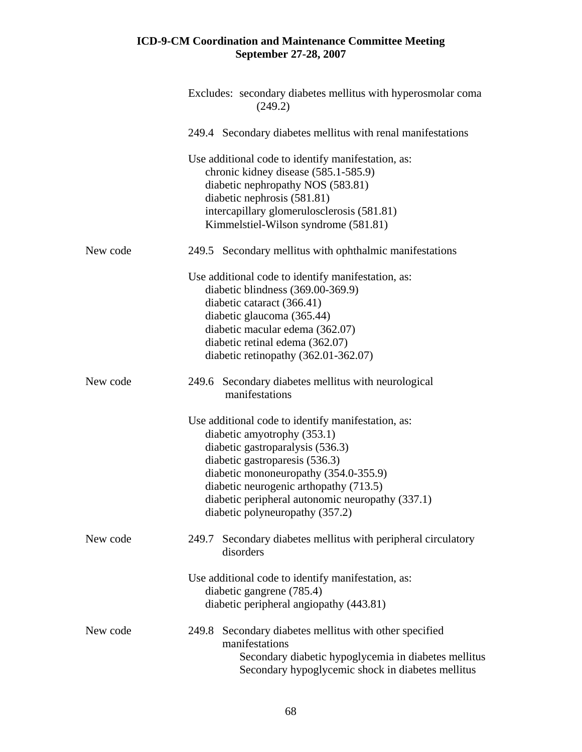|          | Excludes: secondary diabetes mellitus with hyperosmolar coma<br>(249.2)                                   |  |  |  |
|----------|-----------------------------------------------------------------------------------------------------------|--|--|--|
|          | 249.4 Secondary diabetes mellitus with renal manifestations                                               |  |  |  |
|          | Use additional code to identify manifestation, as:<br>chronic kidney disease (585.1-585.9)                |  |  |  |
|          | diabetic nephropathy NOS (583.81)                                                                         |  |  |  |
|          | diabetic nephrosis (581.81)                                                                               |  |  |  |
|          | intercapillary glomerulosclerosis (581.81)                                                                |  |  |  |
|          | Kimmelstiel-Wilson syndrome (581.81)                                                                      |  |  |  |
| New code | 249.5 Secondary mellitus with ophthalmic manifestations                                                   |  |  |  |
|          | Use additional code to identify manifestation, as:                                                        |  |  |  |
|          | diabetic blindness (369.00-369.9)                                                                         |  |  |  |
|          | diabetic cataract (366.41)                                                                                |  |  |  |
|          | diabetic glaucoma (365.44)                                                                                |  |  |  |
|          | diabetic macular edema (362.07)                                                                           |  |  |  |
|          | diabetic retinal edema (362.07)                                                                           |  |  |  |
|          | diabetic retinopathy $(362.01-362.07)$                                                                    |  |  |  |
| New code | 249.6 Secondary diabetes mellitus with neurological                                                       |  |  |  |
|          | manifestations                                                                                            |  |  |  |
|          | Use additional code to identify manifestation, as:                                                        |  |  |  |
|          | diabetic amyotrophy (353.1)                                                                               |  |  |  |
|          | diabetic gastroparalysis (536.3)                                                                          |  |  |  |
|          | diabetic gastroparesis (536.3)                                                                            |  |  |  |
|          | diabetic mononeuropathy (354.0-355.9)                                                                     |  |  |  |
|          | diabetic neurogenic arthopathy (713.5)                                                                    |  |  |  |
|          | diabetic peripheral autonomic neuropathy (337.1)                                                          |  |  |  |
|          | diabetic polyneuropathy (357.2)                                                                           |  |  |  |
| New code | Secondary diabetes mellitus with peripheral circulatory<br>249.7<br>disorders                             |  |  |  |
|          | Use additional code to identify manifestation, as:<br>diabetic gangrene (785.4)                           |  |  |  |
|          | diabetic peripheral angiopathy (443.81)                                                                   |  |  |  |
| New code | 249.8 Secondary diabetes mellitus with other specified<br>manifestations                                  |  |  |  |
|          | Secondary diabetic hypoglycemia in diabetes mellitus<br>Secondary hypoglycemic shock in diabetes mellitus |  |  |  |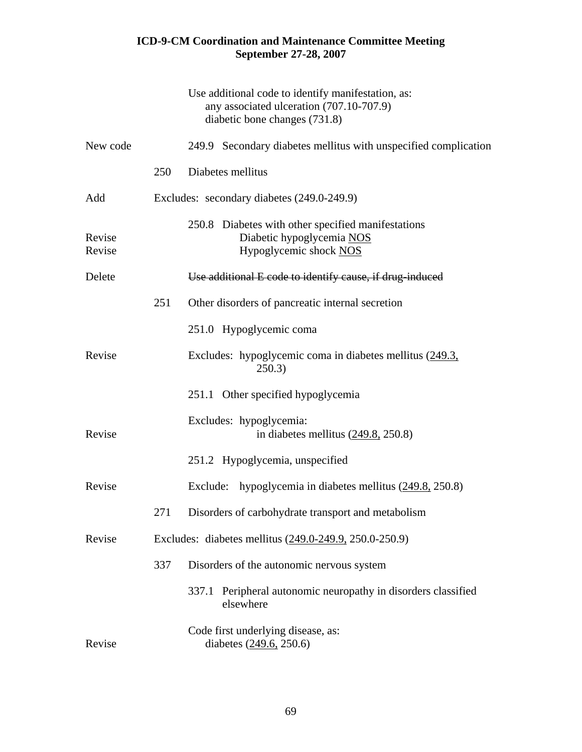|                  |     | Use additional code to identify manifestation, as:<br>any associated ulceration (707.10-707.9)<br>diabetic bone changes (731.8) |
|------------------|-----|---------------------------------------------------------------------------------------------------------------------------------|
| New code         |     | 249.9 Secondary diabetes mellitus with unspecified complication                                                                 |
|                  | 250 | Diabetes mellitus                                                                                                               |
| Add              |     | Excludes: secondary diabetes (249.0-249.9)                                                                                      |
| Revise<br>Revise |     | 250.8 Diabetes with other specified manifestations<br>Diabetic hypoglycemia NOS<br>Hypoglycemic shock NOS                       |
| Delete           |     | Use additional E code to identify cause, if drug-induced                                                                        |
|                  | 251 | Other disorders of pancreatic internal secretion                                                                                |
|                  |     | 251.0 Hypoglycemic coma                                                                                                         |
| Revise           |     | Excludes: hypoglycemic coma in diabetes mellitus (249.3,<br>250.3)                                                              |
|                  |     | 251.1 Other specified hypoglycemia                                                                                              |
| Revise           |     | Excludes: hypoglycemia:<br>in diabetes mellitus $(249.8, 250.8)$                                                                |
|                  |     | 251.2 Hypoglycemia, unspecified                                                                                                 |
| Revise           |     | Exclude:<br>hypoglycemia in diabetes mellitus $(249.8, 250.8)$                                                                  |
|                  | 271 | Disorders of carbohydrate transport and metabolism                                                                              |
| Revise           |     | Excludes: diabetes mellitus (249.0-249.9, 250.0-250.9)                                                                          |
|                  | 337 | Disorders of the autonomic nervous system                                                                                       |
|                  |     | Peripheral autonomic neuropathy in disorders classified<br>337.1<br>elsewhere                                                   |
| Revise           |     | Code first underlying disease, as:<br>diabetes (249.6, 250.6)                                                                   |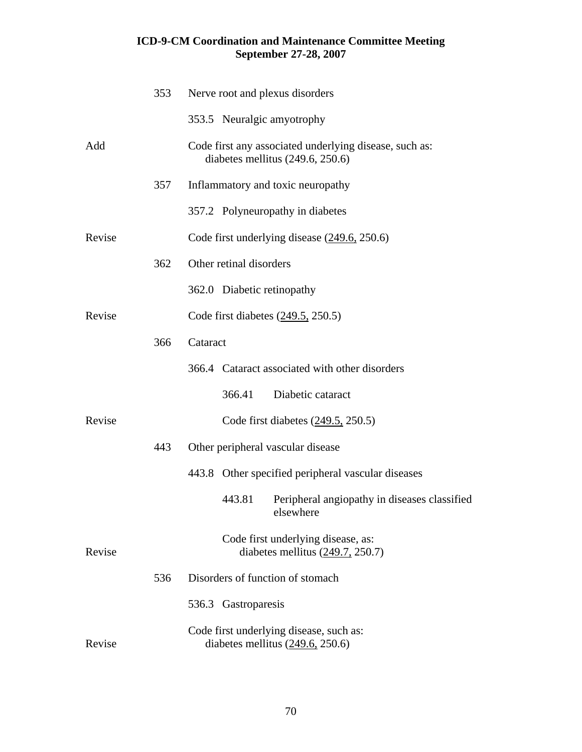|        | 353 | Nerve root and plexus disorders                                                              |
|--------|-----|----------------------------------------------------------------------------------------------|
|        |     | 353.5 Neuralgic amyotrophy                                                                   |
| Add    |     | Code first any associated underlying disease, such as:<br>diabetes mellitus $(249.6, 250.6)$ |
|        | 357 | Inflammatory and toxic neuropathy                                                            |
|        |     | 357.2 Polyneuropathy in diabetes                                                             |
| Revise |     | Code first underlying disease $(249.6, 250.6)$                                               |
|        | 362 | Other retinal disorders                                                                      |
|        |     | 362.0 Diabetic retinopathy                                                                   |
| Revise |     | Code first diabetes $(249.5, 250.5)$                                                         |
|        | 366 | Cataract                                                                                     |
|        |     | 366.4 Cataract associated with other disorders                                               |
|        |     | 366.41<br>Diabetic cataract                                                                  |
| Revise |     | Code first diabetes $(249.5, 250.5)$                                                         |
|        | 443 | Other peripheral vascular disease                                                            |
|        |     | 443.8 Other specified peripheral vascular diseases                                           |
|        |     | Peripheral angiopathy in diseases classified<br>443.81<br>elsewhere                          |
| Revise |     | Code first underlying disease, as:<br>diabetes mellitus $(249.7, 250.7)$                     |
|        | 536 | Disorders of function of stomach                                                             |
|        |     | 536.3 Gastroparesis                                                                          |
| Revise |     | Code first underlying disease, such as:<br>diabetes mellitus $(249.6, 250.6)$                |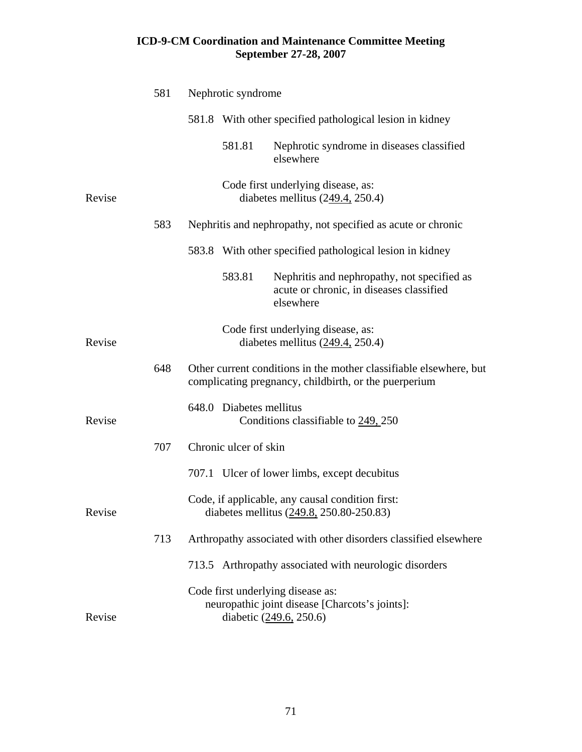|        | 581 | Nephrotic syndrome      |                                                                                                                             |
|--------|-----|-------------------------|-----------------------------------------------------------------------------------------------------------------------------|
|        |     |                         | 581.8 With other specified pathological lesion in kidney                                                                    |
|        |     | 581.81                  | Nephrotic syndrome in diseases classified<br>elsewhere                                                                      |
| Revise |     |                         | Code first underlying disease, as:<br>diabetes mellitus $(249.4, 250.4)$                                                    |
|        | 583 |                         | Nephritis and nephropathy, not specified as acute or chronic                                                                |
|        |     |                         | 583.8 With other specified pathological lesion in kidney                                                                    |
|        |     | 583.81                  | Nephritis and nephropathy, not specified as<br>acute or chronic, in diseases classified<br>elsewhere                        |
| Revise |     |                         | Code first underlying disease, as:<br>diabetes mellitus $(249.4, 250.4)$                                                    |
|        | 648 |                         | Other current conditions in the mother classifiable elsewhere, but<br>complicating pregnancy, childbirth, or the puerperium |
| Revise |     | 648.0 Diabetes mellitus | Conditions classifiable to 249, 250                                                                                         |
|        | 707 | Chronic ulcer of skin   |                                                                                                                             |
|        |     |                         | 707.1 Ulcer of lower limbs, except decubitus                                                                                |
| Revise |     |                         | Code, if applicable, any causal condition first:<br>diabetes mellitus (249.8, 250.80-250.83)                                |
|        | 713 |                         | Arthropathy associated with other disorders classified elsewhere                                                            |
|        |     |                         | 713.5 Arthropathy associated with neurologic disorders                                                                      |
| Revise |     |                         | Code first underlying disease as:<br>neuropathic joint disease [Charcots's joints]:<br>diabetic (249.6, 250.6)              |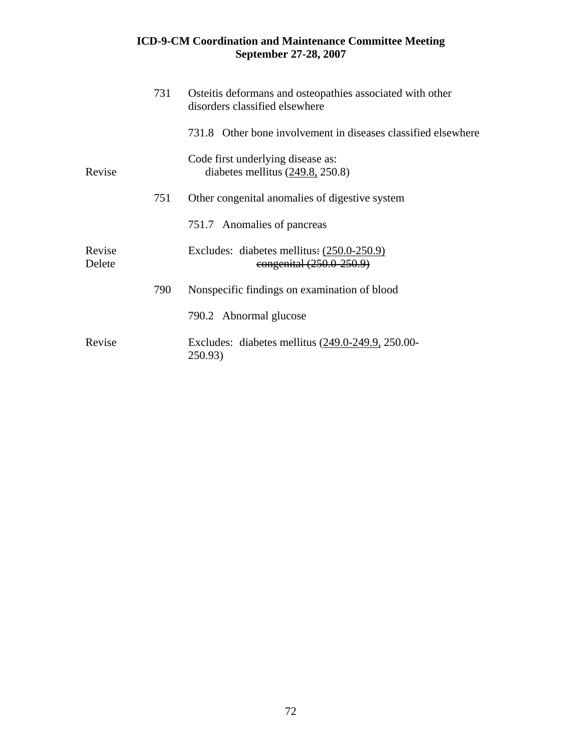|                  | 731 | Osteitis deformans and osteopathies associated with other<br>disorders classified elsewhere |
|------------------|-----|---------------------------------------------------------------------------------------------|
|                  |     | 731.8 Other bone involvement in diseases classified elsewhere                               |
| Revise           |     | Code first underlying disease as:<br>diabetes mellitus $(249.8, 250.8)$                     |
|                  | 751 | Other congenital anomalies of digestive system                                              |
|                  |     | 751.7 Anomalies of pancreas                                                                 |
| Revise<br>Delete |     | Excludes: diabetes mellitus: $(250.0-250.9)$<br>congenital (250.0-250.9)                    |
|                  | 790 | Nonspecific findings on examination of blood                                                |
|                  |     | 790.2 Abnormal glucose                                                                      |
| Revise           |     | Excludes: diabetes mellitus (249.0-249.9, 250.00-<br>250.93)                                |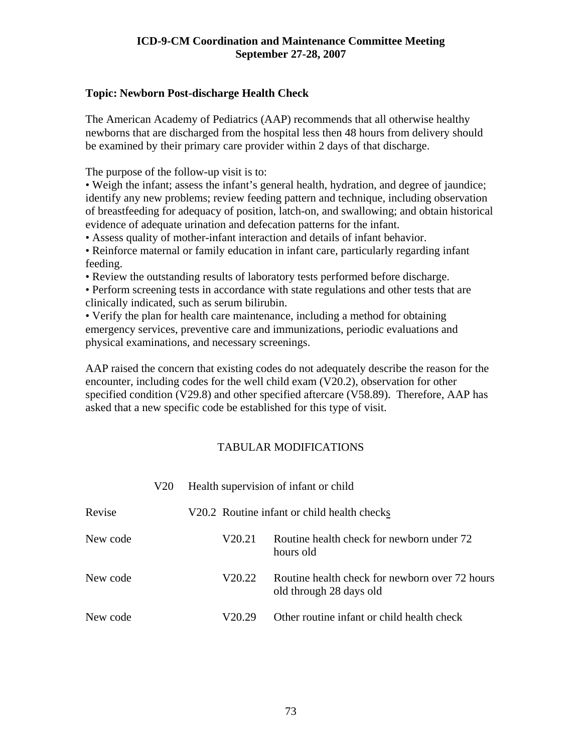### **Topic: Newborn Post-discharge Health Check**

The American Academy of Pediatrics (AAP) recommends that all otherwise healthy newborns that are discharged from the hospital less then 48 hours from delivery should be examined by their primary care provider within 2 days of that discharge.

The purpose of the follow-up visit is to:

• Weigh the infant; assess the infant's general health, hydration, and degree of jaundice; identify any new problems; review feeding pattern and technique, including observation of breastfeeding for adequacy of position, latch-on, and swallowing; and obtain historical evidence of adequate urination and defecation patterns for the infant.

• Assess quality of mother-infant interaction and details of infant behavior.

• Reinforce maternal or family education in infant care, particularly regarding infant feeding.

• Review the outstanding results of laboratory tests performed before discharge.

• Perform screening tests in accordance with state regulations and other tests that are clinically indicated, such as serum bilirubin.

• Verify the plan for health care maintenance, including a method for obtaining emergency services, preventive care and immunizations, periodic evaluations and physical examinations, and necessary screenings.

AAP raised the concern that existing codes do not adequately describe the reason for the encounter, including codes for the well child exam (V20.2), observation for other specified condition (V29.8) and other specified aftercare (V58.89). Therefore, AAP has asked that a new specific code be established for this type of visit.

|          | V20 |        | Health supervision of infant or child                                     |
|----------|-----|--------|---------------------------------------------------------------------------|
| Revise   |     |        | V20.2 Routine infant or child health checks                               |
| New code |     | V20.21 | Routine health check for newborn under 72<br>hours old                    |
| New code |     | V20.22 | Routine health check for newborn over 72 hours<br>old through 28 days old |
| New code |     | V20.29 | Other routine infant or child health check                                |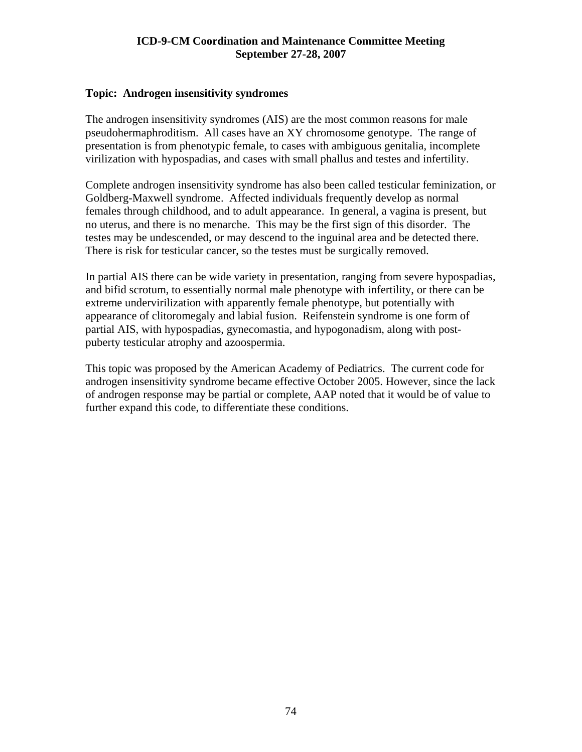#### **Topic: Androgen insensitivity syndromes**

The androgen insensitivity syndromes (AIS) are the most common reasons for male pseudohermaphroditism. All cases have an XY chromosome genotype. The range of presentation is from phenotypic female, to cases with ambiguous genitalia, incomplete virilization with hypospadias, and cases with small phallus and testes and infertility.

Complete androgen insensitivity syndrome has also been called testicular feminization, or Goldberg-Maxwell syndrome. Affected individuals frequently develop as normal females through childhood, and to adult appearance. In general, a vagina is present, but no uterus, and there is no menarche. This may be the first sign of this disorder. The testes may be undescended, or may descend to the inguinal area and be detected there. There is risk for testicular cancer, so the testes must be surgically removed.

In partial AIS there can be wide variety in presentation, ranging from severe hypospadias, and bifid scrotum, to essentially normal male phenotype with infertility, or there can be extreme undervirilization with apparently female phenotype, but potentially with appearance of clitoromegaly and labial fusion. Reifenstein syndrome is one form of partial AIS, with hypospadias, gynecomastia, and hypogonadism, along with postpuberty testicular atrophy and azoospermia.

This topic was proposed by the American Academy of Pediatrics. The current code for androgen insensitivity syndrome became effective October 2005. However, since the lack of androgen response may be partial or complete, AAP noted that it would be of value to further expand this code, to differentiate these conditions.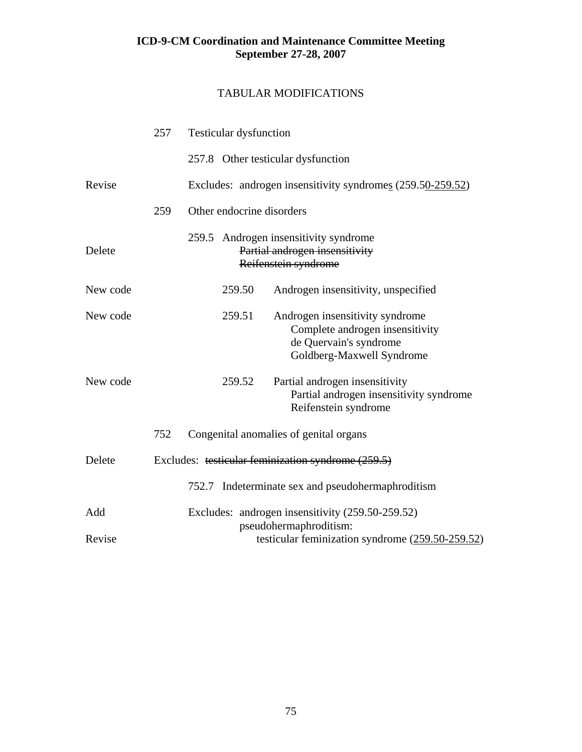|          | 257 | <b>Testicular dysfunction</b> |                                                                                                                           |
|----------|-----|-------------------------------|---------------------------------------------------------------------------------------------------------------------------|
|          |     |                               | 257.8 Other testicular dysfunction                                                                                        |
| Revise   |     |                               | Excludes: androgen insensitivity syndromes (259.50-259.52)                                                                |
|          | 259 | Other endocrine disorders     |                                                                                                                           |
| Delete   |     |                               | 259.5 Androgen insensitivity syndrome<br>Partial androgen insensitivity<br>Reifenstein syndrome                           |
| New code |     | 259.50                        | Androgen insensitivity, unspecified                                                                                       |
| New code |     | 259.51                        | Androgen insensitivity syndrome<br>Complete androgen insensitivity<br>de Quervain's syndrome<br>Goldberg-Maxwell Syndrome |
| New code |     | 259.52                        | Partial androgen insensitivity<br>Partial androgen insensitivity syndrome<br>Reifenstein syndrome                         |
|          | 752 |                               | Congenital anomalies of genital organs                                                                                    |
| Delete   |     |                               | Excludes: testicular feminization syndrome (259.5)                                                                        |
|          |     |                               | 752.7 Indeterminate sex and pseudohermaphroditism                                                                         |
| Add      |     |                               | Excludes: androgen insensitivity (259.50-259.52)<br>pseudohermaphroditism:                                                |
| Revise   |     |                               | testicular feminization syndrome $(259.50-259.52)$                                                                        |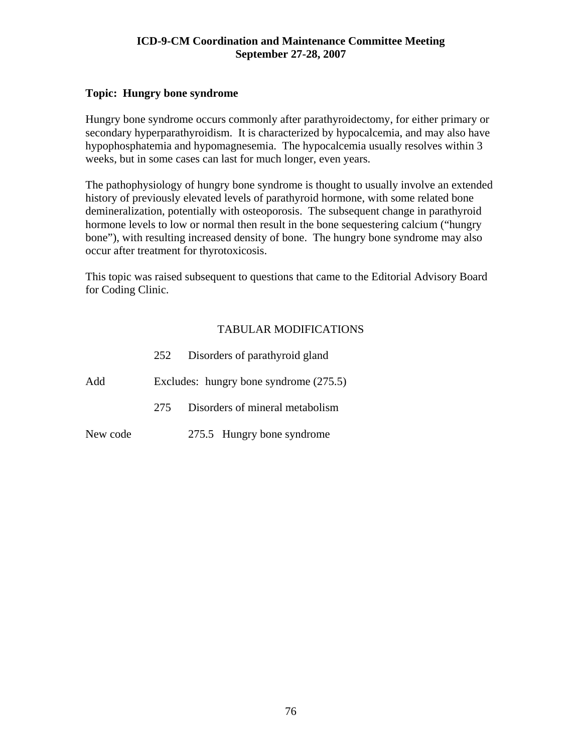### **Topic: Hungry bone syndrome**

Hungry bone syndrome occurs commonly after parathyroidectomy, for either primary or secondary hyperparathyroidism. It is characterized by hypocalcemia, and may also have hypophosphatemia and hypomagnesemia. The hypocalcemia usually resolves within 3 weeks, but in some cases can last for much longer, even years.

The pathophysiology of hungry bone syndrome is thought to usually involve an extended history of previously elevated levels of parathyroid hormone, with some related bone demineralization, potentially with osteoporosis. The subsequent change in parathyroid hormone levels to low or normal then result in the bone sequestering calcium ("hungry bone"), with resulting increased density of bone. The hungry bone syndrome may also occur after treatment for thyrotoxicosis.

This topic was raised subsequent to questions that came to the Editorial Advisory Board for Coding Clinic.

|          | 252 | Disorders of parathyroid gland           |
|----------|-----|------------------------------------------|
| Add      |     | Excludes: hungry bone syndrome $(275.5)$ |
|          | 275 | Disorders of mineral metabolism          |
| New code |     | 275.5 Hungry bone syndrome               |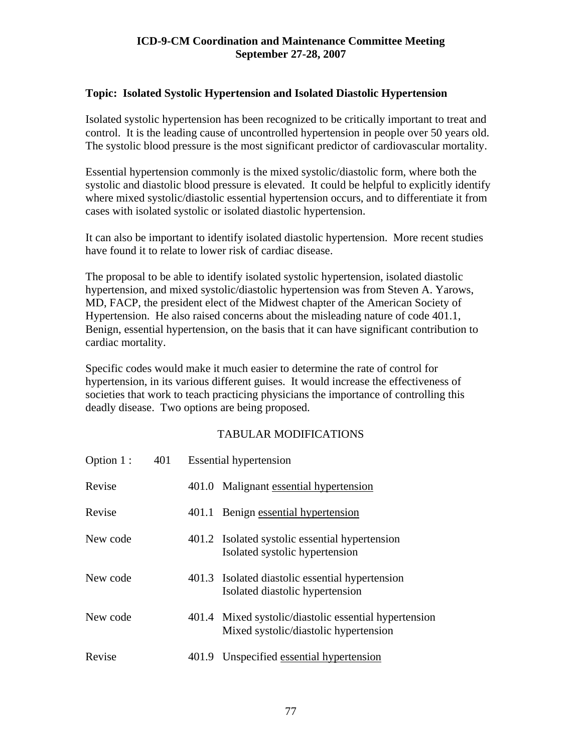## **Topic: Isolated Systolic Hypertension and Isolated Diastolic Hypertension**

Isolated systolic hypertension has been recognized to be critically important to treat and control. It is the leading cause of uncontrolled hypertension in people over 50 years old. The systolic blood pressure is the most significant predictor of cardiovascular mortality.

Essential hypertension commonly is the mixed systolic/diastolic form, where both the systolic and diastolic blood pressure is elevated. It could be helpful to explicitly identify where mixed systolic/diastolic essential hypertension occurs, and to differentiate it from cases with isolated systolic or isolated diastolic hypertension.

It can also be important to identify isolated diastolic hypertension. More recent studies have found it to relate to lower risk of cardiac disease.

The proposal to be able to identify isolated systolic hypertension, isolated diastolic hypertension, and mixed systolic/diastolic hypertension was from Steven A. Yarows, MD, FACP, the president elect of the Midwest chapter of the American Society of Hypertension. He also raised concerns about the misleading nature of code 401.1, Benign, essential hypertension, on the basis that it can have significant contribution to cardiac mortality.

Specific codes would make it much easier to determine the rate of control for hypertension, in its various different guises. It would increase the effectiveness of societies that work to teach practicing physicians the importance of controlling this deadly disease. Two options are being proposed.

| Option 1: | 401 |       | <b>Essential hypertension</b>                                                                  |
|-----------|-----|-------|------------------------------------------------------------------------------------------------|
| Revise    |     |       | 401.0 Malignant essential hypertension                                                         |
| Revise    |     | 401.1 | Benign essential hypertension                                                                  |
| New code  |     |       | 401.2 Isolated systolic essential hypertension<br>Isolated systolic hypertension               |
| New code  |     |       | 401.3 Isolated diastolic essential hypertension<br>Isolated diastolic hypertension             |
| New code  |     |       | 401.4 Mixed systolic/diastolic essential hypertension<br>Mixed systolic/diastolic hypertension |
| Revise    |     | 401.9 | Unspecified essential hypertension                                                             |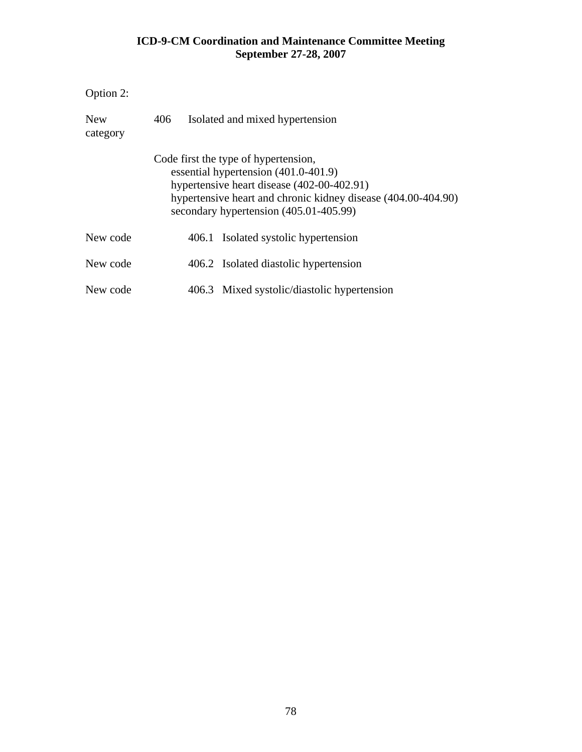| Option 2:              |     |       |                                                                                                                                                                                                                                       |
|------------------------|-----|-------|---------------------------------------------------------------------------------------------------------------------------------------------------------------------------------------------------------------------------------------|
| <b>New</b><br>category | 406 |       | Isolated and mixed hypertension                                                                                                                                                                                                       |
|                        |     |       | Code first the type of hypertension,<br>essential hypertension (401.0-401.9)<br>hypertensive heart disease (402-00-402.91)<br>hypertensive heart and chronic kidney disease (404.00-404.90)<br>secondary hypertension (405.01-405.99) |
| New code               |     | 406.1 | Isolated systolic hypertension                                                                                                                                                                                                        |
| New code               |     |       | 406.2 Isolated diastolic hypertension                                                                                                                                                                                                 |
| New code               |     | 406.3 | Mixed systolic/diastolic hypertension                                                                                                                                                                                                 |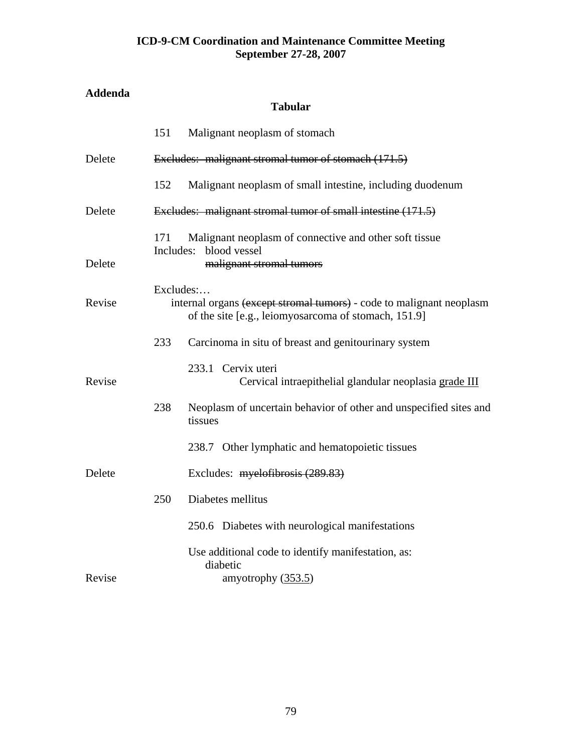# **Addenda**

## **Tabular**

|        | 151       | Malignant neoplasm of stomach                                                                                                |
|--------|-----------|------------------------------------------------------------------------------------------------------------------------------|
| Delete |           | Excludes: malignant stromal tumor of stomach (171.5)                                                                         |
|        | 152       | Malignant neoplasm of small intestine, including duodenum                                                                    |
| Delete |           | Excludes: malignant stromal tumor of small intestine (171.5)                                                                 |
| Delete | 171       | Malignant neoplasm of connective and other soft tissue<br>Includes: blood vessel<br>malignant stromal tumors                 |
| Revise | Excludes: | internal organs (except stromal tumors) - code to malignant neoplasm<br>of the site [e.g., leiomyosarcoma of stomach, 151.9] |
|        | 233       | Carcinoma in situ of breast and genitourinary system                                                                         |
| Revise |           | 233.1 Cervix uteri<br>Cervical intraepithelial glandular neoplasia grade III                                                 |
|        | 238       | Neoplasm of uncertain behavior of other and unspecified sites and<br>tissues                                                 |
|        |           | 238.7 Other lymphatic and hematopoietic tissues                                                                              |
| Delete |           | Excludes: myelofibrosis (289.83)                                                                                             |
|        | 250       | Diabetes mellitus                                                                                                            |
|        |           | 250.6 Diabetes with neurological manifestations                                                                              |
|        |           | Use additional code to identify manifestation, as:<br>diabetic                                                               |
| Revise |           | amyotrophy $(353.5)$                                                                                                         |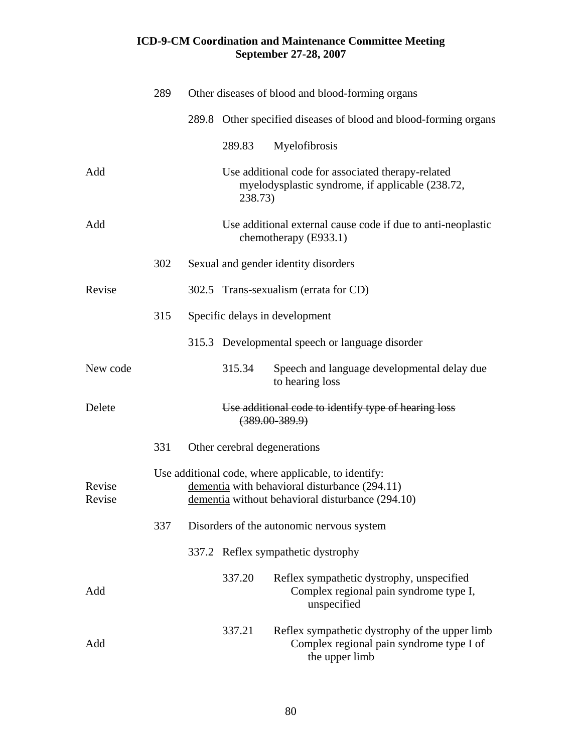|                  | 289 | Other diseases of blood and blood-forming organs                                                                                                         |
|------------------|-----|----------------------------------------------------------------------------------------------------------------------------------------------------------|
|                  |     | 289.8 Other specified diseases of blood and blood-forming organs                                                                                         |
|                  |     | 289.83<br>Myelofibrosis                                                                                                                                  |
| Add              |     | Use additional code for associated therapy-related<br>myelodysplastic syndrome, if applicable (238.72,<br>238.73)                                        |
| Add              |     | Use additional external cause code if due to anti-neoplastic<br>chemotherapy (E933.1)                                                                    |
|                  | 302 | Sexual and gender identity disorders                                                                                                                     |
| Revise           |     | 302.5 Trans-sexualism (errata for CD)                                                                                                                    |
|                  | 315 | Specific delays in development                                                                                                                           |
|                  |     | 315.3 Developmental speech or language disorder                                                                                                          |
| New code         |     | 315.34<br>Speech and language developmental delay due<br>to hearing loss                                                                                 |
| Delete           |     | Use additional code to identify type of hearing loss<br>$(389.00 - 389.9)$                                                                               |
|                  | 331 | Other cerebral degenerations                                                                                                                             |
| Revise<br>Revise |     | Use additional code, where applicable, to identify:<br>dementia with behavioral disturbance (294.11)<br>dementia without behavioral disturbance (294.10) |
|                  | 337 | Disorders of the autonomic nervous system                                                                                                                |
|                  |     | 337.2 Reflex sympathetic dystrophy                                                                                                                       |
| Add              |     | 337.20<br>Reflex sympathetic dystrophy, unspecified<br>Complex regional pain syndrome type I,<br>unspecified                                             |
| Add              |     | 337.21<br>Reflex sympathetic dystrophy of the upper limb<br>Complex regional pain syndrome type I of<br>the upper limb                                   |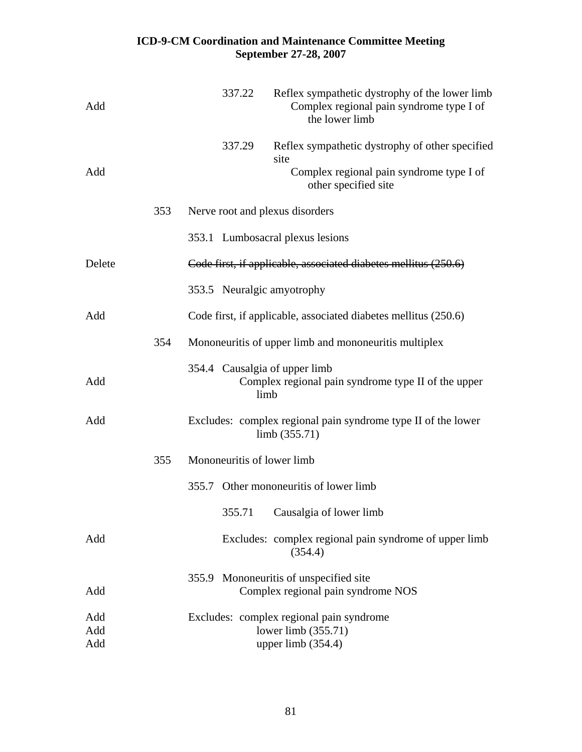| Add               |     | 337.22<br>Reflex sympathetic dystrophy of the lower limb<br>Complex regional pain syndrome type I of<br>the lower limb                |
|-------------------|-----|---------------------------------------------------------------------------------------------------------------------------------------|
| Add               |     | 337.29<br>Reflex sympathetic dystrophy of other specified<br>site<br>Complex regional pain syndrome type I of<br>other specified site |
|                   | 353 | Nerve root and plexus disorders                                                                                                       |
|                   |     | 353.1 Lumbosacral plexus lesions                                                                                                      |
| Delete            |     | Code first, if applicable, associated diabetes mellitus (250.6)                                                                       |
|                   |     | 353.5 Neuralgic amyotrophy                                                                                                            |
| Add               |     | Code first, if applicable, associated diabetes mellitus (250.6)                                                                       |
|                   | 354 | Mononeuritis of upper limb and mononeuritis multiplex                                                                                 |
| Add               |     | 354.4 Causalgia of upper limb<br>Complex regional pain syndrome type II of the upper<br>limb                                          |
| Add               |     | Excludes: complex regional pain syndrome type II of the lower<br>limb $(355.71)$                                                      |
|                   | 355 | Mononeuritis of lower limb                                                                                                            |
|                   |     | 355.7 Other mononeuritis of lower limb                                                                                                |
|                   |     | 355.71 Causalgia of lower limb                                                                                                        |
| Add               |     | Excludes: complex regional pain syndrome of upper limb<br>(354.4)                                                                     |
| Add               |     | Mononeuritis of unspecified site<br>355.9<br>Complex regional pain syndrome NOS                                                       |
| Add<br>Add<br>Add |     | Excludes: complex regional pain syndrome<br>lower limb $(355.71)$<br>upper limb $(354.4)$                                             |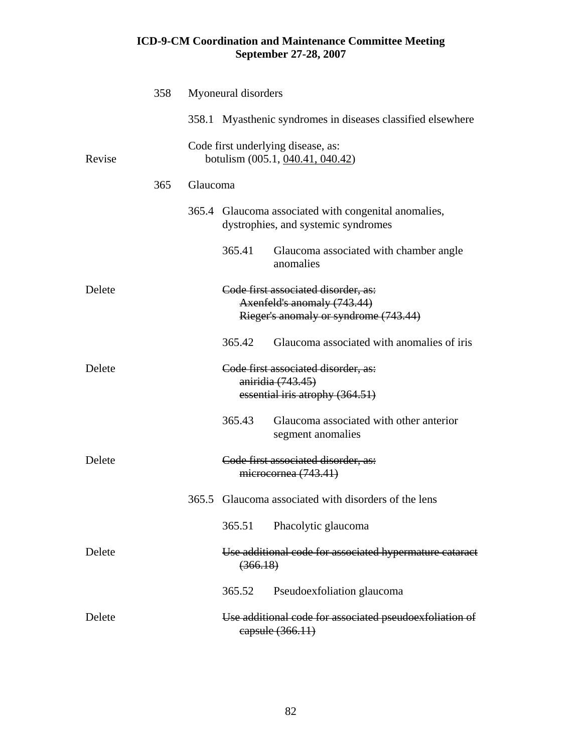|        | 358 |          | Myoneural disorders |                                                                                                             |
|--------|-----|----------|---------------------|-------------------------------------------------------------------------------------------------------------|
|        |     |          |                     | 358.1 Myasthenic syndromes in diseases classified elsewhere                                                 |
| Revise |     |          |                     | Code first underlying disease, as:<br>botulism (005.1, 040.41, 040.42)                                      |
|        | 365 | Glaucoma |                     |                                                                                                             |
|        |     |          |                     | 365.4 Glaucoma associated with congenital anomalies,<br>dystrophies, and systemic syndromes                 |
|        |     |          | 365.41              | Glaucoma associated with chamber angle<br>anomalies                                                         |
| Delete |     |          |                     | Code first associated disorder, as:<br>Axenfeld's anomaly (743.44)<br>Rieger's anomaly or syndrome (743.44) |
|        |     |          | 365.42              | Glaucoma associated with anomalies of iris                                                                  |
| Delete |     |          |                     | Code first associated disorder, as:<br>aniridia (743.45)                                                    |
|        |     |          |                     | essential iris atrophy (364.51)                                                                             |
|        |     |          | 365.43              | Glaucoma associated with other anterior<br>segment anomalies                                                |
| Delete |     |          |                     | Code first associated disorder, as:<br>microcornea (743.41)                                                 |
|        |     | 365.5    |                     | Glaucoma associated with disorders of the lens                                                              |
|        |     |          | 365.51              | Phacolytic glaucoma                                                                                         |
| Delete |     |          | (366.18)            | Use additional code for associated hypermature cataract                                                     |
|        |     |          | 365.52              | Pseudoexfoliation glaucoma                                                                                  |
| Delete |     |          |                     | Use additional code for associated pseudoexfoliation of<br>eapsule (366.11)                                 |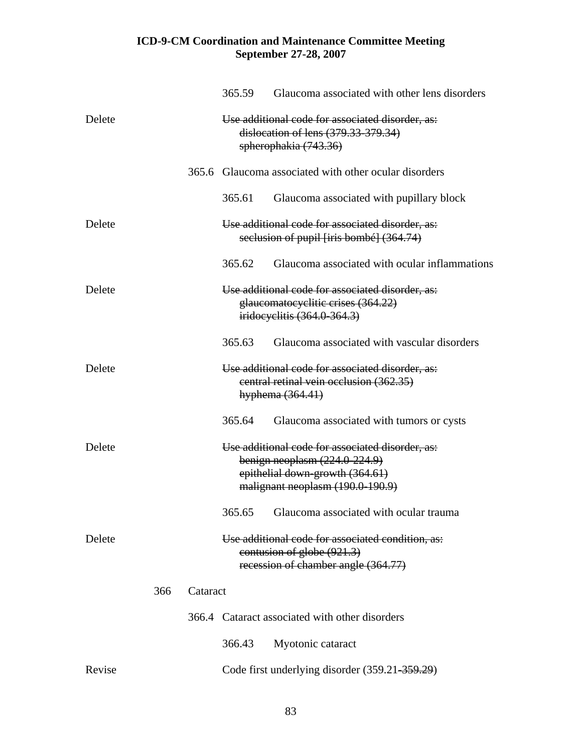|        |     |          | 365.59 | Glaucoma associated with other lens disorders                                                                                                              |
|--------|-----|----------|--------|------------------------------------------------------------------------------------------------------------------------------------------------------------|
| Delete |     |          |        | Use additional code for associated disorder, as:<br>dislocation of lens (379.33-379.34)<br>spherophakia (743.36)                                           |
|        |     |          |        | 365.6 Glaucoma associated with other ocular disorders                                                                                                      |
|        |     |          | 365.61 | Glaucoma associated with pupillary block                                                                                                                   |
| Delete |     |          |        | Use additional code for associated disorder, as:<br>seclusion of pupil [iris bombé] (364.74)                                                               |
|        |     |          | 365.62 | Glaucoma associated with ocular inflammations                                                                                                              |
| Delete |     |          |        | Use additional code for associated disorder, as:<br>glaucomatocyclitic crises (364.22)<br>iridocyclitis (364.0-364.3)                                      |
|        |     |          | 365.63 | Glaucoma associated with vascular disorders                                                                                                                |
| Delete |     |          |        | Use additional code for associated disorder, as:<br>central retinal vein occlusion (362.35)<br>hyphema (364.41)                                            |
|        |     |          | 365.64 | Glaucoma associated with tumors or cysts                                                                                                                   |
| Delete |     |          |        | Use additional code for associated disorder, as:<br>benign neoplasm $(224.0-224.9)$<br>epithelial down-growth (364.61)<br>malignant neoplasm (190.0-190.9) |
|        |     |          |        | 365.65 Glaucoma associated with ocular trauma                                                                                                              |
| Delete |     |          |        | Use additional code for associated condition, as:<br>contusion of globe (921.3)<br>recession of chamber angle (364.77)                                     |
|        | 366 | Cataract |        |                                                                                                                                                            |
|        |     |          |        | 366.4 Cataract associated with other disorders                                                                                                             |
|        |     |          | 366.43 | Myotonic cataract                                                                                                                                          |
| Revise |     |          |        | Code first underlying disorder (359.21-359.29)                                                                                                             |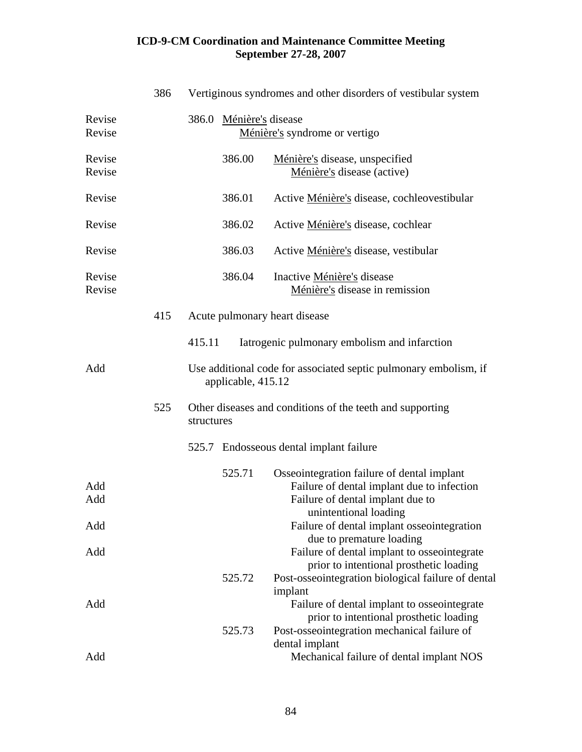|                   | 386 | Vertiginous syndromes and other disorders of vestibular system                                                                                                                                                |
|-------------------|-----|---------------------------------------------------------------------------------------------------------------------------------------------------------------------------------------------------------------|
| Revise<br>Revise  |     | 386.0 Ménière's disease<br>Ménière's syndrome or vertigo                                                                                                                                                      |
| Revise<br>Revise  |     | 386.00<br>Ménière's disease, unspecified<br>Ménière's disease (active)                                                                                                                                        |
| Revise            |     | 386.01<br>Active Ménière's disease, cochleovestibular                                                                                                                                                         |
| Revise            |     | 386.02<br>Active Ménière's disease, cochlear                                                                                                                                                                  |
| Revise            |     | 386.03<br>Active Ménière's disease, vestibular                                                                                                                                                                |
| Revise<br>Revise  |     | 386.04<br>Inactive Ménière's disease<br>Ménière's disease in remission                                                                                                                                        |
|                   | 415 | Acute pulmonary heart disease                                                                                                                                                                                 |
|                   |     | 415.11<br>Iatrogenic pulmonary embolism and infarction                                                                                                                                                        |
| Add               |     | Use additional code for associated septic pulmonary embolism, if<br>applicable, 415.12                                                                                                                        |
|                   | 525 | Other diseases and conditions of the teeth and supporting<br>structures                                                                                                                                       |
|                   |     | 525.7 Endosseous dental implant failure                                                                                                                                                                       |
| Add<br>Add<br>Add |     | Osseointegration failure of dental implant<br>525.71<br>Failure of dental implant due to infection<br>Failure of dental implant due to<br>unintentional loading<br>Failure of dental implant osseointegration |
| Add               |     | due to premature loading<br>Failure of dental implant to osseointegrate                                                                                                                                       |
| Add               |     | prior to intentional prosthetic loading<br>Post-osseointegration biological failure of dental<br>525.72<br>implant<br>Failure of dental implant to osseointegrate                                             |
| Add               |     | prior to intentional prosthetic loading<br>525.73<br>Post-osseointegration mechanical failure of<br>dental implant<br>Mechanical failure of dental implant NOS                                                |
|                   |     |                                                                                                                                                                                                               |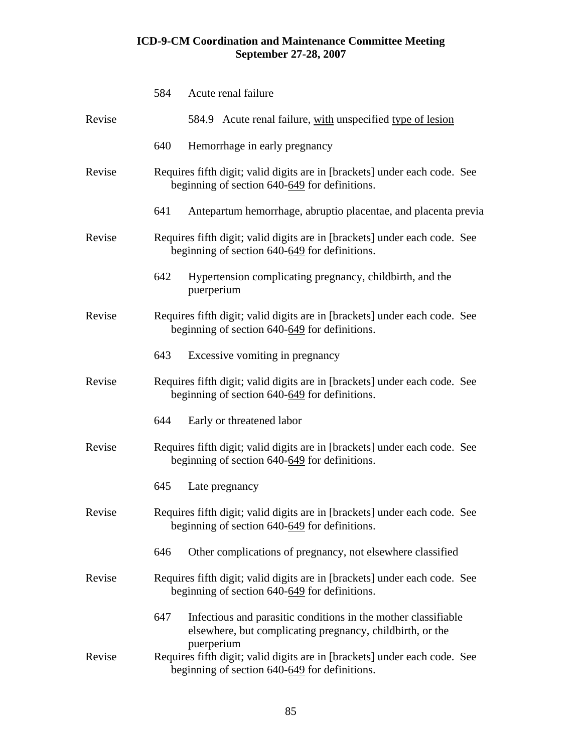|        | 584 | Acute renal failure                                                                                                                      |
|--------|-----|------------------------------------------------------------------------------------------------------------------------------------------|
| Revise |     | 584.9 Acute renal failure, with unspecified type of lesion                                                                               |
|        | 640 | Hemorrhage in early pregnancy                                                                                                            |
| Revise |     | Requires fifth digit; valid digits are in [brackets] under each code. See<br>beginning of section 640-649 for definitions.               |
|        | 641 | Antepartum hemorrhage, abruptio placentae, and placenta previa                                                                           |
| Revise |     | Requires fifth digit; valid digits are in [brackets] under each code. See<br>beginning of section 640-649 for definitions.               |
|        | 642 | Hypertension complicating pregnancy, childbirth, and the<br>puerperium                                                                   |
| Revise |     | Requires fifth digit; valid digits are in [brackets] under each code. See<br>beginning of section $640-649$ for definitions.             |
|        | 643 | Excessive vomiting in pregnancy                                                                                                          |
| Revise |     | Requires fifth digit; valid digits are in [brackets] under each code. See<br>beginning of section 640-649 for definitions.               |
|        | 644 | Early or threatened labor                                                                                                                |
| Revise |     | Requires fifth digit; valid digits are in [brackets] under each code. See<br>beginning of section 640-649 for definitions.               |
|        | 645 | Late pregnancy                                                                                                                           |
| Revise |     | Requires fifth digit; valid digits are in [brackets] under each code. See<br>beginning of section 640-649 for definitions.               |
|        | 646 | Other complications of pregnancy, not elsewhere classified                                                                               |
| Revise |     | Requires fifth digit; valid digits are in [brackets] under each code. See<br>beginning of section $640-649$ for definitions.             |
|        | 647 | Infectious and parasitic conditions in the mother classifiable<br>elsewhere, but complicating pregnancy, childbirth, or the              |
| Revise |     | puerperium<br>Requires fifth digit; valid digits are in [brackets] under each code. See<br>beginning of section 640-649 for definitions. |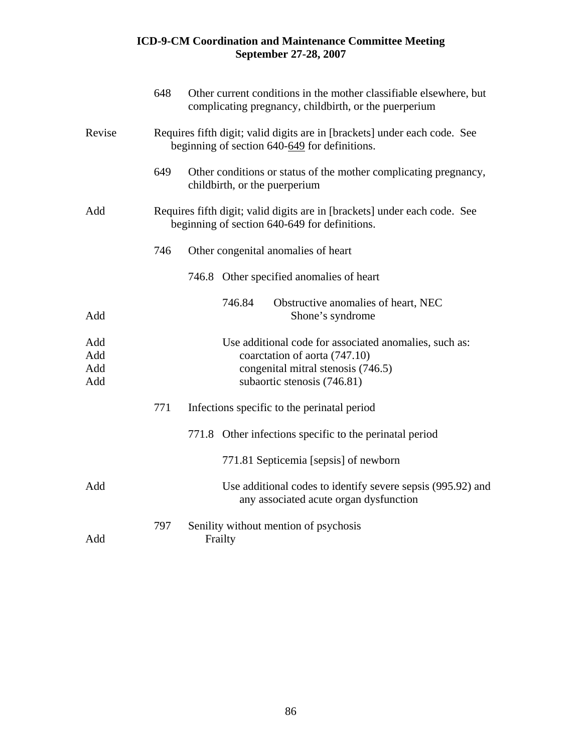|                          | 648 | Other current conditions in the mother classifiable elsewhere, but<br>complicating pregnancy, childbirth, or the puerperium                                  |
|--------------------------|-----|--------------------------------------------------------------------------------------------------------------------------------------------------------------|
| Revise                   |     | Requires fifth digit; valid digits are in [brackets] under each code. See<br>beginning of section 640-649 for definitions.                                   |
|                          | 649 | Other conditions or status of the mother complicating pregnancy,<br>childbirth, or the puerperium                                                            |
| Add                      |     | Requires fifth digit; valid digits are in [brackets] under each code. See<br>beginning of section 640-649 for definitions.                                   |
|                          | 746 | Other congenital anomalies of heart                                                                                                                          |
|                          |     | 746.8 Other specified anomalies of heart                                                                                                                     |
| Add                      |     | 746.84<br>Obstructive anomalies of heart, NEC<br>Shone's syndrome                                                                                            |
| Add<br>Add<br>Add<br>Add |     | Use additional code for associated anomalies, such as:<br>coarctation of aorta (747.10)<br>congenital mitral stenosis (746.5)<br>subaortic stenosis (746.81) |
|                          | 771 | Infections specific to the perinatal period                                                                                                                  |
|                          |     | 771.8 Other infections specific to the perinatal period                                                                                                      |
|                          |     | 771.81 Septicemia [sepsis] of newborn                                                                                                                        |
| Add                      |     | Use additional codes to identify severe sepsis (995.92) and<br>any associated acute organ dysfunction                                                        |
| Add                      | 797 | Senility without mention of psychosis<br>Frailty                                                                                                             |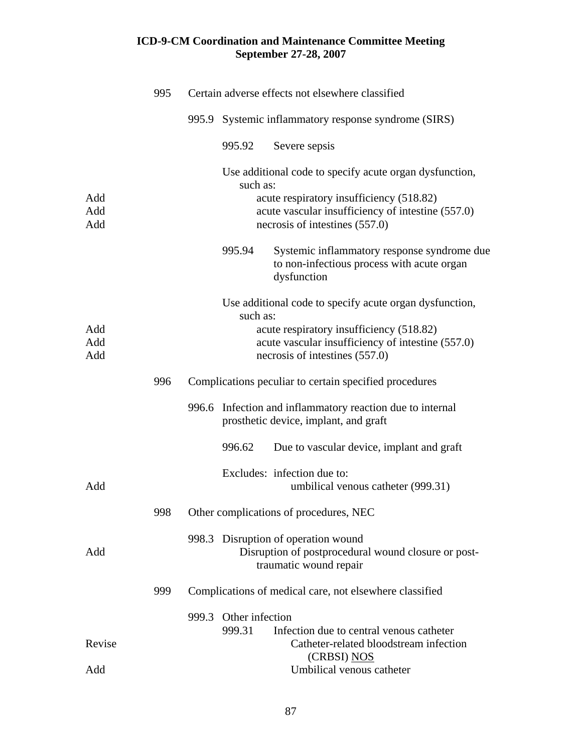|                   | 995 |                       |          | Certain adverse effects not elsewhere classified                                                                                |
|-------------------|-----|-----------------------|----------|---------------------------------------------------------------------------------------------------------------------------------|
|                   |     |                       |          | 995.9 Systemic inflammatory response syndrome (SIRS)                                                                            |
|                   |     |                       | 995.92   | Severe sepsis                                                                                                                   |
|                   |     |                       | such as: | Use additional code to specify acute organ dysfunction,                                                                         |
| Add<br>Add<br>Add |     |                       |          | acute respiratory insufficiency (518.82)<br>acute vascular insufficiency of intestine (557.0)<br>necrosis of intestines (557.0) |
|                   |     |                       | 995.94   | Systemic inflammatory response syndrome due<br>to non-infectious process with acute organ<br>dysfunction                        |
|                   |     |                       | such as: | Use additional code to specify acute organ dysfunction,                                                                         |
| Add<br>Add<br>Add |     |                       |          | acute respiratory insufficiency (518.82)<br>acute vascular insufficiency of intestine (557.0)<br>necrosis of intestines (557.0) |
|                   | 996 |                       |          | Complications peculiar to certain specified procedures                                                                          |
|                   |     |                       |          | 996.6 Infection and inflammatory reaction due to internal<br>prosthetic device, implant, and graft                              |
|                   |     |                       | 996.62   | Due to vascular device, implant and graft                                                                                       |
| Add               |     |                       |          | Excludes: infection due to:<br>umbilical venous catheter (999.31)                                                               |
|                   | 998 |                       |          | Other complications of procedures, NEC                                                                                          |
| Add               |     |                       |          | 998.3 Disruption of operation wound<br>Disruption of postprocedural wound closure or post-<br>traumatic wound repair            |
|                   | 999 |                       |          | Complications of medical care, not elsewhere classified                                                                         |
|                   |     | 999.3 Other infection | 999.31   | Infection due to central venous catheter                                                                                        |
| Revise            |     |                       |          | Catheter-related bloodstream infection<br>(CRBSI) NOS                                                                           |
| Add               |     |                       |          | Umbilical venous catheter                                                                                                       |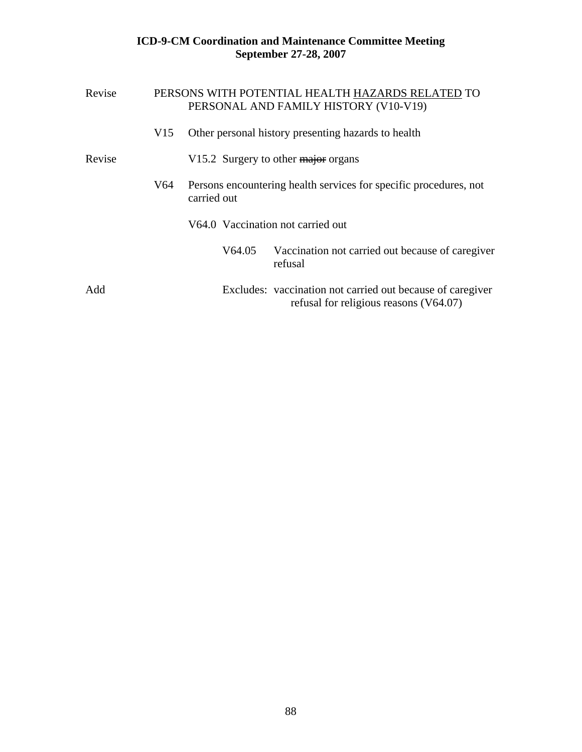| Revise |     |             |        | PERSONS WITH POTENTIAL HEALTH HAZARDS RELATED TO<br>PERSONAL AND FAMILY HISTORY (V10-V19)            |
|--------|-----|-------------|--------|------------------------------------------------------------------------------------------------------|
|        | V15 |             |        | Other personal history presenting hazards to health                                                  |
| Revise |     |             |        | V15.2 Surgery to other major organs                                                                  |
|        | V64 | carried out |        | Persons encountering health services for specific procedures, not                                    |
|        |     |             |        | V64.0 Vaccination not carried out                                                                    |
|        |     |             | V64.05 | Vaccination not carried out because of caregiver<br>refusal                                          |
| Add    |     |             |        | Excludes: vaccination not carried out because of caregiver<br>refusal for religious reasons (V64.07) |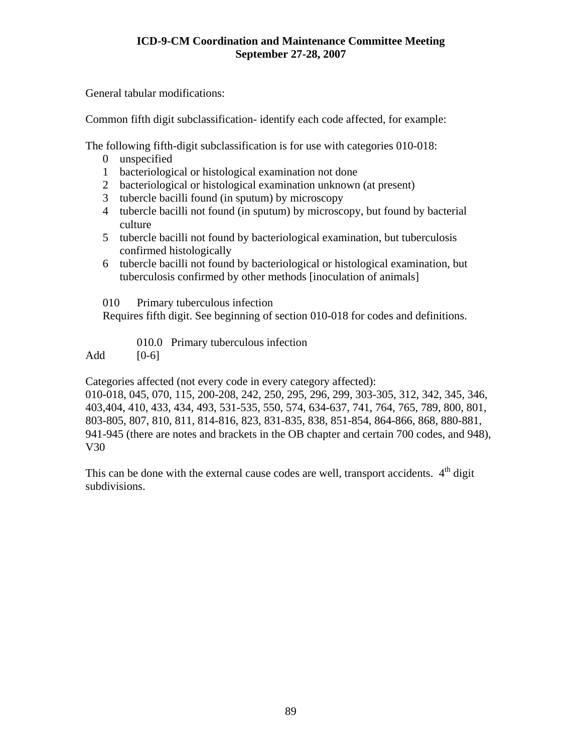General tabular modifications:

Common fifth digit subclassification- identify each code affected, for example:

The following fifth-digit subclassification is for use with categories 010-018:

- 0 unspecified
- 1 bacteriological or histological examination not done
- 2 bacteriological or histological examination unknown (at present)
- 3 tubercle bacilli found (in sputum) by microscopy
- 4 tubercle bacilli not found (in sputum) by microscopy, but found by bacterial culture
- 5 tubercle bacilli not found by bacteriological examination, but tuberculosis confirmed histologically
- 6 tubercle bacilli not found by bacteriological or histological examination, but tuberculosis confirmed by other methods [inoculation of animals]
- 010 Primary tuberculous infection

Requires fifth digit. See beginning of section 010-018 for codes and definitions.

010.0 Primary tuberculous infection

Add  $[0-6]$ 

Categories affected (not every code in every category affected):

010-018, 045, 070, 115, 200-208, 242, 250, 295, 296, 299, 303-305, 312, 342, 345, 346, 403,404, 410, 433, 434, 493, 531-535, 550, 574, 634-637, 741, 764, 765, 789, 800, 801, 803-805, 807, 810, 811, 814-816, 823, 831-835, 838, 851-854, 864-866, 868, 880-881, 941-945 (there are notes and brackets in the OB chapter and certain 700 codes, and 948), V30

This can be done with the external cause codes are well, transport accidents.  $4<sup>th</sup>$  digit subdivisions.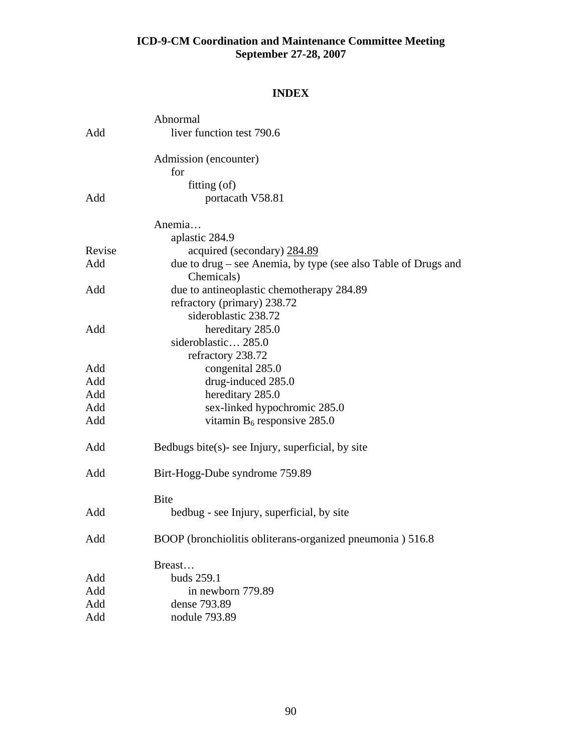## **INDEX**

| due to drug – see Anemia, by type (see also Table of Drugs and |
|----------------------------------------------------------------|
|                                                                |
|                                                                |
|                                                                |
|                                                                |
|                                                                |
|                                                                |
|                                                                |
|                                                                |
|                                                                |
|                                                                |
|                                                                |
|                                                                |
|                                                                |
|                                                                |
|                                                                |
|                                                                |
|                                                                |
|                                                                |
|                                                                |
|                                                                |
|                                                                |
|                                                                |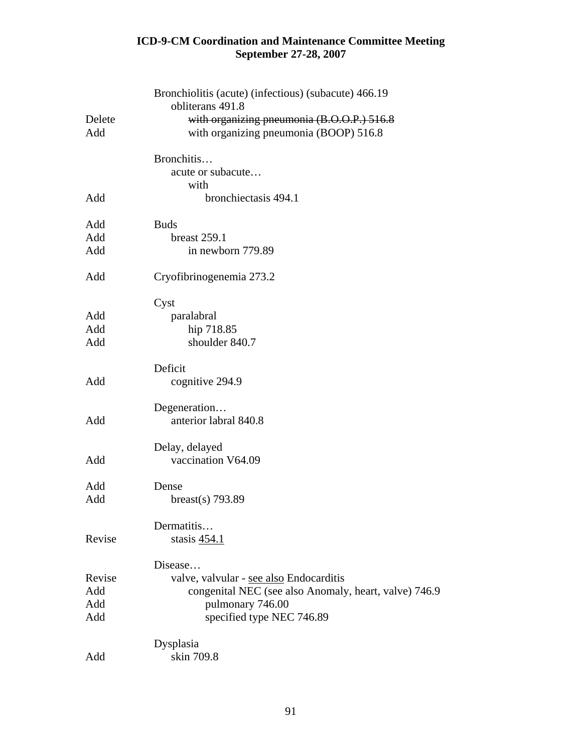| Delete<br>Add | Bronchiolitis (acute) (infectious) (subacute) 466.19<br>obliterans 491.8<br>with organizing pneumonia (B.O.O.P.) 516.8<br>with organizing pneumonia (BOOP) 516.8 |
|---------------|------------------------------------------------------------------------------------------------------------------------------------------------------------------|
|               | Bronchitis<br>acute or subacute                                                                                                                                  |
| Add           | with<br>bronchiectasis 494.1                                                                                                                                     |
| Add           | <b>Buds</b>                                                                                                                                                      |
| Add<br>Add    | breast 259.1<br>in newborn 779.89                                                                                                                                |
| Add           | Cryofibrinogenemia 273.2                                                                                                                                         |
|               | Cyst                                                                                                                                                             |
| Add           | paralabral                                                                                                                                                       |
| Add           | hip 718.85                                                                                                                                                       |
| Add           | shoulder 840.7                                                                                                                                                   |
| Add           | Deficit<br>cognitive 294.9                                                                                                                                       |
| Add           | Degeneration<br>anterior labral 840.8                                                                                                                            |
| Add           | Delay, delayed<br>vaccination V64.09                                                                                                                             |
| Add           | Dense                                                                                                                                                            |
| Add           | breast(s) $793.89$                                                                                                                                               |
| Revise        | Dermatitis<br>stasis 454.1                                                                                                                                       |
|               | Disease                                                                                                                                                          |
| Revise        | valve, valvular - see also Endocarditis                                                                                                                          |
| Add           | congenital NEC (see also Anomaly, heart, valve) 746.9                                                                                                            |
| Add           | pulmonary 746.00                                                                                                                                                 |
| Add           | specified type NEC 746.89                                                                                                                                        |
|               | Dysplasia                                                                                                                                                        |
| Add           | skin 709.8                                                                                                                                                       |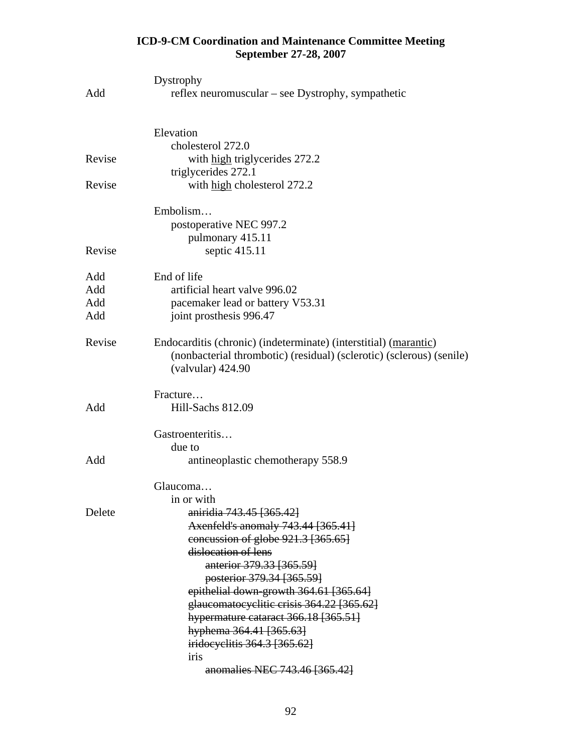|        | Dystrophy                                                                                                                                                             |
|--------|-----------------------------------------------------------------------------------------------------------------------------------------------------------------------|
| Add    | reflex neuromuscular – see Dystrophy, sympathetic                                                                                                                     |
|        | Elevation                                                                                                                                                             |
|        | cholesterol 272.0                                                                                                                                                     |
| Revise | with high triglycerides 272.2                                                                                                                                         |
|        | triglycerides 272.1                                                                                                                                                   |
| Revise | with high cholesterol 272.2                                                                                                                                           |
|        | Embolism                                                                                                                                                              |
|        | postoperative NEC 997.2                                                                                                                                               |
|        | pulmonary 415.11                                                                                                                                                      |
| Revise | septic 415.11                                                                                                                                                         |
| Add    | End of life                                                                                                                                                           |
| Add    | artificial heart valve 996.02                                                                                                                                         |
| Add    | pacemaker lead or battery V53.31                                                                                                                                      |
| Add    | joint prosthesis 996.47                                                                                                                                               |
| Revise | Endocarditis (chronic) (indeterminate) (interstitial) (marantic)<br>(nonbacterial thrombotic) (residual) (sclerotic) (sclerous) (senile)<br>$\left($ valvular) 424.90 |
|        | Fracture                                                                                                                                                              |
| Add    | Hill-Sachs 812.09                                                                                                                                                     |
|        | Gastroenteritis                                                                                                                                                       |
|        | due to                                                                                                                                                                |
| Add    | antineoplastic chemotherapy 558.9                                                                                                                                     |
|        | Glaucoma                                                                                                                                                              |
|        | in or with                                                                                                                                                            |
| Delete | aniridia 743.45 [365.42]                                                                                                                                              |
|        | Axenfeld's anomaly 743.44 [365.41]                                                                                                                                    |
|        | concussion of globe 921.3 [365.65]                                                                                                                                    |
|        | dislocation of lens                                                                                                                                                   |
|        | anterior 379.33 [365.59]                                                                                                                                              |
|        | posterior 379.34 [365.59]                                                                                                                                             |
|        | epithelial down-growth 364.61 [365.64]<br>glaucomatocyclitic crisis 364.22 [365.62]                                                                                   |
|        | hypermature cataract 366.18 [365.51]                                                                                                                                  |
|        | hyphema 364.41 [365.63]                                                                                                                                               |
|        | iridocyclitis 364.3 [365.62]                                                                                                                                          |
|        | iris                                                                                                                                                                  |
|        | anomalies NEC 743.46 [365.42]                                                                                                                                         |
|        |                                                                                                                                                                       |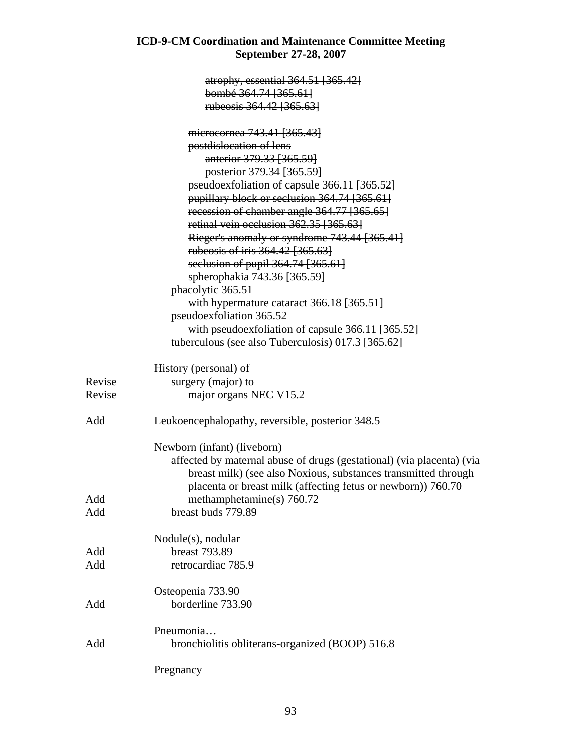|        | atrophy, essential 364.51 [365.42]                                    |
|--------|-----------------------------------------------------------------------|
|        | bombé 364.74 [365.61]                                                 |
|        | rubeosis 364.42 [365.63]                                              |
|        |                                                                       |
|        | microcornea 743.41 [365.43]                                           |
|        | postdislocation of lens                                               |
|        | anterior 379.33 [365.59]                                              |
|        | posterior 379.34 [365.59]                                             |
|        | pseudoexfoliation of capsule 366.11 [365.52]                          |
|        | pupillary block or seclusion 364.74 [365.61]                          |
|        | recession of chamber angle 364.77 [365.65]                            |
|        | retinal vein occlusion 362.35 [365.63]                                |
|        | Rieger's anomaly or syndrome 743.44 [365.41]                          |
|        | rubeosis of iris 364.42 [365.63]                                      |
|        |                                                                       |
|        | seclusion of pupil 364.74 [365.61]                                    |
|        | spherophakia 743.36 [365.59]                                          |
|        | phacolytic 365.51                                                     |
|        | with hypermature cataract 366.18 [365.51]                             |
|        | pseudoexfoliation 365.52                                              |
|        | with pseudoexfoliation of capsule 366.11 [365.52]                     |
|        | tuberculous (see also Tuberculosis) 017.3 [365.62]                    |
|        | History (personal) of                                                 |
| Revise | surgery (major) to                                                    |
| Revise |                                                                       |
|        | major organs NEC V15.2                                                |
| Add    | Leukoencephalopathy, reversible, posterior 348.5                      |
|        | Newborn (infant) (liveborn)                                           |
|        | affected by maternal abuse of drugs (gestational) (via placenta) (via |
|        | breast milk) (see also Noxious, substances transmitted through        |
|        | placenta or breast milk (affecting fetus or newborn)) 760.70          |
| Add    |                                                                       |
|        | methamphetamine(s) $760.72$<br>breast buds 779.89                     |
| Add    |                                                                       |
|        | Nodule(s), nodular                                                    |
| Add    | breast 793.89                                                         |
| Add    | retrocardiac 785.9                                                    |
|        |                                                                       |
|        | Osteopenia 733.90                                                     |
| Add    | borderline 733.90                                                     |
|        |                                                                       |
|        | Pneumonia                                                             |
| Add    | bronchiolitis obliterans-organized (BOOP) 516.8                       |
|        |                                                                       |
|        | Pregnancy                                                             |
|        |                                                                       |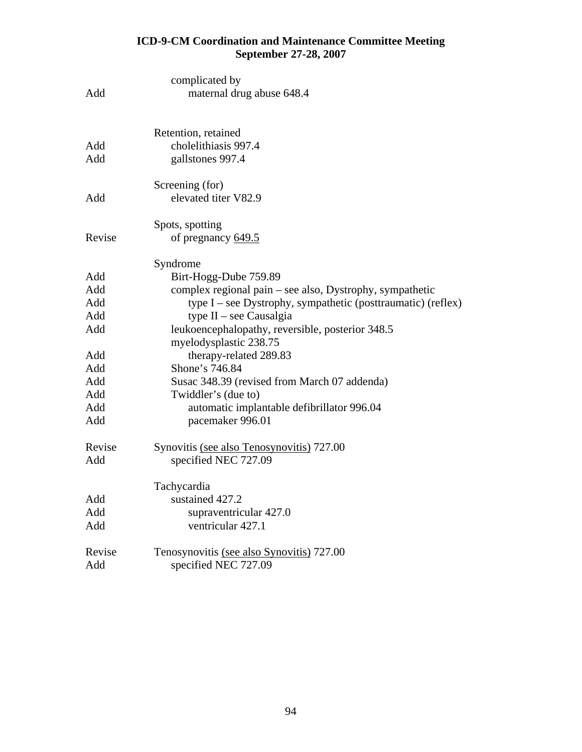| Add        | complicated by<br>maternal drug abuse 648.4                    |
|------------|----------------------------------------------------------------|
|            |                                                                |
|            | Retention, retained                                            |
| Add        | cholelithiasis 997.4                                           |
| Add        | gallstones 997.4                                               |
|            | Screening (for)                                                |
| Add        | elevated titer V82.9                                           |
|            | Spots, spotting                                                |
| Revise     | of pregnancy 649.5                                             |
|            | Syndrome                                                       |
| Add        | Birt-Hogg-Dube 759.89                                          |
| Add        | complex regional pain – see also, Dystrophy, sympathetic       |
| Add        | type $I$ – see Dystrophy, sympathetic (posttraumatic) (reflex) |
| Add        | type $II$ – see Causalgia                                      |
| Add        | leukoencephalopathy, reversible, posterior 348.5               |
|            | myelodysplastic 238.75                                         |
| Add        | therapy-related 289.83                                         |
| Add        | Shone's 746.84                                                 |
| Add        | Susac 348.39 (revised from March 07 addenda)                   |
| Add<br>Add | Twiddler's (due to)                                            |
| Add        | automatic implantable defibrillator 996.04<br>pacemaker 996.01 |
| Revise     | Synovitis (see also Tenosynovitis) 727.00                      |
| Add        | specified NEC 727.09                                           |
|            | Tachycardia                                                    |
| Add        | sustained 427.2                                                |
| Add        | supraventricular 427.0                                         |
| Add        | ventricular 427.1                                              |
| Revise     | Tenosynovitis (see also Synovitis) 727.00                      |
| Add        | specified NEC 727.09                                           |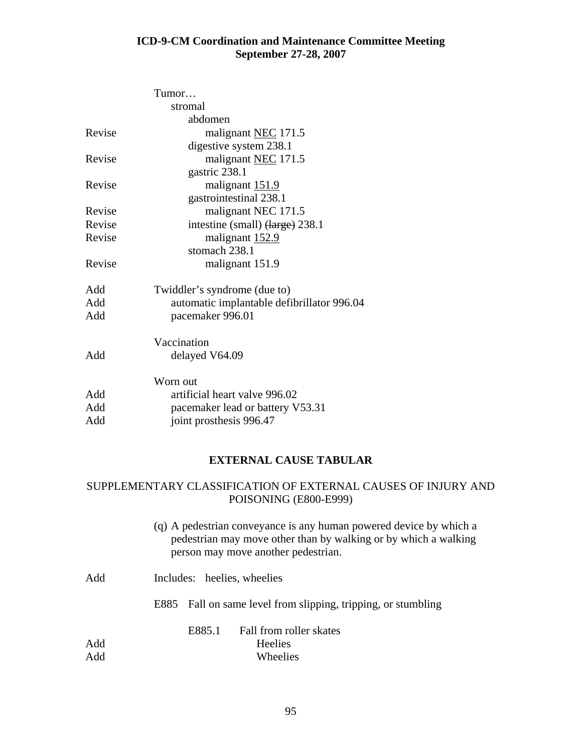|        | Tumor                                      |
|--------|--------------------------------------------|
|        | stromal                                    |
|        | abdomen                                    |
| Revise | malignant NEC 171.5                        |
|        | digestive system 238.1                     |
| Revise | malignant NEC 171.5                        |
|        | gastric 238.1                              |
| Revise | malignant 151.9                            |
|        | gastrointestinal 238.1                     |
| Revise | malignant NEC 171.5                        |
| Revise | intestine (small) (large) 238.1            |
| Revise | malignant 152.9                            |
|        | stomach 238.1                              |
| Revise | malignant 151.9                            |
| Add    | Twiddler's syndrome (due to)               |
| Add    | automatic implantable defibrillator 996.04 |
| Add    | pacemaker 996.01                           |
|        | Vaccination                                |
| Add    | delayed V64.09                             |
|        | Worn out                                   |
| Add    | artificial heart valve 996.02              |
| Add    | pacemaker lead or battery V53.31           |
| Add    | joint prosthesis 996.47                    |
|        |                                            |

## **EXTERNAL CAUSE TABULAR**

## SUPPLEMENTARY CLASSIFICATION OF EXTERNAL CAUSES OF INJURY AND POISONING (E800-E999)

- (q) A pedestrian conveyance is any human powered device by which a pedestrian may move other than by walking or by which a walking person may move another pedestrian.
- Add Includes: heelies, wheelies E885 Fall on same level from slipping, tripping, or stumbling Add Add E885.1 Fall from roller skates Heelies Wheelies